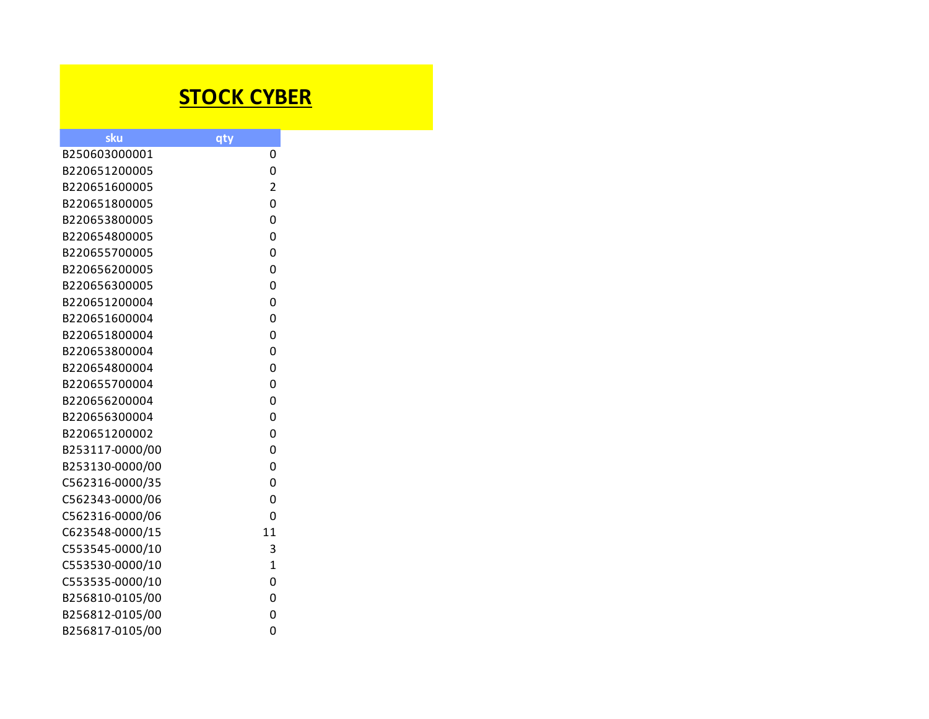## **STOCK CYBER**

| sku             |                     |  |
|-----------------|---------------------|--|
| B250603000001   | qty<br>0            |  |
| B220651200005   | 0                   |  |
| B220651600005   |                     |  |
| B220651800005   | $\overline{2}$<br>0 |  |
| B220653800005   | O                   |  |
| B220654800005   | 0                   |  |
|                 |                     |  |
| B220655700005   | 0                   |  |
| B220656200005   | 0                   |  |
| B220656300005   | 0                   |  |
| B220651200004   | 0                   |  |
| B220651600004   | 0                   |  |
| B220651800004   | 0                   |  |
| B220653800004   | 0                   |  |
| B220654800004   | 0                   |  |
| B220655700004   | 0                   |  |
| B220656200004   | 0                   |  |
| B220656300004   | 0                   |  |
| B220651200002   | 0                   |  |
| B253117-0000/00 | 0                   |  |
| B253130-0000/00 | 0                   |  |
| C562316-0000/35 | 0                   |  |
| C562343-0000/06 | 0                   |  |
| C562316-0000/06 | 0                   |  |
| C623548-0000/15 | 11                  |  |
| C553545-0000/10 | 3                   |  |
| C553530-0000/10 | $\mathbf{1}$        |  |
| C553535-0000/10 | 0                   |  |
| B256810-0105/00 | 0                   |  |
| B256812-0105/00 | 0                   |  |
| B256817-0105/00 | 0                   |  |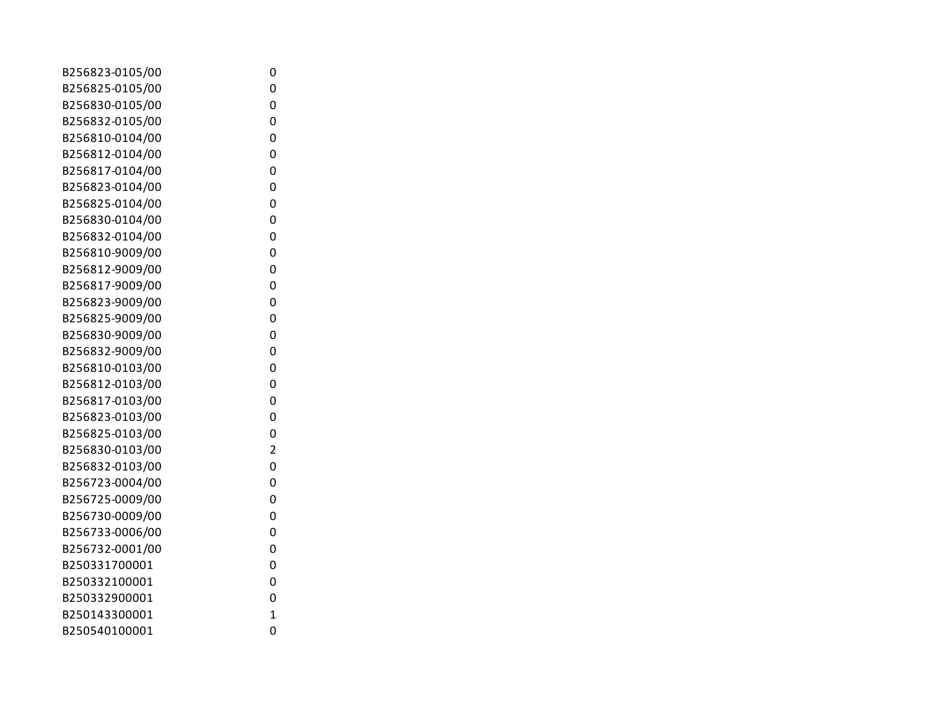| B256823-0105/00 | 0                       |
|-----------------|-------------------------|
| B256825-0105/00 | 0                       |
| B256830-0105/00 | 0                       |
| B256832-0105/00 | 0                       |
| B256810-0104/00 | 0                       |
| B256812-0104/00 | 0                       |
| B256817-0104/00 | 0                       |
| B256823-0104/00 | 0                       |
| B256825-0104/00 | 0                       |
| B256830-0104/00 | 0                       |
| B256832-0104/00 | 0                       |
| B256810-9009/00 | 0                       |
| B256812-9009/00 | 0                       |
| B256817-9009/00 | 0                       |
| B256823-9009/00 | 0                       |
| B256825-9009/00 | 0                       |
| B256830-9009/00 | 0                       |
| B256832-9009/00 | 0                       |
| B256810-0103/00 | 0                       |
| B256812-0103/00 | 0                       |
| B256817-0103/00 | 0                       |
| B256823-0103/00 | 0                       |
| B256825-0103/00 | 0                       |
| B256830-0103/00 | $\overline{\mathbf{c}}$ |
| B256832-0103/00 | 0                       |
| B256723-0004/00 | 0                       |
| B256725-0009/00 | 0                       |
| B256730-0009/00 | 0                       |
| B256733-0006/00 | 0                       |
| B256732-0001/00 | 0                       |
| B250331700001   | 0                       |
| B250332100001   | 0                       |
| B250332900001   | 0                       |
| B250143300001   | $\mathbf{1}$            |
| B250540100001   | 0                       |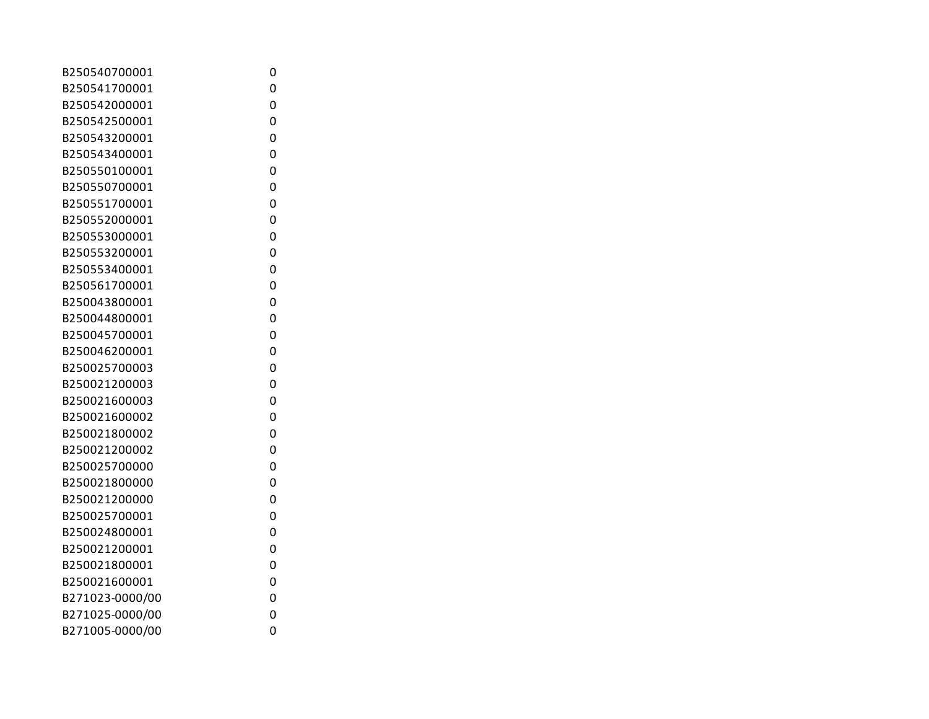| B250540700001   | 0 |
|-----------------|---|
| B250541700001   | 0 |
| B250542000001   | 0 |
| B250542500001   | 0 |
| B250543200001   | 0 |
| B250543400001   | 0 |
| B250550100001   | 0 |
| B250550700001   | 0 |
| B250551700001   | 0 |
| B250552000001   | 0 |
| B250553000001   | 0 |
| B250553200001   | 0 |
| B250553400001   | 0 |
| B250561700001   | 0 |
| B250043800001   | 0 |
| B250044800001   | 0 |
| B250045700001   | 0 |
| B250046200001   | 0 |
| B250025700003   | 0 |
| B250021200003   | 0 |
| B250021600003   | 0 |
| B250021600002   | 0 |
| B250021800002   | 0 |
| B250021200002   | 0 |
| B250025700000   | 0 |
| B250021800000   | 0 |
| B250021200000   | 0 |
| B250025700001   | 0 |
| B250024800001   | 0 |
| B250021200001   | 0 |
| B250021800001   | 0 |
| B250021600001   | 0 |
| B271023-0000/00 | 0 |
| B271025-0000/00 | 0 |
| B271005-0000/00 | 0 |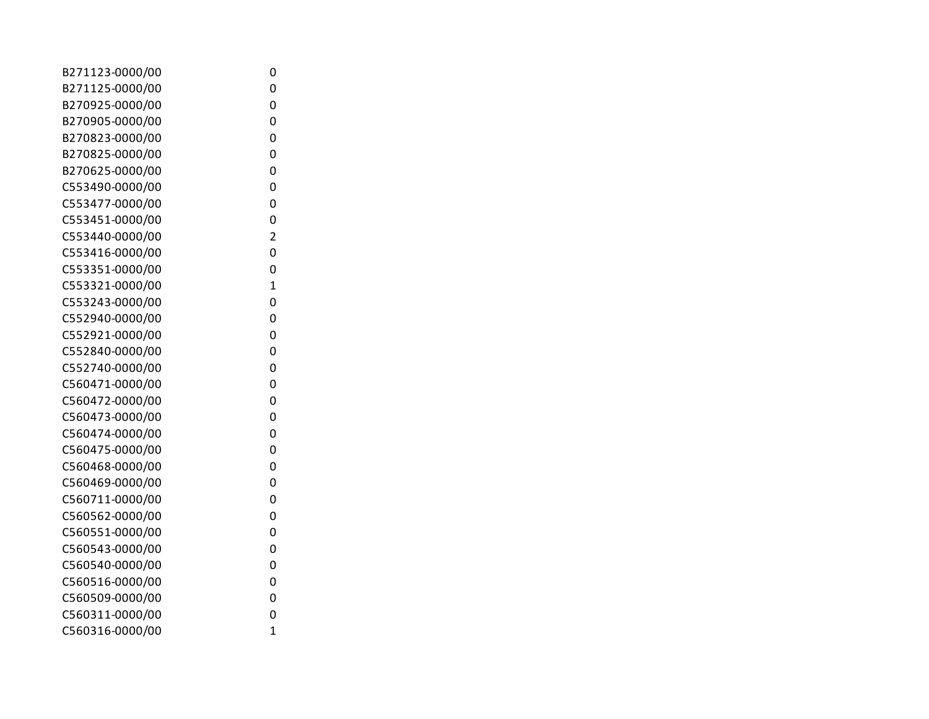| B271123-0000/00 | 0              |
|-----------------|----------------|
| B271125-0000/00 | 0              |
| B270925-0000/00 | 0              |
| B270905-0000/00 | 0              |
| B270823-0000/00 | 0              |
| B270825-0000/00 | 0              |
| B270625-0000/00 | 0              |
| C553490-0000/00 | 0              |
| C553477-0000/00 | 0              |
| C553451-0000/00 | 0              |
| C553440-0000/00 | $\overline{2}$ |
| C553416-0000/00 | 0              |
| C553351-0000/00 | 0              |
| C553321-0000/00 | $\overline{1}$ |
| C553243-0000/00 | 0              |
| C552940-0000/00 | 0              |
| C552921-0000/00 | 0              |
| C552840-0000/00 | 0              |
| C552740-0000/00 | 0              |
| C560471-0000/00 | 0              |
| C560472-0000/00 | 0              |
| C560473-0000/00 | 0              |
| C560474-0000/00 | 0              |
| C560475-0000/00 | 0              |
| C560468-0000/00 | 0              |
| C560469-0000/00 | 0              |
| C560711-0000/00 | 0              |
| C560562-0000/00 | 0              |
| C560551-0000/00 | 0              |
| C560543-0000/00 | 0              |
| C560540-0000/00 | 0              |
| C560516-0000/00 | 0              |
| C560509-0000/00 | 0              |
| C560311-0000/00 | 0              |
| C560316-0000/00 | $\overline{1}$ |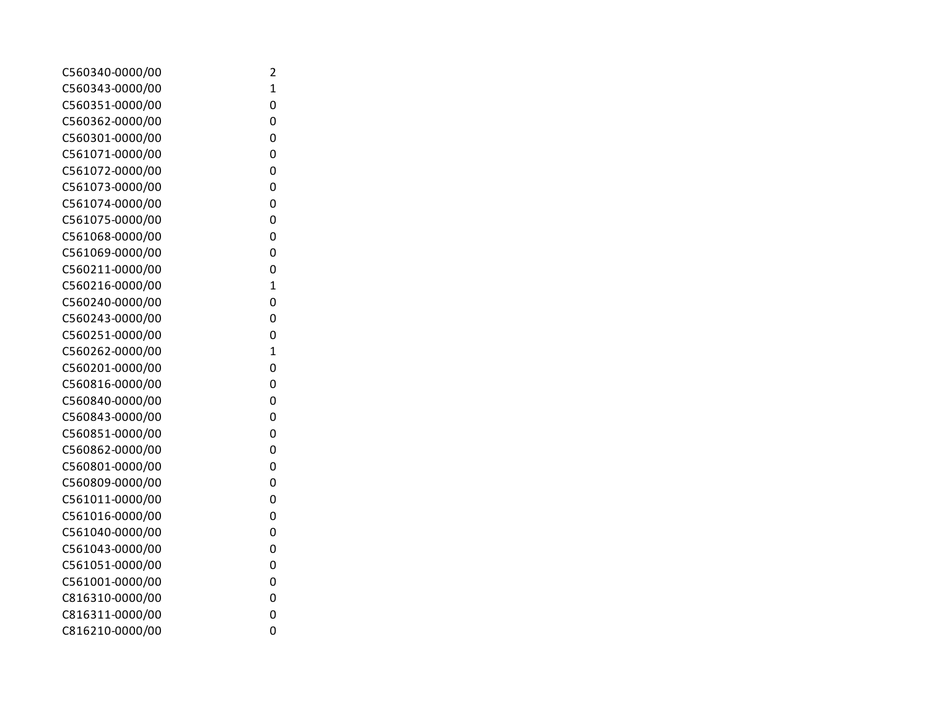| C560340-0000/00 | 2              |
|-----------------|----------------|
| C560343-0000/00 | $\mathbf{1}$   |
| C560351-0000/00 | 0              |
| C560362-0000/00 | 0              |
| C560301-0000/00 | 0              |
| C561071-0000/00 | 0              |
| C561072-0000/00 | 0              |
| C561073-0000/00 | 0              |
| C561074-0000/00 | 0              |
| C561075-0000/00 | 0              |
| C561068-0000/00 | 0              |
| C561069-0000/00 | 0              |
| C560211-0000/00 | 0              |
| C560216-0000/00 | $\mathbf{1}$   |
| C560240-0000/00 | 0              |
| C560243-0000/00 | 0              |
| C560251-0000/00 | 0              |
| C560262-0000/00 | $\overline{1}$ |
| C560201-0000/00 | 0              |
| C560816-0000/00 | 0              |
| C560840-0000/00 | 0              |
| C560843-0000/00 | 0              |
| C560851-0000/00 | 0              |
| C560862-0000/00 | 0              |
| C560801-0000/00 | 0              |
| C560809-0000/00 | 0              |
| C561011-0000/00 | 0              |
| C561016-0000/00 | 0              |
| C561040-0000/00 | 0              |
| C561043-0000/00 | 0              |
| C561051-0000/00 | 0              |
| C561001-0000/00 | 0              |
| C816310-0000/00 | 0              |
| C816311-0000/00 | 0              |
| C816210-0000/00 | 0              |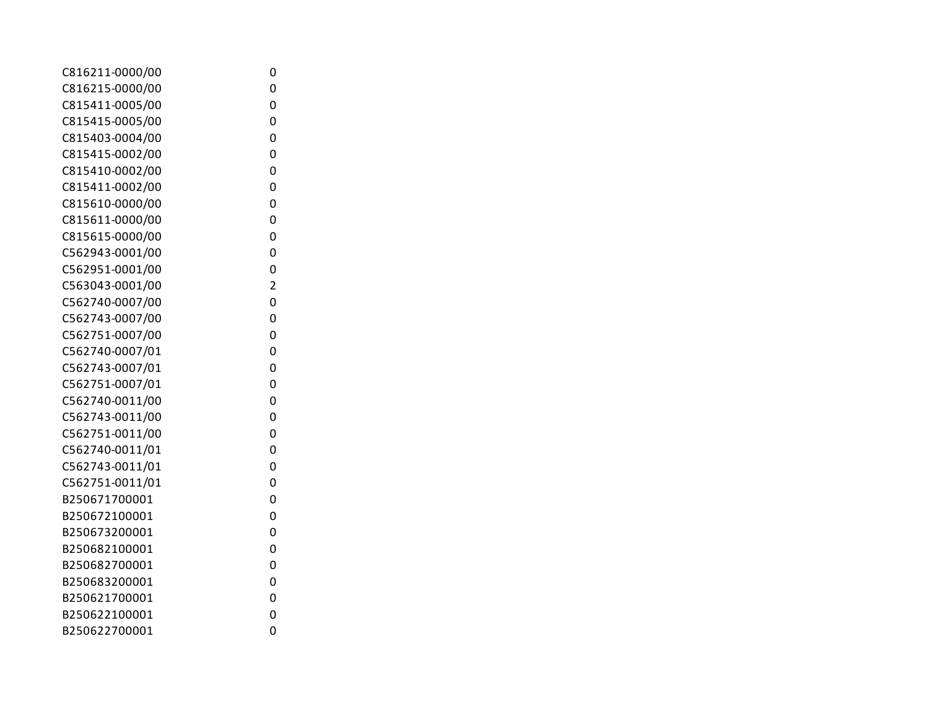| C816211-0000/00 | 0              |
|-----------------|----------------|
| C816215-0000/00 | 0              |
| C815411-0005/00 | 0              |
| C815415-0005/00 | 0              |
| C815403-0004/00 | 0              |
| C815415-0002/00 | 0              |
| C815410-0002/00 | 0              |
| C815411-0002/00 | 0              |
| C815610-0000/00 | 0              |
| C815611-0000/00 | 0              |
| C815615-0000/00 | 0              |
| C562943-0001/00 | 0              |
| C562951-0001/00 | 0              |
| C563043-0001/00 | $\overline{c}$ |
| C562740-0007/00 | 0              |
| C562743-0007/00 | 0              |
| C562751-0007/00 | 0              |
| C562740-0007/01 | 0              |
| C562743-0007/01 | 0              |
| C562751-0007/01 | 0              |
| C562740-0011/00 | 0              |
| C562743-0011/00 | 0              |
| C562751-0011/00 | 0              |
| C562740-0011/01 | 0              |
| C562743-0011/01 | 0              |
| C562751-0011/01 | 0              |
| B250671700001   | 0              |
| B250672100001   | 0              |
| B250673200001   | 0              |
| B250682100001   | 0              |
| B250682700001   | 0              |
| B250683200001   | 0              |
| B250621700001   | 0              |
| B250622100001   | 0              |
| B250622700001   | 0              |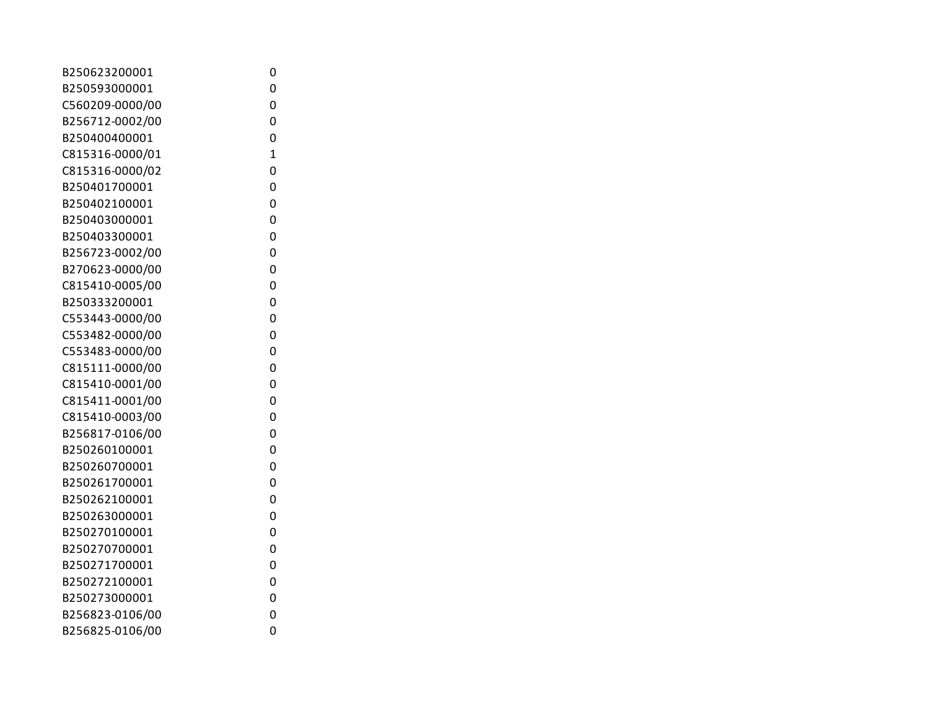| B250623200001   | 0            |
|-----------------|--------------|
| B250593000001   | 0            |
| C560209-0000/00 | 0            |
| B256712-0002/00 | 0            |
| B250400400001   | 0            |
| C815316-0000/01 | $\mathbf{1}$ |
| C815316-0000/02 | 0            |
| B250401700001   | 0            |
| B250402100001   | 0            |
| B250403000001   | 0            |
| B250403300001   | 0            |
| B256723-0002/00 | 0            |
| B270623-0000/00 | 0            |
| C815410-0005/00 | 0            |
| B250333200001   | 0            |
| C553443-0000/00 | 0            |
| C553482-0000/00 | 0            |
| C553483-0000/00 | 0            |
| C815111-0000/00 | 0            |
| C815410-0001/00 | 0            |
| C815411-0001/00 | 0            |
| C815410-0003/00 | 0            |
| B256817-0106/00 | 0            |
| B250260100001   | 0            |
| B250260700001   | 0            |
| B250261700001   | 0            |
| B250262100001   | 0            |
| B250263000001   | 0            |
| B250270100001   | 0            |
| B250270700001   | 0            |
| B250271700001   | 0            |
| B250272100001   | 0            |
| B250273000001   | 0            |
| B256823-0106/00 | 0            |
| B256825-0106/00 | 0            |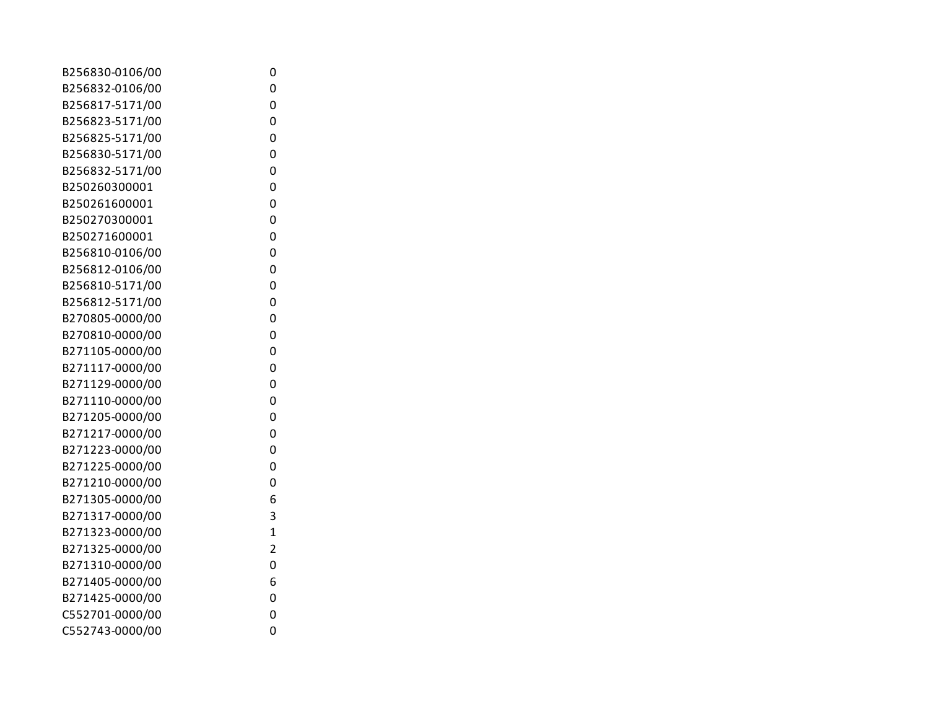| B256830-0106/00 | 0              |
|-----------------|----------------|
| B256832-0106/00 | 0              |
| B256817-5171/00 | 0              |
| B256823-5171/00 | 0              |
| B256825-5171/00 | 0              |
| B256830-5171/00 | 0              |
| B256832-5171/00 | 0              |
| B250260300001   | 0              |
| B250261600001   | 0              |
| B250270300001   | 0              |
| B250271600001   | 0              |
| B256810-0106/00 | 0              |
| B256812-0106/00 | 0              |
| B256810-5171/00 | 0              |
| B256812-5171/00 | 0              |
| B270805-0000/00 | 0              |
| B270810-0000/00 | 0              |
| B271105-0000/00 | 0              |
| B271117-0000/00 | 0              |
| B271129-0000/00 | 0              |
| B271110-0000/00 | 0              |
| B271205-0000/00 | 0              |
| B271217-0000/00 | 0              |
| B271223-0000/00 | 0              |
| B271225-0000/00 | 0              |
| B271210-0000/00 | 0              |
| B271305-0000/00 | 6              |
| B271317-0000/00 | 3              |
| B271323-0000/00 | $\overline{1}$ |
| B271325-0000/00 | $\overline{2}$ |
| B271310-0000/00 | 0              |
| B271405-0000/00 | 6              |
| B271425-0000/00 | 0              |
| C552701-0000/00 | 0              |
| C552743-0000/00 | 0              |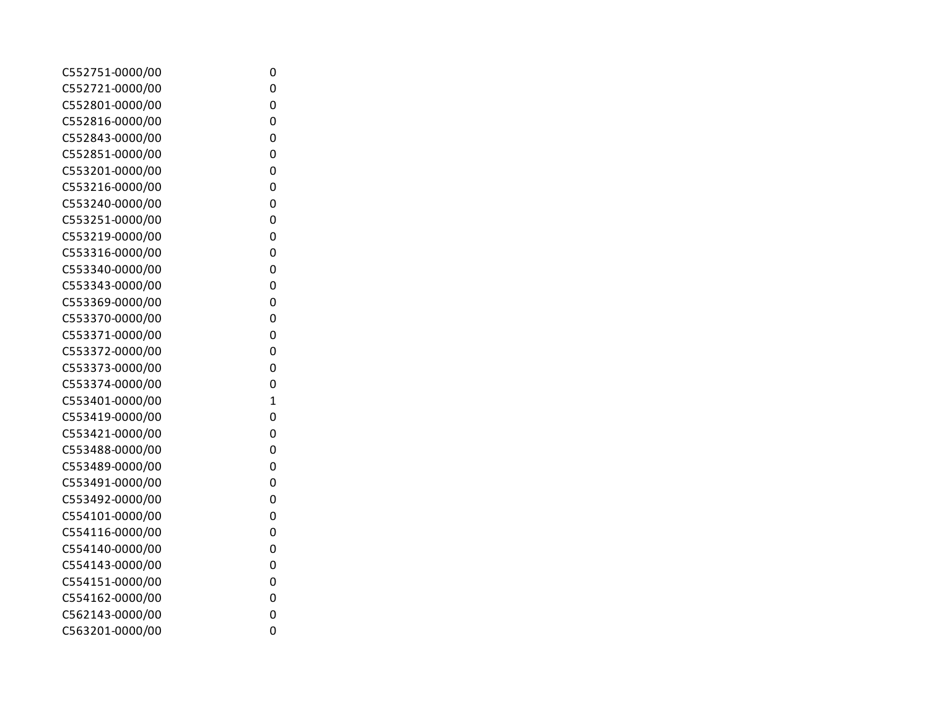| C552751-0000/00 |
|-----------------|
| C552721-0000/00 |
| C552801-0000/00 |
| C552816-0000/00 |
| C552843-0000/00 |
| C552851-0000/00 |
| C553201-0000/00 |
| C553216-0000/00 |
| C553240-0000/00 |
| C553251-0000/00 |
| C553219-0000/00 |
| C553316-0000/00 |
| C553340-0000/00 |
| C553343-0000/00 |
| C553369-0000/00 |
| C553370-0000/00 |
| C553371-0000/00 |
| C553372-0000/00 |
| C553373-0000/00 |
| C553374-0000/00 |
| C553401-0000/00 |
| C553419-0000/00 |
| C553421-0000/00 |
| C553488-0000/00 |
| C553489-0000/00 |
| C553491-0000/00 |
| C553492-0000/00 |
| C554101-0000/00 |
| C554116-0000/00 |
| C554140-0000/00 |
| C554143-0000/00 |
| C554151-0000/00 |
| C554162-0000/00 |
| C562143-0000/00 |
| C563201-0000/00 |

0

0

0

0

0

0

0

0

0

0

0

0

0

0

0

0

0

0

0

1

0

0

0

0

0

0

0

0

0

0

0

0

0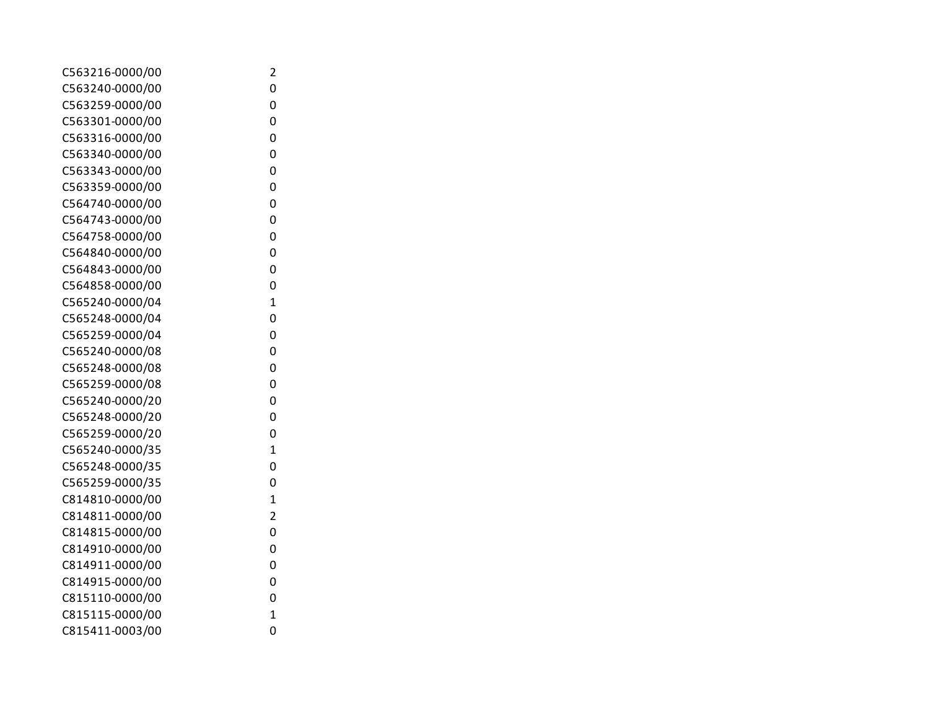| C563216-0000/00 | 2              |
|-----------------|----------------|
| C563240-0000/00 | 0              |
| C563259-0000/00 | 0              |
| C563301-0000/00 | 0              |
| C563316-0000/00 | 0              |
| C563340-0000/00 | 0              |
| C563343-0000/00 | 0              |
| C563359-0000/00 | 0              |
| C564740-0000/00 | 0              |
| C564743-0000/00 | 0              |
| C564758-0000/00 | 0              |
| C564840-0000/00 | 0              |
| C564843-0000/00 | 0              |
| C564858-0000/00 | 0              |
| C565240-0000/04 | $\mathbf 1$    |
| C565248-0000/04 | 0              |
| C565259-0000/04 | 0              |
| C565240-0000/08 | 0              |
| C565248-0000/08 | 0              |
| C565259-0000/08 | 0              |
| C565240-0000/20 | 0              |
| C565248-0000/20 | 0              |
| C565259-0000/20 | 0              |
| C565240-0000/35 | $\overline{1}$ |
| C565248-0000/35 | 0              |
| C565259-0000/35 | 0              |
| C814810-0000/00 | $\overline{1}$ |
| C814811-0000/00 | $\overline{2}$ |
| C814815-0000/00 | 0              |
| C814910-0000/00 | 0              |
| C814911-0000/00 | 0              |
| C814915-0000/00 | 0              |
| C815110-0000/00 | 0              |
| C815115-0000/00 | 1              |
| C815411-0003/00 | 0              |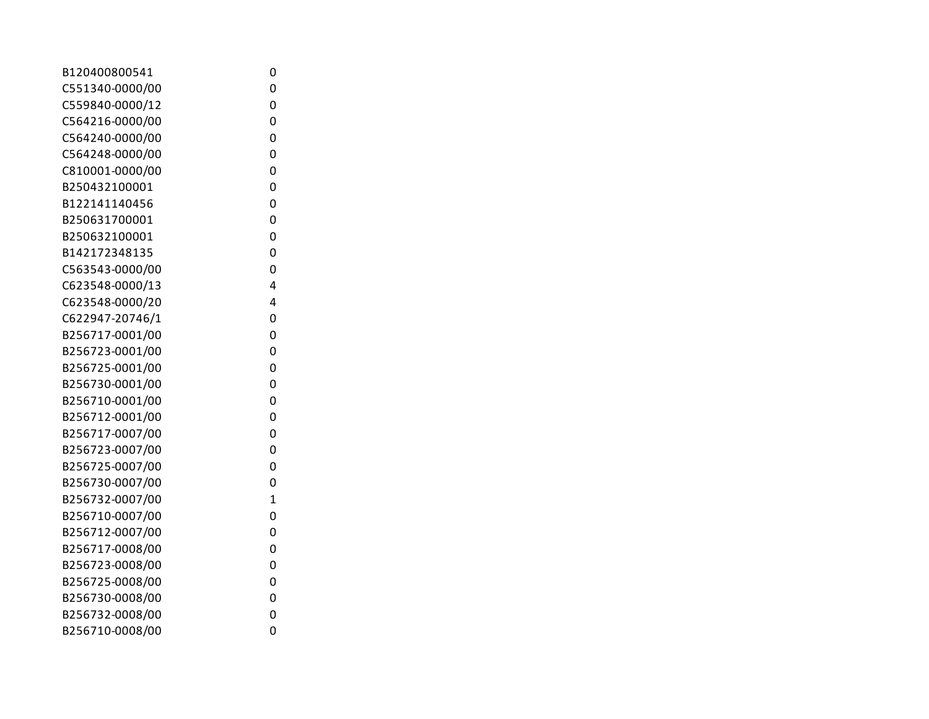| B120400800541   | 0              |
|-----------------|----------------|
| C551340-0000/00 | 0              |
| C559840-0000/12 | 0              |
| C564216-0000/00 | 0              |
| C564240-0000/00 | 0              |
| C564248-0000/00 | 0              |
| C810001-0000/00 | 0              |
| B250432100001   | 0              |
| B122141140456   | 0              |
| B250631700001   | 0              |
| B250632100001   | 0              |
| B142172348135   | 0              |
| C563543-0000/00 | 0              |
| C623548-0000/13 | 4              |
| C623548-0000/20 | 4              |
| C622947-20746/1 | 0              |
| B256717-0001/00 | 0              |
| B256723-0001/00 | 0              |
| B256725-0001/00 | 0              |
| B256730-0001/00 | 0              |
| B256710-0001/00 | 0              |
| B256712-0001/00 | 0              |
| B256717-0007/00 | 0              |
| B256723-0007/00 | 0              |
| B256725-0007/00 | 0              |
| B256730-0007/00 | 0              |
| B256732-0007/00 | $\overline{1}$ |
| B256710-0007/00 | 0              |
| B256712-0007/00 | 0              |
| B256717-0008/00 | 0              |
| B256723-0008/00 | 0              |
| B256725-0008/00 | 0              |
| B256730-0008/00 | 0              |
| B256732-0008/00 | 0              |
| B256710-0008/00 | 0              |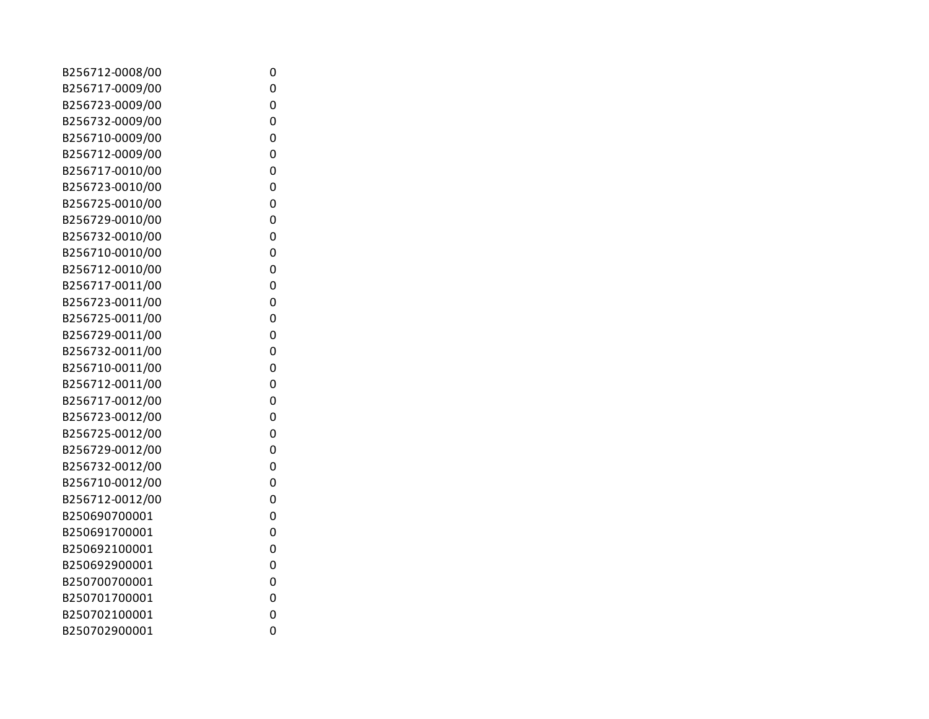| B256712-0008/00 | 0 |
|-----------------|---|
| B256717-0009/00 | 0 |
| B256723-0009/00 | 0 |
| B256732-0009/00 | 0 |
| B256710-0009/00 | 0 |
| B256712-0009/00 | 0 |
| B256717-0010/00 | 0 |
| B256723-0010/00 | 0 |
| B256725-0010/00 | 0 |
| B256729-0010/00 | 0 |
| B256732-0010/00 | 0 |
| B256710-0010/00 | 0 |
| B256712-0010/00 | 0 |
| B256717-0011/00 | 0 |
| B256723-0011/00 | 0 |
| B256725-0011/00 | 0 |
| B256729-0011/00 | 0 |
| B256732-0011/00 | 0 |
| B256710-0011/00 | 0 |
| B256712-0011/00 | 0 |
| B256717-0012/00 | 0 |
| B256723-0012/00 | 0 |
| B256725-0012/00 | 0 |
| B256729-0012/00 | 0 |
| B256732-0012/00 | 0 |
| B256710-0012/00 | 0 |
| B256712-0012/00 | 0 |
| B250690700001   | 0 |
| B250691700001   | 0 |
| B250692100001   | 0 |
| B250692900001   | 0 |
| B250700700001   | 0 |
| B250701700001   | 0 |
| B250702100001   | 0 |
| B250702900001   | 0 |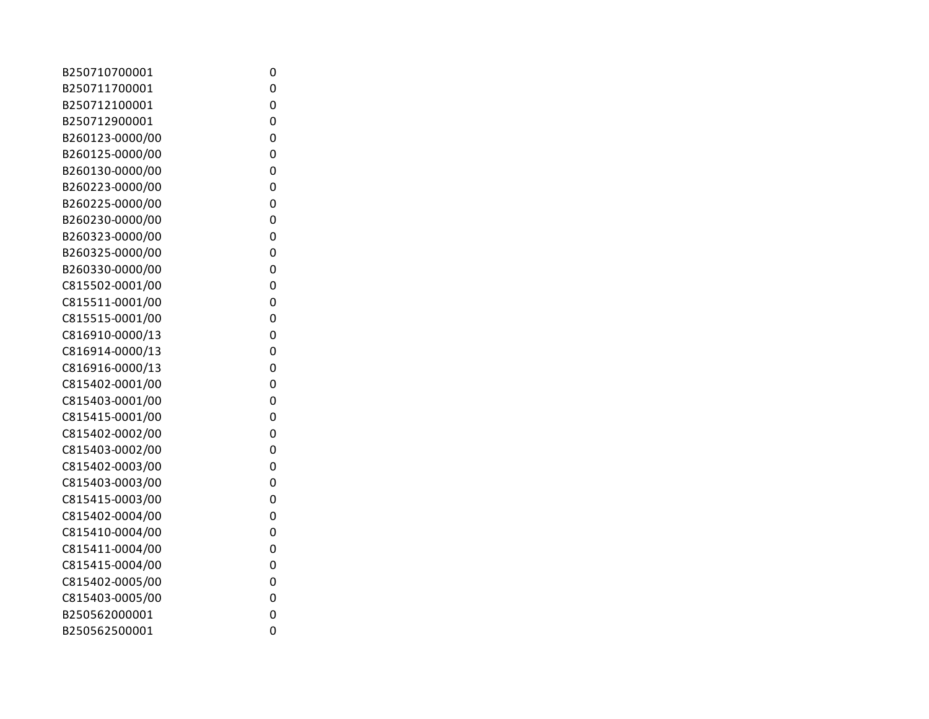| B250710700001   | 0 |
|-----------------|---|
| B250711700001   | 0 |
| B250712100001   | 0 |
| B250712900001   | 0 |
| B260123-0000/00 | 0 |
| B260125-0000/00 | 0 |
| B260130-0000/00 | 0 |
| B260223-0000/00 | 0 |
| B260225-0000/00 | 0 |
| B260230-0000/00 | 0 |
| B260323-0000/00 | 0 |
| B260325-0000/00 | 0 |
| B260330-0000/00 | 0 |
| C815502-0001/00 | 0 |
| C815511-0001/00 | 0 |
| C815515-0001/00 | 0 |
| C816910-0000/13 | 0 |
| C816914-0000/13 | 0 |
| C816916-0000/13 | 0 |
| C815402-0001/00 | 0 |
| C815403-0001/00 | 0 |
| C815415-0001/00 | 0 |
| C815402-0002/00 | 0 |
| C815403-0002/00 | 0 |
| C815402-0003/00 | 0 |
| C815403-0003/00 | 0 |
| C815415-0003/00 | 0 |
| C815402-0004/00 | 0 |
| C815410-0004/00 | 0 |
| C815411-0004/00 | 0 |
| C815415-0004/00 | 0 |
| C815402-0005/00 | 0 |
| C815403-0005/00 | 0 |
| B250562000001   | 0 |
| B250562500001   | 0 |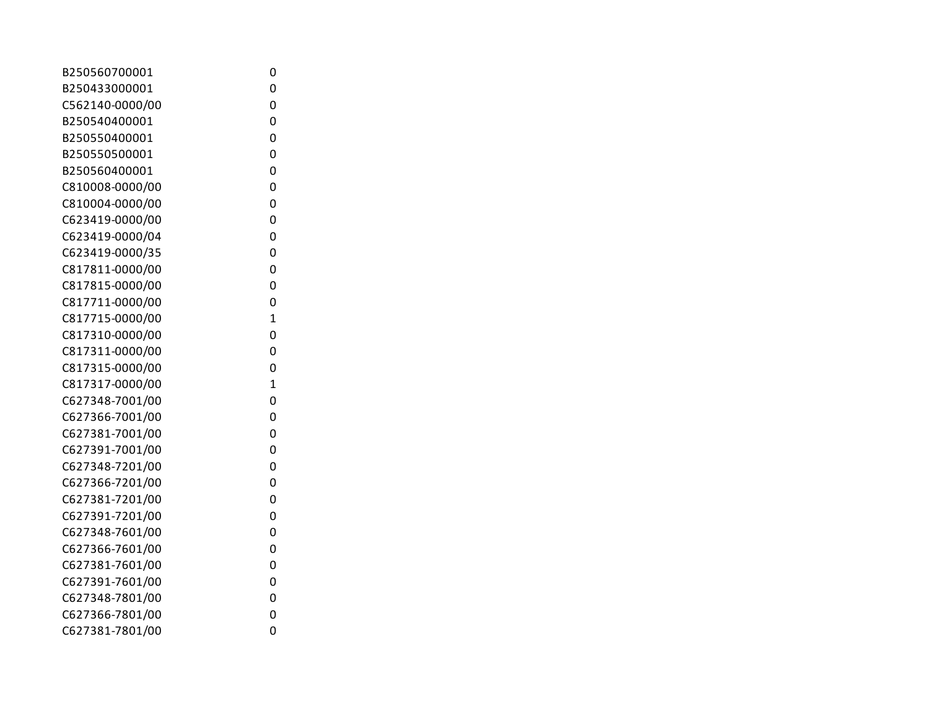| B250560700001   | 0              |
|-----------------|----------------|
| B250433000001   | 0              |
| C562140-0000/00 | 0              |
| B250540400001   | 0              |
| B250550400001   | 0              |
| B250550500001   | 0              |
| B250560400001   | 0              |
| C810008-0000/00 | 0              |
| C810004-0000/00 | 0              |
| C623419-0000/00 | 0              |
| C623419-0000/04 | 0              |
| C623419-0000/35 | 0              |
| C817811-0000/00 | 0              |
| C817815-0000/00 | 0              |
| C817711-0000/00 | 0              |
| C817715-0000/00 | $\overline{1}$ |
| C817310-0000/00 | 0              |
| C817311-0000/00 | 0              |
| C817315-0000/00 | 0              |
| C817317-0000/00 | $\overline{1}$ |
| C627348-7001/00 | 0              |
| C627366-7001/00 | 0              |
| C627381-7001/00 | 0              |
| C627391-7001/00 | 0              |
| C627348-7201/00 | 0              |
| C627366-7201/00 | 0              |
| C627381-7201/00 | 0              |
| C627391-7201/00 | 0              |
| C627348-7601/00 | 0              |
| C627366-7601/00 | 0              |
| C627381-7601/00 | 0              |
| C627391-7601/00 | 0              |
| C627348-7801/00 | 0              |
| C627366-7801/00 | 0              |
| C627381-7801/00 | 0              |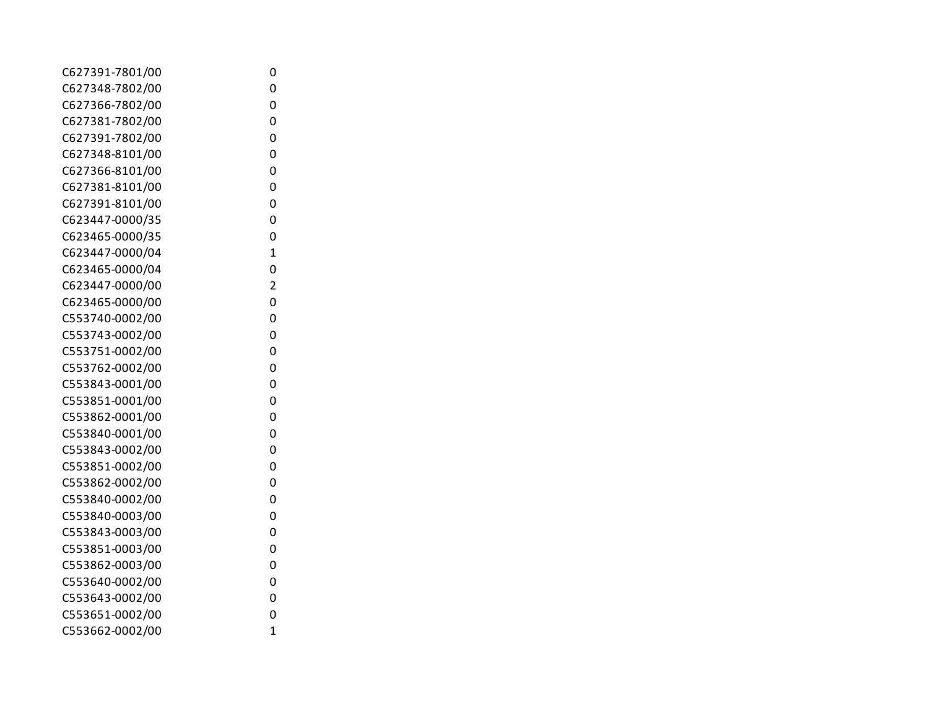| 0              |                  |
|----------------|------------------|
| 0              |                  |
| 0              |                  |
| 0              |                  |
| 0              |                  |
| 0              |                  |
| 0              |                  |
| 0              |                  |
| 0              |                  |
| 0              |                  |
| 0              |                  |
| $\mathbf{1}$   |                  |
| 0              |                  |
| $\overline{2}$ |                  |
| 0              |                  |
| 0              |                  |
| 0              |                  |
| 0              |                  |
| 0              |                  |
| 0              |                  |
| 0              |                  |
| 0              |                  |
| 0              |                  |
| 0              |                  |
| 0              |                  |
| 0              |                  |
| 0              |                  |
|                |                  |
| 0              |                  |
|                |                  |
|                |                  |
|                |                  |
| 0              |                  |
| 0              |                  |
| $\mathbf{1}$   |                  |
|                | 0<br>0<br>0<br>0 |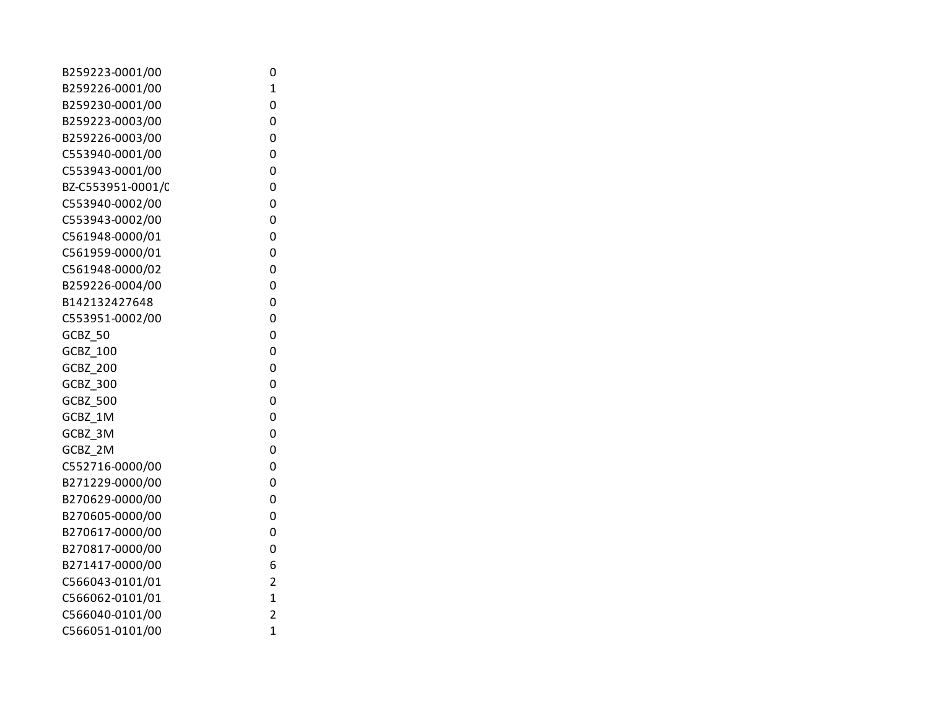| B259223-0001/00   | 0              |
|-------------------|----------------|
| B259226-0001/00   | 1              |
| B259230-0001/00   | 0              |
| B259223-0003/00   | 0              |
| B259226-0003/00   | 0              |
| C553940-0001/00   | 0              |
| C553943-0001/00   | 0              |
| BZ-C553951-0001/C | 0              |
| C553940-0002/00   | 0              |
| C553943-0002/00   | 0              |
| C561948-0000/01   | 0              |
| C561959-0000/01   | 0              |
| C561948-0000/02   | 0              |
| B259226-0004/00   | 0              |
| B142132427648     | 0              |
| C553951-0002/00   | 0              |
| GCBZ_50           | 0              |
| GCBZ_100          | 0              |
| <b>GCBZ 200</b>   | 0              |
| <b>GCBZ 300</b>   | 0              |
| GCBZ_500          | 0              |
| GCBZ 1M           | 0              |
| GCBZ_3M           | 0              |
| GCBZ_2M           | 0              |
| C552716-0000/00   | 0              |
| B271229-0000/00   | 0              |
| B270629-0000/00   | 0              |
| B270605-0000/00   | 0              |
| B270617-0000/00   | 0              |
| B270817-0000/00   | 0              |
| B271417-0000/00   | 6              |
| C566043-0101/01   | 2              |
| C566062-0101/01   | $\overline{1}$ |
| C566040-0101/00   | $\overline{2}$ |
| C566051-0101/00   | $\overline{1}$ |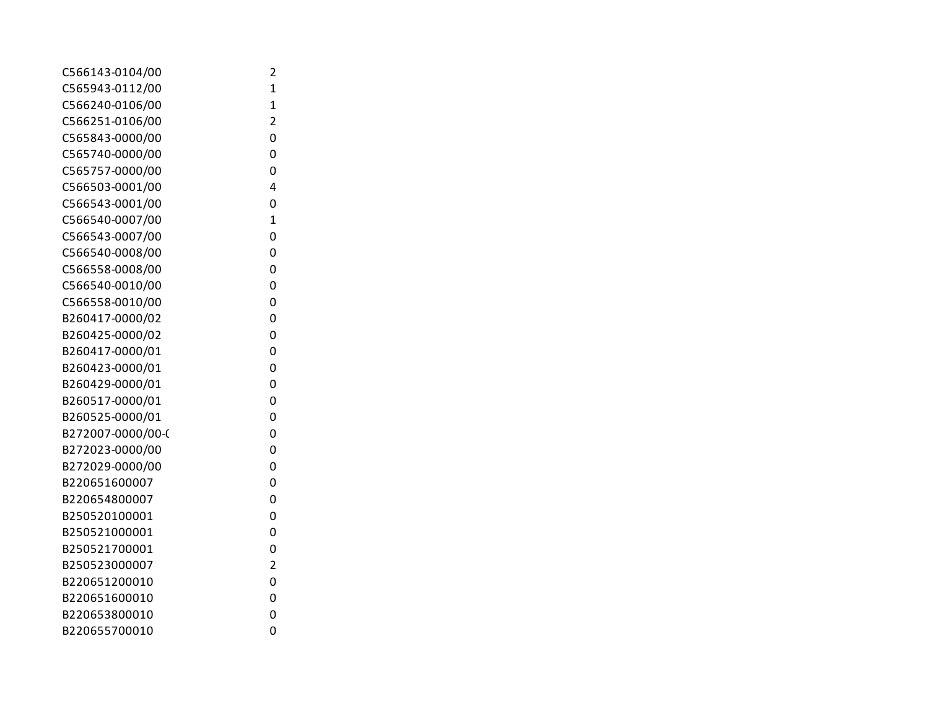| C566143-0104/00   | 2              |
|-------------------|----------------|
| C565943-0112/00   | 1              |
| C566240-0106/00   | $\overline{1}$ |
| C566251-0106/00   | $\overline{2}$ |
| C565843-0000/00   | 0              |
| C565740-0000/00   | 0              |
| C565757-0000/00   | 0              |
| C566503-0001/00   | 4              |
| C566543-0001/00   | 0              |
| C566540-0007/00   | $\overline{1}$ |
| C566543-0007/00   | 0              |
| C566540-0008/00   | 0              |
| C566558-0008/00   | 0              |
| C566540-0010/00   | 0              |
| C566558-0010/00   | 0              |
| B260417-0000/02   | 0              |
| B260425-0000/02   | 0              |
| B260417-0000/01   | 0              |
| B260423-0000/01   | 0              |
| B260429-0000/01   | 0              |
| B260517-0000/01   | 0              |
| B260525-0000/01   | 0              |
| B272007-0000/00-0 | 0              |
| B272023-0000/00   | 0              |
| B272029-0000/00   | 0              |
| B220651600007     | 0              |
| B220654800007     | 0              |
| B250520100001     | 0              |
| B250521000001     | 0              |
| B250521700001     | 0              |
| B250523000007     | $\overline{2}$ |
| B220651200010     | 0              |
| B220651600010     | 0              |
| B220653800010     | 0              |
| B220655700010     | 0              |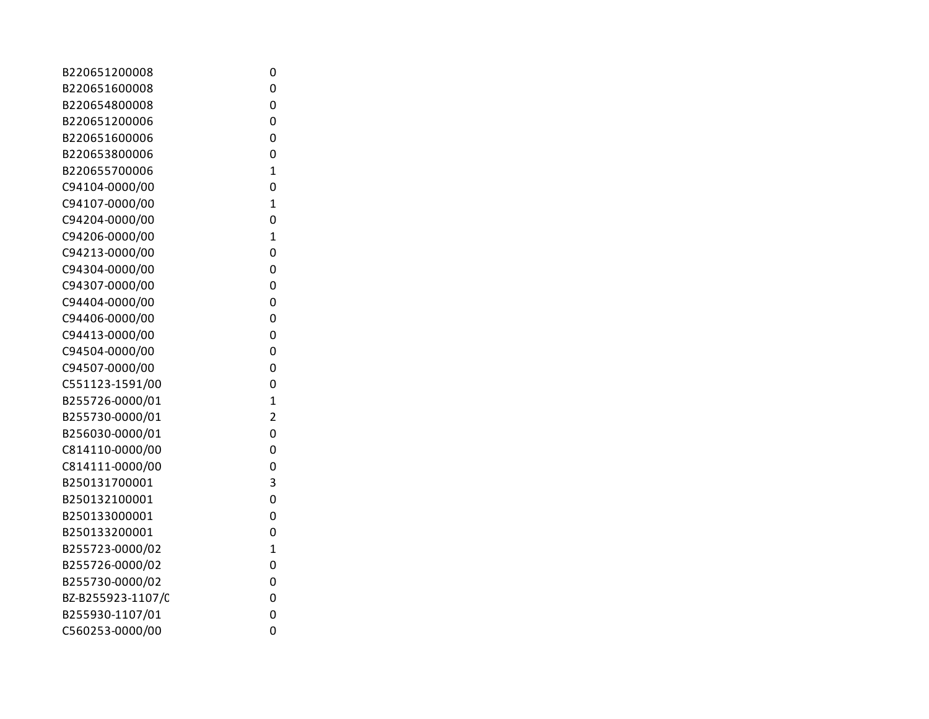| B220651200008     | 0              |
|-------------------|----------------|
| B220651600008     | 0              |
| B220654800008     | 0              |
| B220651200006     | 0              |
| B220651600006     | 0              |
| B220653800006     | 0              |
| B220655700006     | $\overline{1}$ |
| C94104-0000/00    | 0              |
| C94107-0000/00    | $\mathbf{1}$   |
| C94204-0000/00    | 0              |
| C94206-0000/00    | $\overline{1}$ |
| C94213-0000/00    | 0              |
| C94304-0000/00    | 0              |
| C94307-0000/00    | 0              |
| C94404-0000/00    | 0              |
| C94406-0000/00    | 0              |
| C94413-0000/00    | 0              |
| C94504-0000/00    | 0              |
| C94507-0000/00    | 0              |
| C551123-1591/00   | 0              |
| B255726-0000/01   | $\overline{1}$ |
| B255730-0000/01   | $\overline{2}$ |
| B256030-0000/01   | 0              |
| C814110-0000/00   | 0              |
| C814111-0000/00   | 0              |
| B250131700001     | 3              |
| B250132100001     | 0              |
| B250133000001     | 0              |
| B250133200001     | 0              |
| B255723-0000/02   | $\overline{1}$ |
| B255726-0000/02   | 0              |
| B255730-0000/02   | 0              |
| BZ-B255923-1107/C | 0              |
| B255930-1107/01   | 0              |
| C560253-0000/00   | 0              |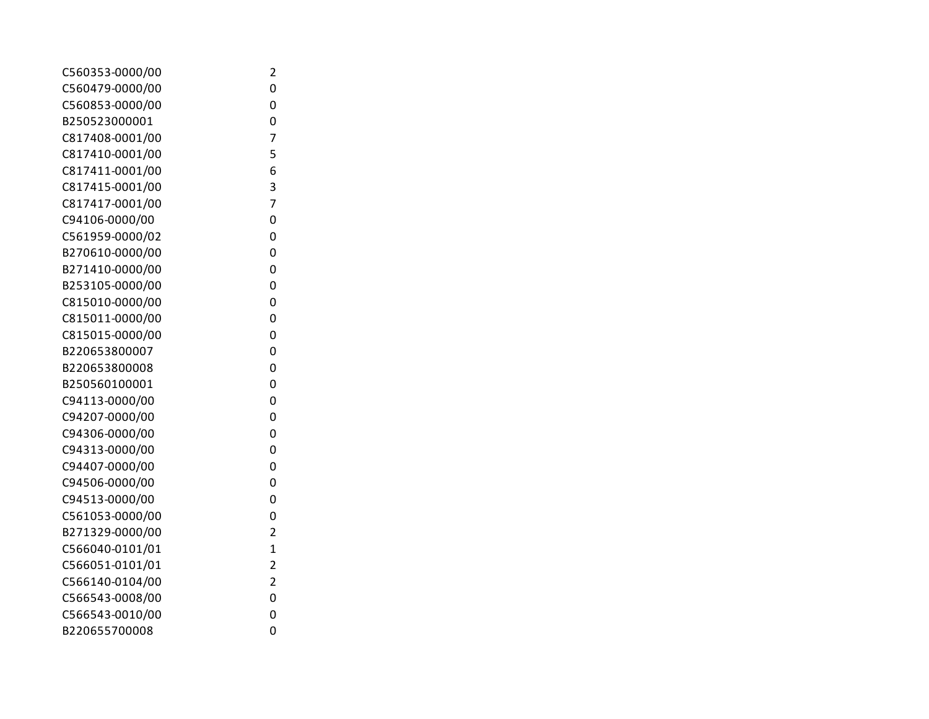| C560353-0000/00 | 2                       |
|-----------------|-------------------------|
| C560479-0000/00 | 0                       |
| C560853-0000/00 | 0                       |
| B250523000001   | 0                       |
| C817408-0001/00 | 7                       |
| C817410-0001/00 | 5                       |
| C817411-0001/00 | 6                       |
| C817415-0001/00 | 3                       |
| C817417-0001/00 | 7                       |
| C94106-0000/00  | 0                       |
| C561959-0000/02 | 0                       |
| B270610-0000/00 | 0                       |
| B271410-0000/00 | 0                       |
| B253105-0000/00 | 0                       |
| C815010-0000/00 | 0                       |
| C815011-0000/00 | 0                       |
| C815015-0000/00 | 0                       |
| B220653800007   | 0                       |
| B220653800008   | 0                       |
| B250560100001   | 0                       |
| C94113-0000/00  | 0                       |
| C94207-0000/00  | 0                       |
| C94306-0000/00  | 0                       |
| C94313-0000/00  | 0                       |
| C94407-0000/00  | 0                       |
| C94506-0000/00  | 0                       |
| C94513-0000/00  | 0                       |
| C561053-0000/00 | 0                       |
| B271329-0000/00 | $\overline{\mathbf{c}}$ |
| C566040-0101/01 | $\overline{1}$          |
| C566051-0101/01 | $\overline{\mathbf{c}}$ |
| C566140-0104/00 | $\overline{c}$          |
| C566543-0008/00 | 0                       |
| C566543-0010/00 | 0                       |
| B220655700008   | 0                       |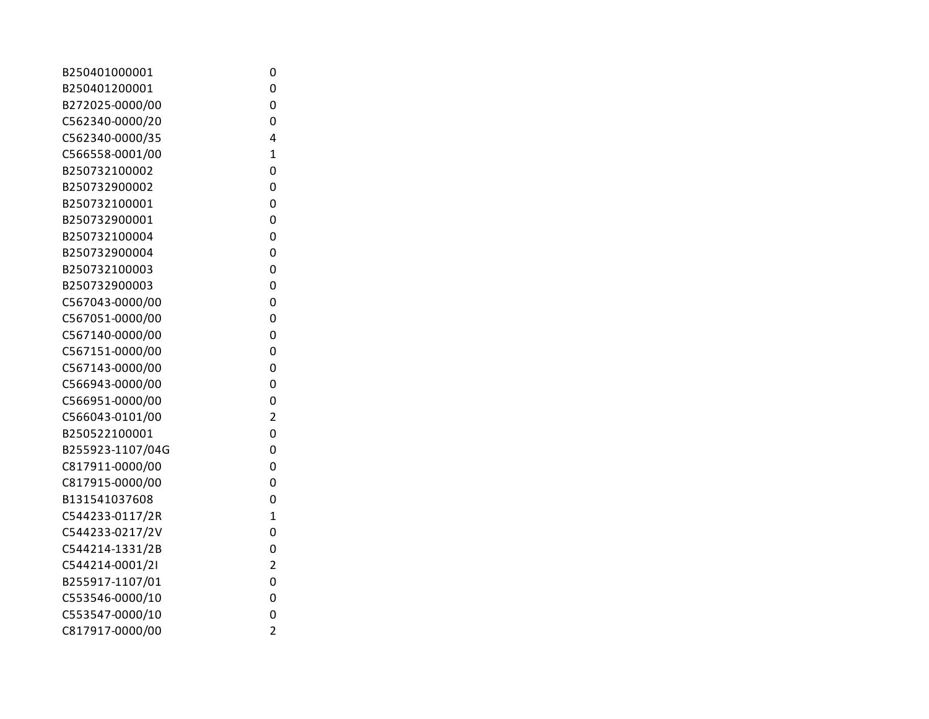| B250401000001    | 0              |
|------------------|----------------|
| B250401200001    | 0              |
| B272025-0000/00  | 0              |
| C562340-0000/20  | 0              |
| C562340-0000/35  | 4              |
| C566558-0001/00  | $\mathbf{1}$   |
| B250732100002    | 0              |
| B250732900002    | 0              |
| B250732100001    | 0              |
| B250732900001    | 0              |
| B250732100004    | 0              |
| B250732900004    | 0              |
| B250732100003    | 0              |
| B250732900003    | 0              |
| C567043-0000/00  | 0              |
| C567051-0000/00  | 0              |
| C567140-0000/00  | 0              |
| C567151-0000/00  | 0              |
| C567143-0000/00  | 0              |
| C566943-0000/00  | 0              |
| C566951-0000/00  | 0              |
| C566043-0101/00  | $\overline{c}$ |
| B250522100001    | 0              |
| B255923-1107/04G | 0              |
| C817911-0000/00  | 0              |
| C817915-0000/00  | 0              |
| B131541037608    | 0              |
| C544233-0117/2R  | $\overline{1}$ |
| C544233-0217/2V  | 0              |
| C544214-1331/2B  | 0              |
| C544214-0001/2I  | $\overline{2}$ |
| B255917-1107/01  | 0              |
| C553546-0000/10  | 0              |
| C553547-0000/10  | 0              |
| C817917-0000/00  | $\overline{2}$ |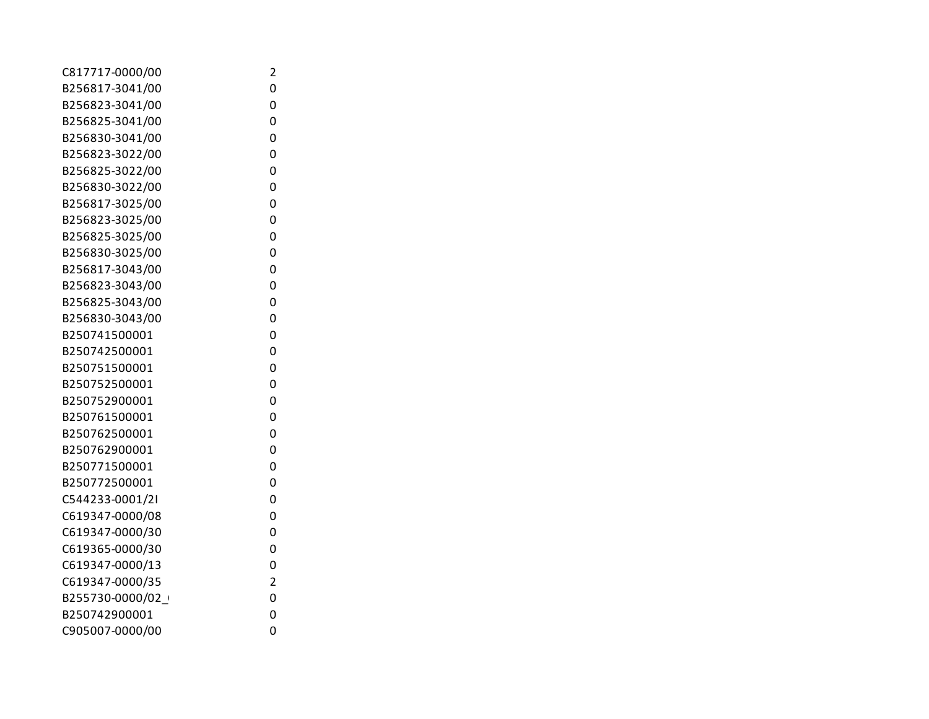| C817717-0000/00 | 2              |
|-----------------|----------------|
| B256817-3041/00 | 0              |
| B256823-3041/00 | 0              |
| B256825-3041/00 | 0              |
| B256830-3041/00 | 0              |
| B256823-3022/00 | 0              |
| B256825-3022/00 | 0              |
| B256830-3022/00 | 0              |
| B256817-3025/00 | 0              |
| B256823-3025/00 | 0              |
| B256825-3025/00 | 0              |
| B256830-3025/00 | 0              |
| B256817-3043/00 | 0              |
| B256823-3043/00 | 0              |
| B256825-3043/00 | 0              |
| B256830-3043/00 | 0              |
| B250741500001   | 0              |
| B250742500001   | 0              |
| B250751500001   | 0              |
| B250752500001   | 0              |
| B250752900001   | 0              |
| B250761500001   | 0              |
| B250762500001   | 0              |
| B250762900001   | 0              |
| B250771500001   | 0              |
| B250772500001   | 0              |
| C544233-0001/2I | 0              |
| C619347-0000/08 | 0              |
| C619347-0000/30 | 0              |
| C619365-0000/30 | 0              |
| C619347-0000/13 | 0              |
| C619347-0000/35 | $\overline{2}$ |
| B255730-0000/02 | 0              |
| B250742900001   | 0              |
| C905007-0000/00 | 0              |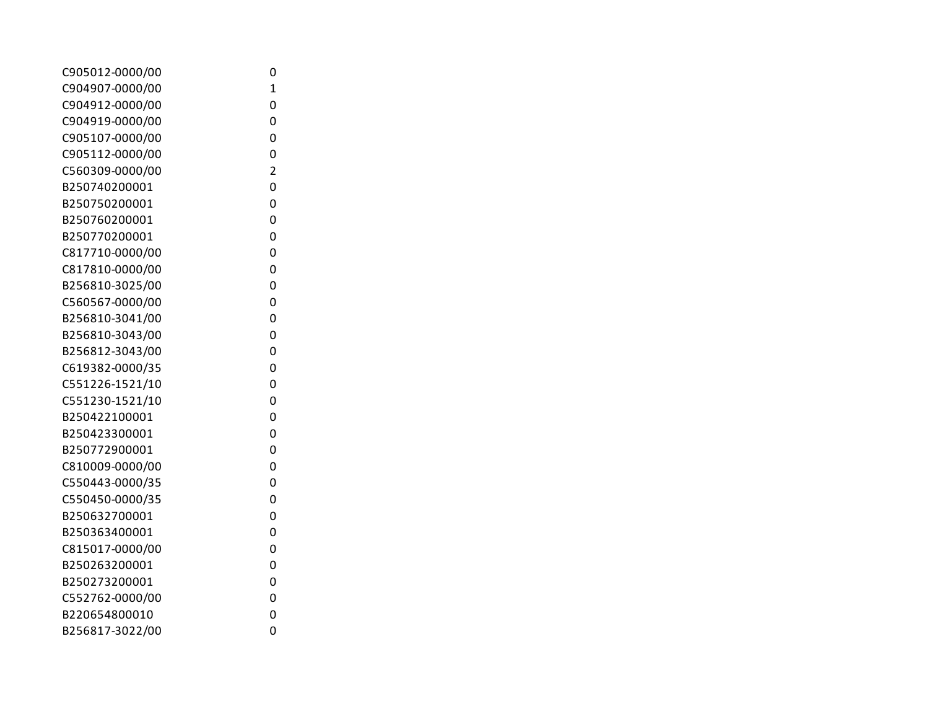| C905012-0000/00 | 0              |  |
|-----------------|----------------|--|
| C904907-0000/00 | 1              |  |
| C904912-0000/00 | 0              |  |
| C904919-0000/00 | 0              |  |
| C905107-0000/00 | 0              |  |
| C905112-0000/00 | 0              |  |
| C560309-0000/00 | $\overline{2}$ |  |
| B250740200001   | 0              |  |
| B250750200001   | 0              |  |
| B250760200001   | 0              |  |
| B250770200001   | 0              |  |
| C817710-0000/00 | 0              |  |
| C817810-0000/00 | 0              |  |
| B256810-3025/00 | 0              |  |
| C560567-0000/00 | 0              |  |
| B256810-3041/00 | 0              |  |
| B256810-3043/00 | 0              |  |
| B256812-3043/00 | 0              |  |
| C619382-0000/35 | 0              |  |
| C551226-1521/10 | 0              |  |
| C551230-1521/10 | 0              |  |
| B250422100001   | 0              |  |
| B250423300001   | 0              |  |
| B250772900001   | 0              |  |
| C810009-0000/00 | 0              |  |
| C550443-0000/35 | 0              |  |
| C550450-0000/35 | 0              |  |
| B250632700001   | 0              |  |
| B250363400001   | 0              |  |
| C815017-0000/00 | 0              |  |
| B250263200001   | 0              |  |
| B250273200001   | 0              |  |
| C552762-0000/00 | 0              |  |
| B220654800010   | 0              |  |
| B256817-3022/00 | 0              |  |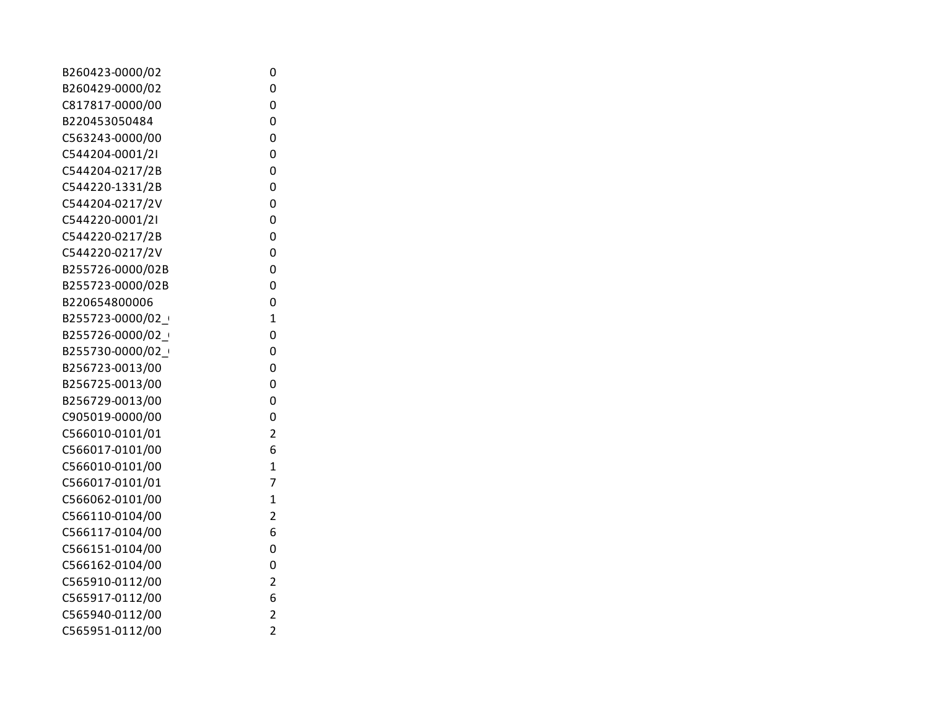| B260423-0000/02  | 0                       |
|------------------|-------------------------|
| B260429-0000/02  | 0                       |
| C817817-0000/00  | 0                       |
| B220453050484    | 0                       |
| C563243-0000/00  | 0                       |
| C544204-0001/2I  | 0                       |
| C544204-0217/2B  | 0                       |
| C544220-1331/2B  | 0                       |
| C544204-0217/2V  | 0                       |
| C544220-0001/2I  | 0                       |
| C544220-0217/2B  | 0                       |
| C544220-0217/2V  | 0                       |
| B255726-0000/02B | 0                       |
| B255723-0000/02B | 0                       |
| B220654800006    | 0                       |
| B255723-0000/02  | $\overline{1}$          |
| B255726-0000/02  | 0                       |
| B255730-0000/02  | 0                       |
| B256723-0013/00  | 0                       |
| B256725-0013/00  | 0                       |
| B256729-0013/00  | 0                       |
| C905019-0000/00  | 0                       |
| C566010-0101/01  | $\overline{2}$          |
| C566017-0101/00  | 6                       |
| C566010-0101/00  | $\mathbf{1}$            |
| C566017-0101/01  | 7                       |
| C566062-0101/00  | 1                       |
| C566110-0104/00  | $\overline{\mathbf{c}}$ |
| C566117-0104/00  | 6                       |
| C566151-0104/00  | 0                       |
| C566162-0104/00  | 0                       |
| C565910-0112/00  | $\overline{2}$          |
| C565917-0112/00  | 6                       |
| C565940-0112/00  | $\overline{2}$          |
| C565951-0112/00  | $\overline{2}$          |
|                  |                         |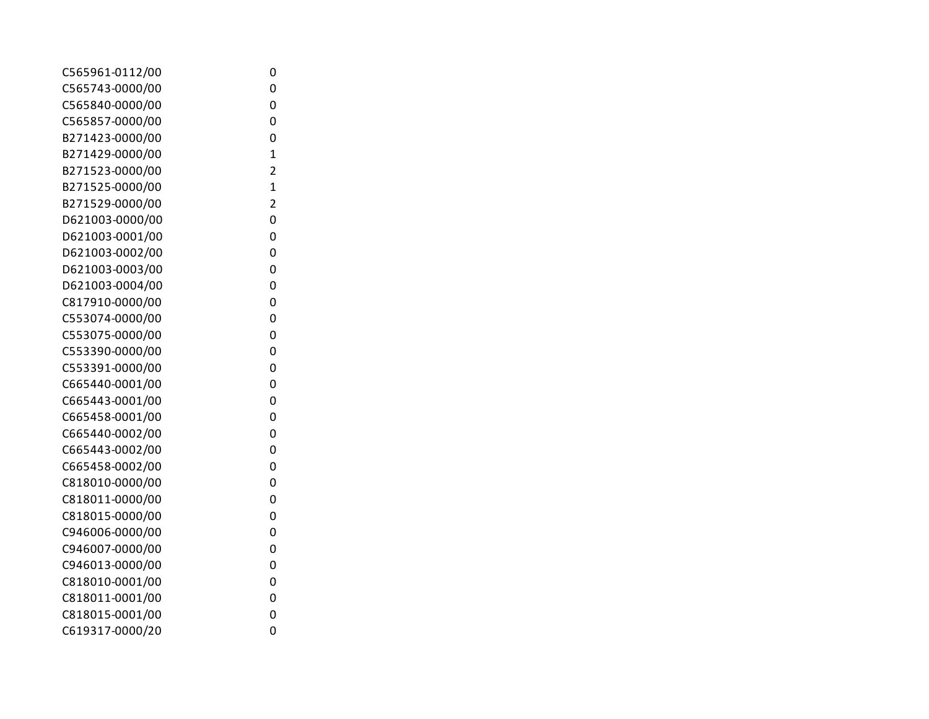| C565961-0112/00 | 0              |
|-----------------|----------------|
| C565743-0000/00 | 0              |
| C565840-0000/00 | 0              |
| C565857-0000/00 | 0              |
| B271423-0000/00 | 0              |
| B271429-0000/00 | $\overline{1}$ |
| B271523-0000/00 | $\overline{2}$ |
| B271525-0000/00 | $\overline{1}$ |
| B271529-0000/00 | $\overline{2}$ |
| D621003-0000/00 | 0              |
| D621003-0001/00 | 0              |
| D621003-0002/00 | 0              |
| D621003-0003/00 | 0              |
| D621003-0004/00 | 0              |
| C817910-0000/00 | 0              |
| C553074-0000/00 | 0              |
| C553075-0000/00 | 0              |
| C553390-0000/00 | 0              |
| C553391-0000/00 | 0              |
| C665440-0001/00 | 0              |
| C665443-0001/00 | 0              |
| C665458-0001/00 | 0              |
| C665440-0002/00 | 0              |
| C665443-0002/00 | 0              |
| C665458-0002/00 | 0              |
| C818010-0000/00 | 0              |
| C818011-0000/00 | 0              |
| C818015-0000/00 | 0              |
| C946006-0000/00 | 0              |
| C946007-0000/00 | 0              |
| C946013-0000/00 | 0              |
| C818010-0001/00 | 0              |
| C818011-0001/00 | 0              |
| C818015-0001/00 | 0              |
| C619317-0000/20 | 0              |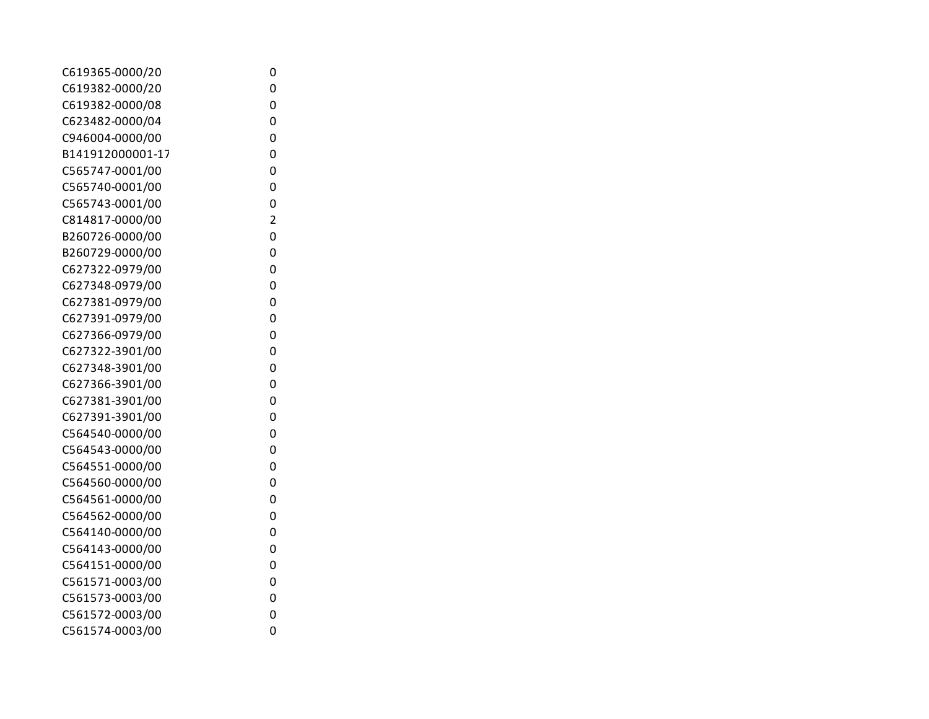| 0              |
|----------------|
| 0              |
| 0              |
| 0              |
| 0              |
| 0              |
| 0              |
| 0              |
| 0              |
| $\overline{2}$ |
| 0              |
| 0              |
| 0              |
| 0              |
| 0              |
| 0              |
| 0              |
| 0              |
| 0              |
| 0              |
| 0              |
| 0              |
| 0              |
| 0              |
| 0              |
| 0              |
| 0              |
| 0              |
| 0              |
| 0              |
| 0              |
| 0              |
| 0              |
| 0              |
| 0              |
|                |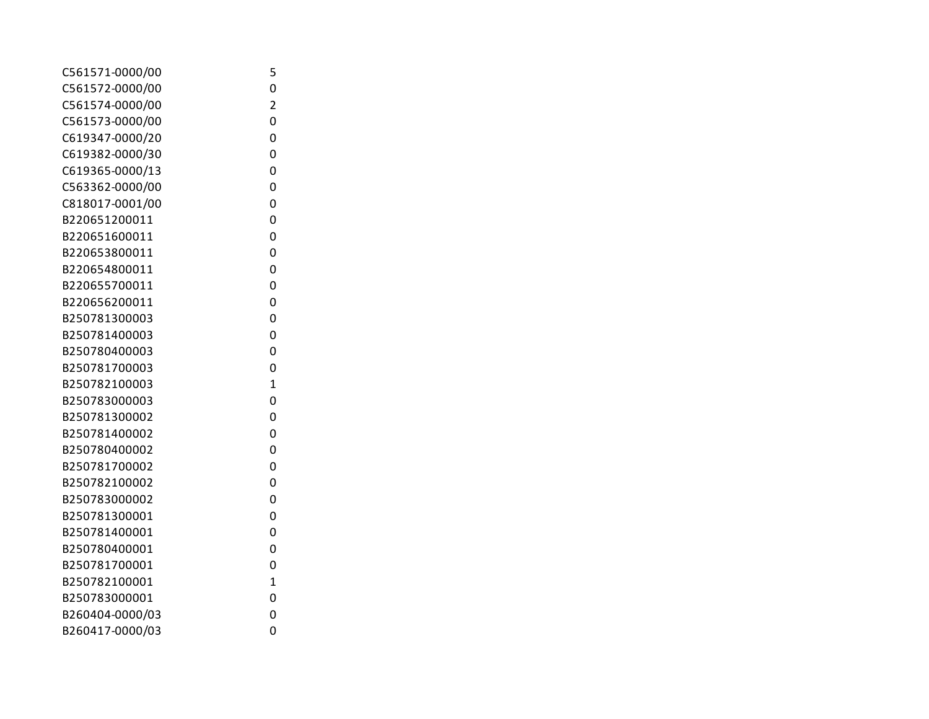| 5              |  |
|----------------|--|
| 0              |  |
| $\overline{2}$ |  |
| 0              |  |
| 0              |  |
| 0              |  |
| 0              |  |
| 0              |  |
| 0              |  |
| 0              |  |
| 0              |  |
| 0              |  |
| 0              |  |
| 0              |  |
| $\overline{0}$ |  |
| 0              |  |
| 0              |  |
| 0              |  |
| 0              |  |
| $\mathbf{1}$   |  |
| 0              |  |
| $\overline{0}$ |  |
| 0              |  |
| 0              |  |
| 0              |  |
| 0              |  |
| 0              |  |
| 0              |  |
| 0              |  |
| 0              |  |
| 0              |  |
| $\mathbf{1}$   |  |
| 0              |  |
| 0              |  |
| 0              |  |
|                |  |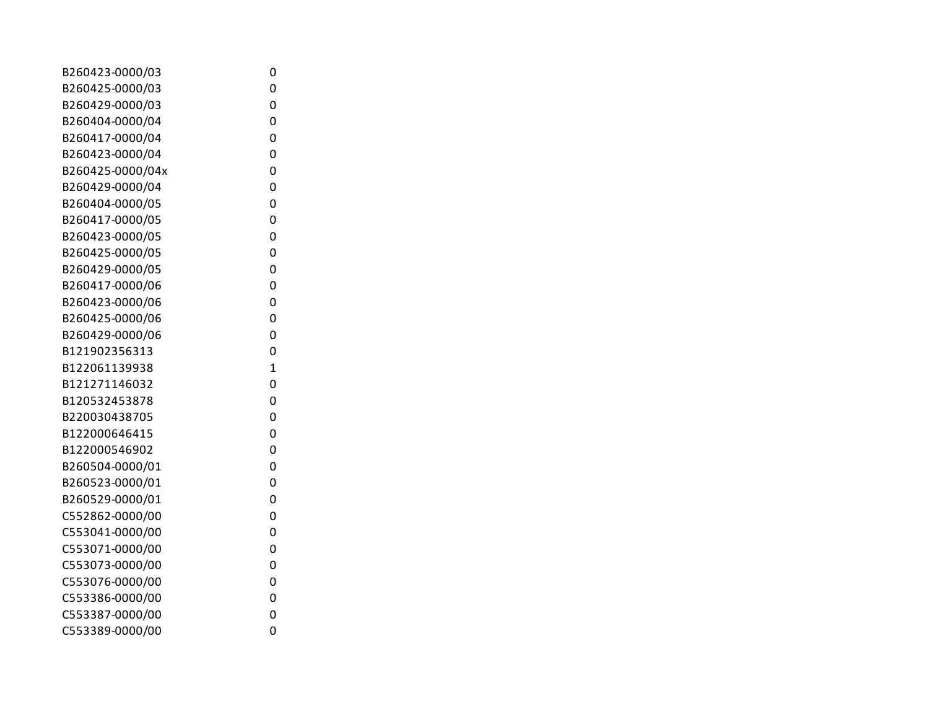| B260423-0000/03  | 0              |
|------------------|----------------|
| B260425-0000/03  | 0              |
| B260429-0000/03  | 0              |
| B260404-0000/04  | 0              |
| B260417-0000/04  | 0              |
| B260423-0000/04  | 0              |
| B260425-0000/04x | 0              |
| B260429-0000/04  | 0              |
| B260404-0000/05  | 0              |
| B260417-0000/05  | 0              |
| B260423-0000/05  | 0              |
| B260425-0000/05  | 0              |
| B260429-0000/05  | 0              |
| B260417-0000/06  | 0              |
| B260423-0000/06  | 0              |
| B260425-0000/06  | 0              |
| B260429-0000/06  | 0              |
| B121902356313    | 0              |
| B122061139938    | $\overline{1}$ |
| B121271146032    | 0              |
| B120532453878    | 0              |
| B220030438705    | 0              |
| B122000646415    | 0              |
| B122000546902    | 0              |
| B260504-0000/01  | 0              |
| B260523-0000/01  | 0              |
| B260529-0000/01  | 0              |
| C552862-0000/00  | 0              |
| C553041-0000/00  | 0              |
| C553071-0000/00  | 0              |
| C553073-0000/00  | 0              |
| C553076-0000/00  | 0              |
| C553386-0000/00  | 0              |
| C553387-0000/00  | 0              |
| C553389-0000/00  | 0              |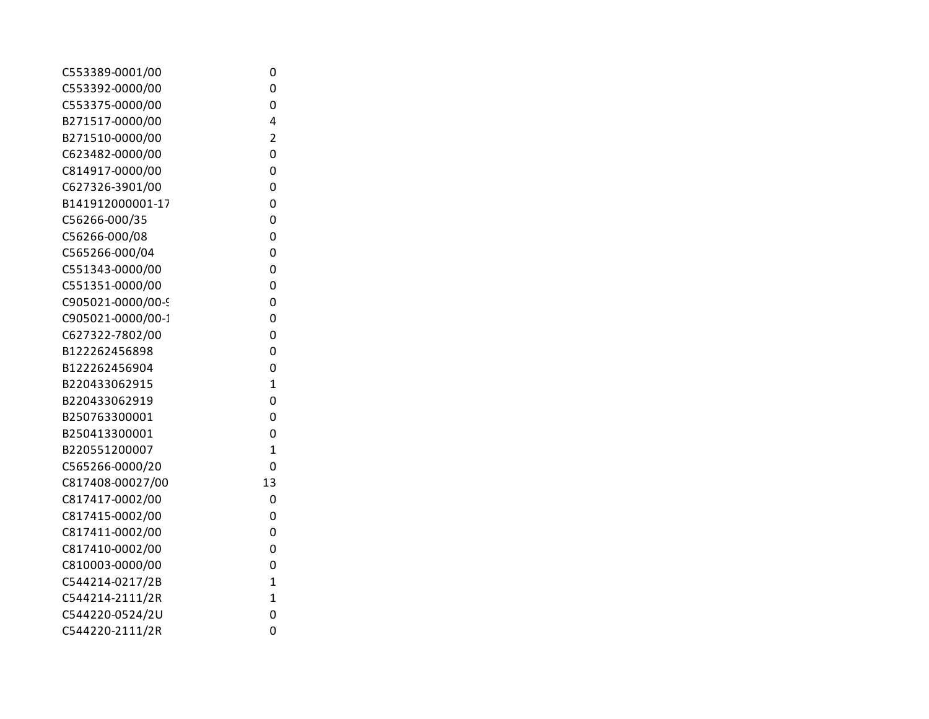| C553389-0001/00   | 0              |
|-------------------|----------------|
| C553392-0000/00   | 0              |
| C553375-0000/00   | 0              |
| B271517-0000/00   | 4              |
| B271510-0000/00   | $\overline{2}$ |
| C623482-0000/00   | 0              |
| C814917-0000/00   | 0              |
| C627326-3901/00   | 0              |
| B141912000001-17  | 0              |
| C56266-000/35     | 0              |
| C56266-000/08     | 0              |
| C565266-000/04    | 0              |
| C551343-0000/00   | 0              |
| C551351-0000/00   | 0              |
| C905021-0000/00-9 | 0              |
| C905021-0000/00-1 | 0              |
| C627322-7802/00   | 0              |
| B122262456898     | 0              |
| B122262456904     | 0              |
| B220433062915     | $\overline{1}$ |
| B220433062919     | 0              |
| B250763300001     | 0              |
| B250413300001     | 0              |
| B220551200007     | $\overline{1}$ |
| C565266-0000/20   | 0              |
| C817408-00027/00  | 13             |
| C817417-0002/00   | 0              |
| C817415-0002/00   | 0              |
| C817411-0002/00   | 0              |
| C817410-0002/00   | 0              |
| C810003-0000/00   | 0              |
| C544214-0217/2B   | $\overline{1}$ |
| C544214-2111/2R   | $\overline{1}$ |
| C544220-0524/2U   | 0              |
| C544220-2111/2R   | 0              |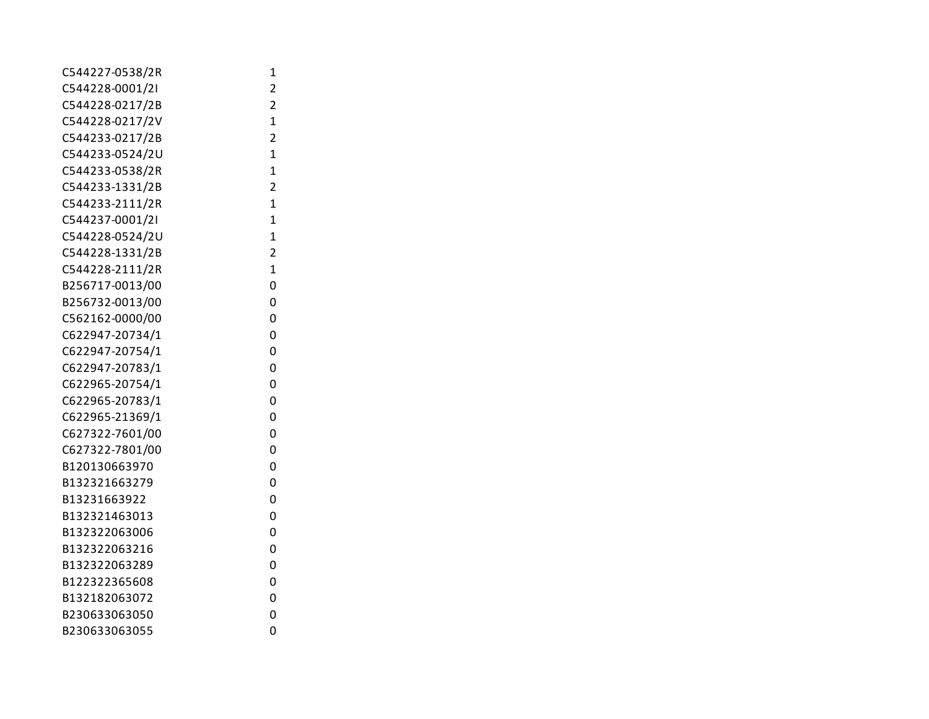| C544227-0538/2R | 1              |
|-----------------|----------------|
| C544228-0001/2I | 2              |
| C544228-0217/2B | $\overline{2}$ |
| C544228-0217/2V | 1              |
| C544233-0217/2B | $\overline{2}$ |
| C544233-0524/2U | $\mathbf{1}$   |
| C544233-0538/2R | $\mathbf{1}$   |
| C544233-1331/2B | $\overline{2}$ |
| C544233-2111/2R | $\overline{1}$ |
| C544237-0001/2I | $\overline{1}$ |
| C544228-0524/2U | $\overline{1}$ |
| C544228-1331/2B | $\overline{2}$ |
| C544228-2111/2R | $\overline{1}$ |
| B256717-0013/00 | 0              |
| B256732-0013/00 | 0              |
| C562162-0000/00 | 0              |
| C622947-20734/1 | 0              |
| C622947-20754/1 | 0              |
| C622947-20783/1 | 0              |
| C622965-20754/1 | 0              |
| C622965-20783/1 | 0              |
| C622965-21369/1 | 0              |
| C627322-7601/00 | 0              |
| C627322-7801/00 | 0              |
| B120130663970   | 0              |
| B132321663279   | 0              |
| B13231663922    | 0              |
| B132321463013   | 0              |
| B132322063006   | 0              |
| B132322063216   | 0              |
| B132322063289   | 0              |
| B122322365608   | 0              |
| B132182063072   | 0              |
| B230633063050   | 0              |
| B230633063055   | 0              |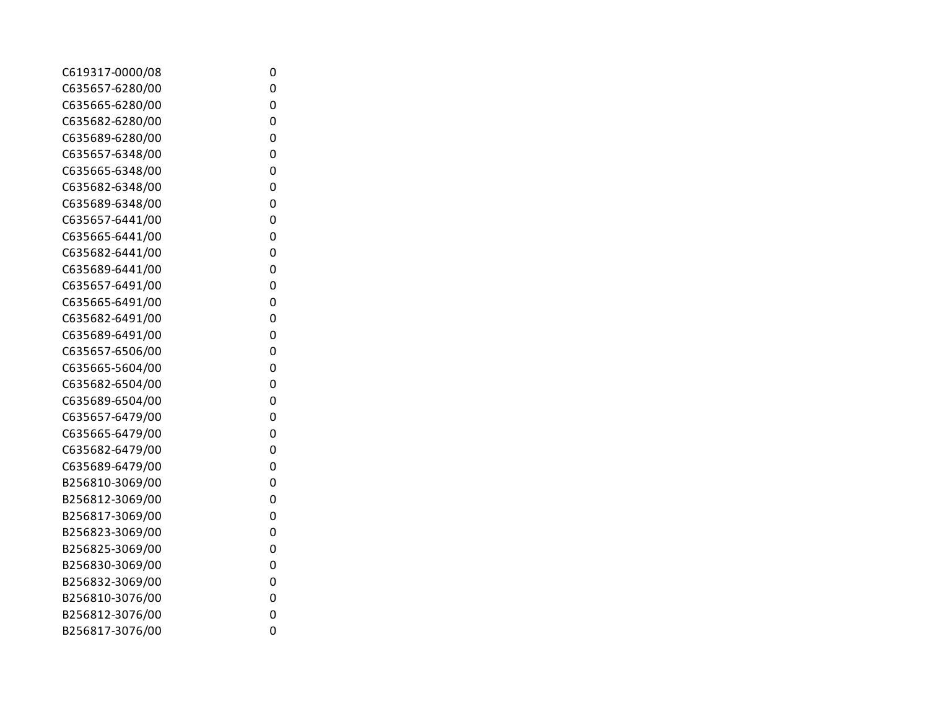| C619317-0000/08 | 0 |
|-----------------|---|
| C635657-6280/00 | 0 |
| C635665-6280/00 | 0 |
| C635682-6280/00 | 0 |
| C635689-6280/00 | 0 |
| C635657-6348/00 | 0 |
| C635665-6348/00 | 0 |
| C635682-6348/00 | 0 |
| C635689-6348/00 | 0 |
| C635657-6441/00 | 0 |
| C635665-6441/00 | 0 |
| C635682-6441/00 | 0 |
| C635689-6441/00 | 0 |
| C635657-6491/00 | 0 |
| C635665-6491/00 | 0 |
| C635682-6491/00 | 0 |
| C635689-6491/00 | 0 |
| C635657-6506/00 | 0 |
| C635665-5604/00 | 0 |
| C635682-6504/00 | 0 |
| C635689-6504/00 | 0 |
| C635657-6479/00 | 0 |
| C635665-6479/00 | 0 |
| C635682-6479/00 | 0 |
| C635689-6479/00 | 0 |
| B256810-3069/00 | 0 |
| B256812-3069/00 | 0 |
| B256817-3069/00 | 0 |
| B256823-3069/00 | 0 |
| B256825-3069/00 | 0 |
| B256830-3069/00 | 0 |
| B256832-3069/00 | 0 |
| B256810-3076/00 | 0 |
| B256812-3076/00 | 0 |
| B256817-3076/00 | 0 |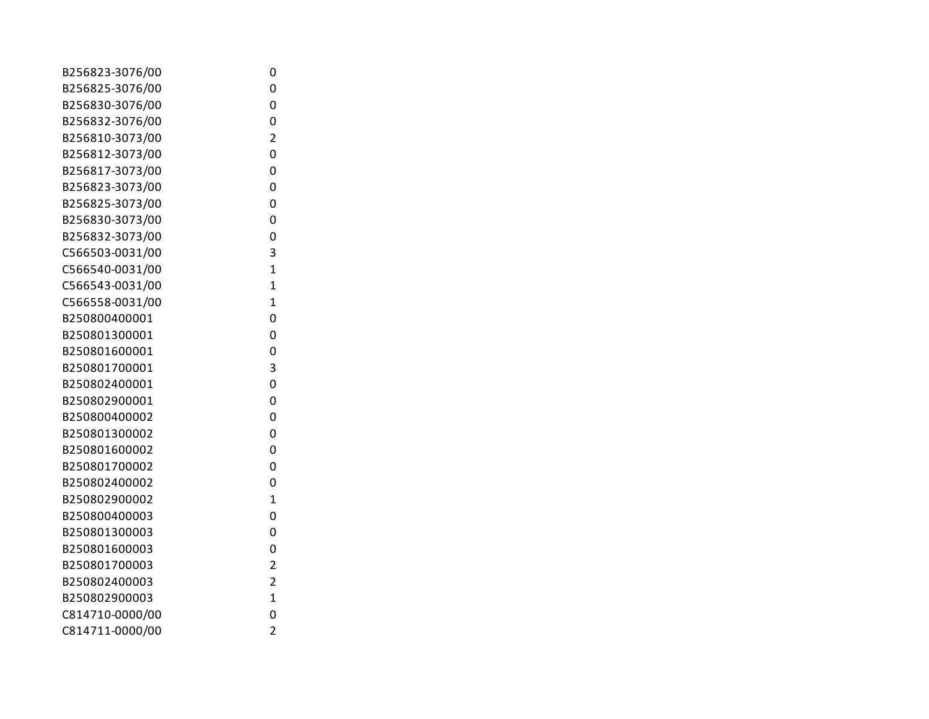| B256823-3076/00 | 0              |
|-----------------|----------------|
| B256825-3076/00 | 0              |
| B256830-3076/00 | 0              |
| B256832-3076/00 | 0              |
| B256810-3073/00 | $\overline{2}$ |
| B256812-3073/00 | 0              |
| B256817-3073/00 | 0              |
| B256823-3073/00 | 0              |
| B256825-3073/00 | 0              |
| B256830-3073/00 | 0              |
| B256832-3073/00 | 0              |
| C566503-0031/00 | 3              |
| C566540-0031/00 | $\overline{1}$ |
| C566543-0031/00 | $\overline{1}$ |
| C566558-0031/00 | $\overline{1}$ |
| B250800400001   | 0              |
| B250801300001   | 0              |
| B250801600001   | 0              |
| B250801700001   | 3              |
| B250802400001   | 0              |
| B250802900001   | 0              |
| B250800400002   | 0              |
| B250801300002   | 0              |
| B250801600002   | 0              |
| B250801700002   | 0              |
| B250802400002   | 0              |
| B250802900002   | $\overline{1}$ |
| B250800400003   | 0              |
| B250801300003   | 0              |
| B250801600003   | 0              |
| B250801700003   | $\overline{2}$ |
| B250802400003   | $\overline{2}$ |
| B250802900003   | 1              |
| C814710-0000/00 | 0              |
| C814711-0000/00 | $\overline{2}$ |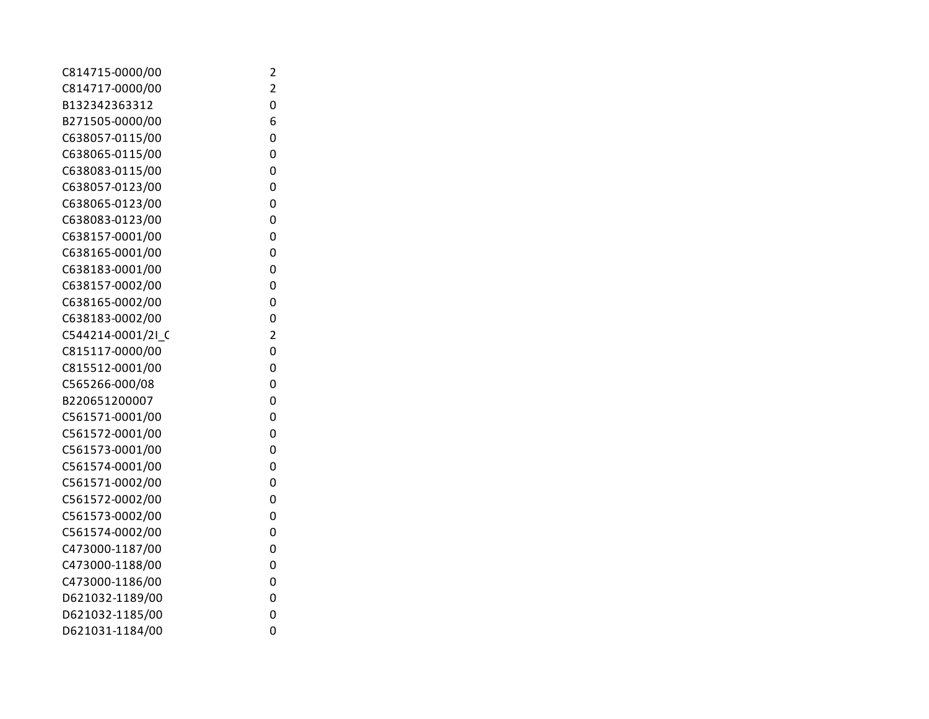| C814715-0000/00   | 2              |
|-------------------|----------------|
| C814717-0000/00   | 2              |
| B132342363312     | 0              |
| B271505-0000/00   | 6              |
| C638057-0115/00   | 0              |
| C638065-0115/00   | 0              |
| C638083-0115/00   | 0              |
| C638057-0123/00   | 0              |
| C638065-0123/00   | 0              |
| C638083-0123/00   | 0              |
| C638157-0001/00   | 0              |
| C638165-0001/00   | 0              |
| C638183-0001/00   | 0              |
| C638157-0002/00   | 0              |
| C638165-0002/00   | 0              |
| C638183-0002/00   | 0              |
| C544214-0001/2I C | $\overline{2}$ |
| C815117-0000/00   | 0              |
| C815512-0001/00   | 0              |
| C565266-000/08    | 0              |
| B220651200007     | 0              |
| C561571-0001/00   | 0              |
| C561572-0001/00   | 0              |
| C561573-0001/00   | 0              |
| C561574-0001/00   | 0              |
| C561571-0002/00   | 0              |
| C561572-0002/00   | 0              |
| C561573-0002/00   | 0              |
| C561574-0002/00   | 0              |
| C473000-1187/00   | 0              |
| C473000-1188/00   | 0              |
| C473000-1186/00   | 0              |
| D621032-1189/00   | 0              |
| D621032-1185/00   | 0              |
| D621031-1184/00   | 0              |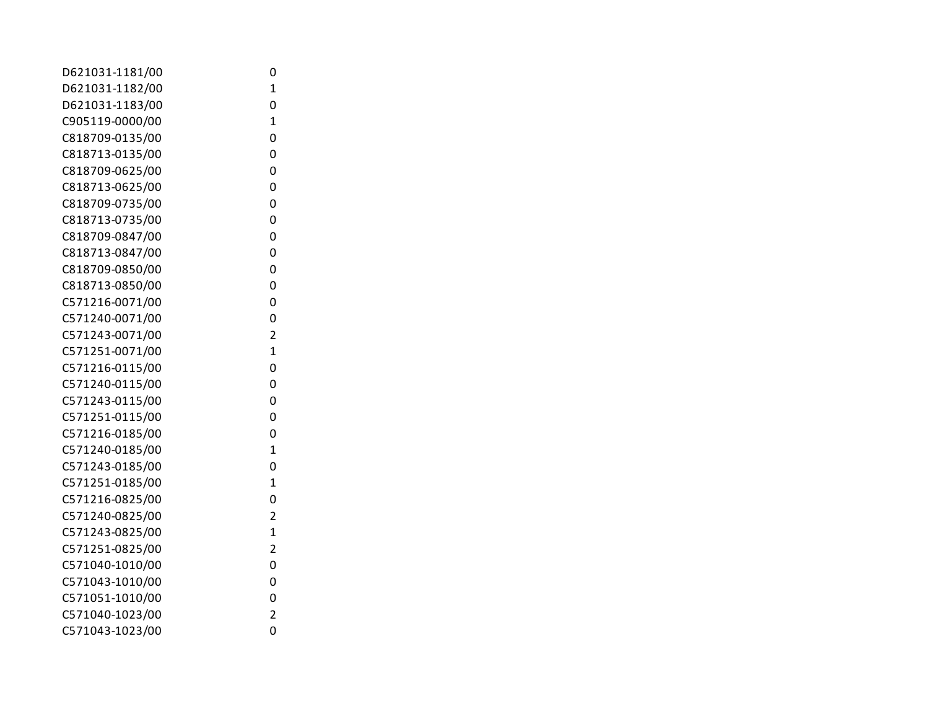| D621031-1181/00 | 0                       |
|-----------------|-------------------------|
| D621031-1182/00 | $\mathbf 1$             |
| D621031-1183/00 | 0                       |
| C905119-0000/00 | $\mathbf 1$             |
| C818709-0135/00 | 0                       |
| C818713-0135/00 | 0                       |
| C818709-0625/00 | 0                       |
| C818713-0625/00 | 0                       |
| C818709-0735/00 | 0                       |
| C818713-0735/00 | 0                       |
| C818709-0847/00 | 0                       |
| C818713-0847/00 | 0                       |
| C818709-0850/00 | 0                       |
| C818713-0850/00 | 0                       |
| C571216-0071/00 | 0                       |
| C571240-0071/00 | 0                       |
| C571243-0071/00 | $\overline{\mathbf{c}}$ |
| C571251-0071/00 | $\overline{1}$          |
| C571216-0115/00 | 0                       |
| C571240-0115/00 | 0                       |
| C571243-0115/00 | 0                       |
| C571251-0115/00 | 0                       |
| C571216-0185/00 | 0                       |
| C571240-0185/00 | $\overline{1}$          |
| C571243-0185/00 | 0                       |
| C571251-0185/00 | 1                       |
| C571216-0825/00 | 0                       |
| C571240-0825/00 | 2                       |
| C571243-0825/00 | $\mathbf 1$             |
| C571251-0825/00 | 2                       |
| C571040-1010/00 | 0                       |
| C571043-1010/00 | 0                       |
| C571051-1010/00 | 0                       |
| C571040-1023/00 | $\overline{c}$          |
| C571043-1023/00 | 0                       |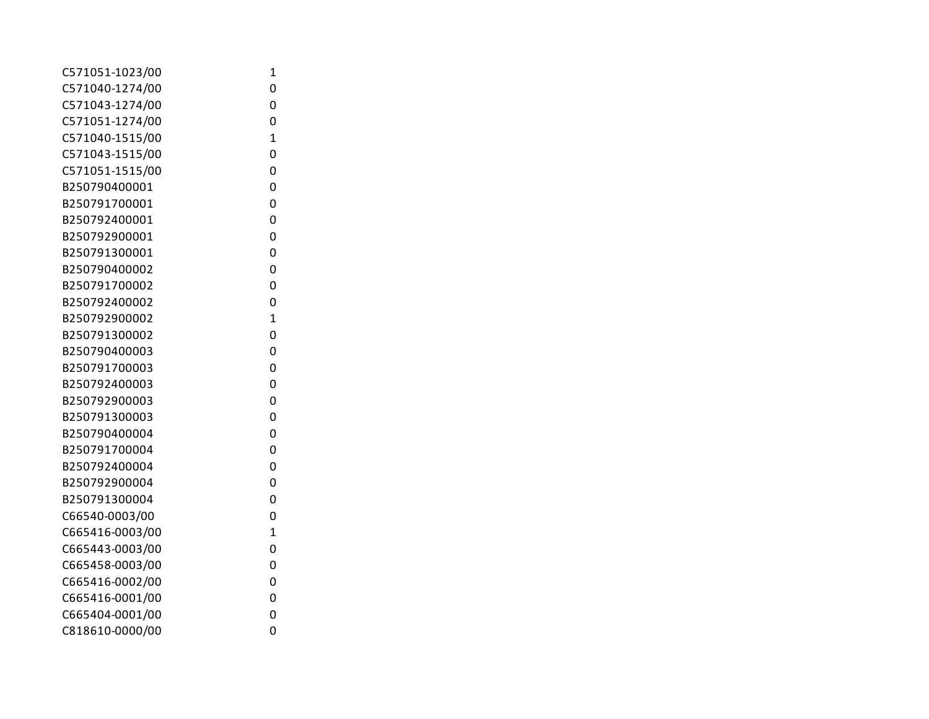| C571051-1023/00 | 1              |
|-----------------|----------------|
| C571040-1274/00 | 0              |
| C571043-1274/00 | 0              |
| C571051-1274/00 | 0              |
| C571040-1515/00 | $\mathbf{1}$   |
| C571043-1515/00 | 0              |
| C571051-1515/00 | 0              |
| B250790400001   | 0              |
| B250791700001   | 0              |
| B250792400001   | 0              |
| B250792900001   | 0              |
| B250791300001   | 0              |
| B250790400002   | 0              |
| B250791700002   | 0              |
| B250792400002   | 0              |
| B250792900002   | $\overline{1}$ |
| B250791300002   | 0              |
| B250790400003   | 0              |
| B250791700003   | 0              |
| B250792400003   | 0              |
| B250792900003   | 0              |
| B250791300003   | 0              |
| B250790400004   | 0              |
| B250791700004   | 0              |
| B250792400004   | 0              |
| B250792900004   | 0              |
| B250791300004   | 0              |
| C66540-0003/00  | 0              |
| C665416-0003/00 | $\overline{1}$ |
| C665443-0003/00 | 0              |
| C665458-0003/00 | 0              |
| C665416-0002/00 | 0              |
| C665416-0001/00 | 0              |
| C665404-0001/00 | 0              |
| C818610-0000/00 | 0              |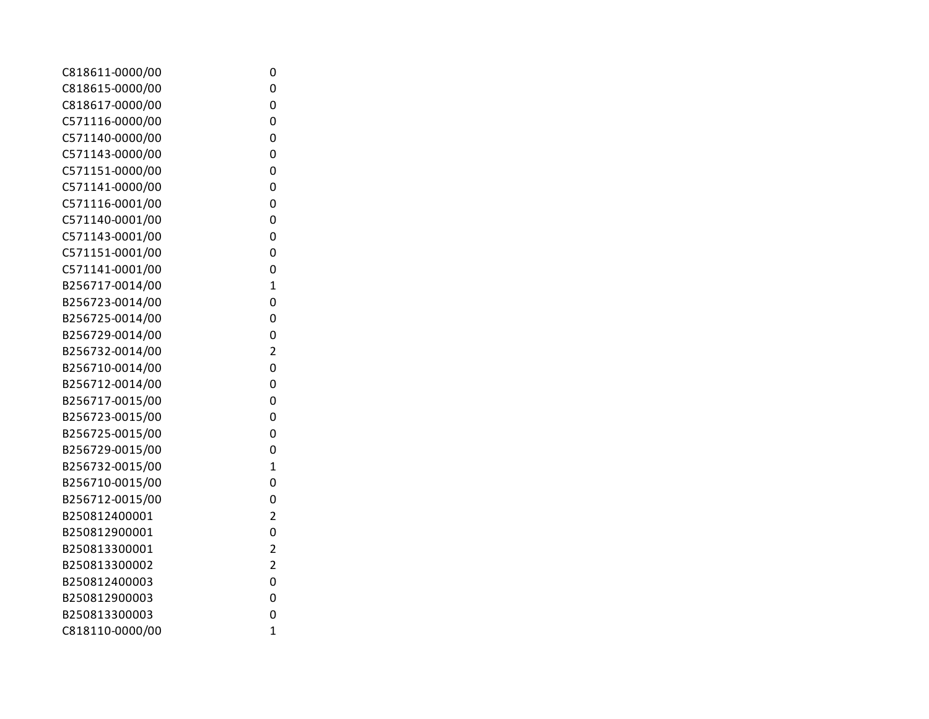| C818611-0000/00 | 0              |
|-----------------|----------------|
| C818615-0000/00 | 0              |
| C818617-0000/00 | 0              |
| C571116-0000/00 | 0              |
| C571140-0000/00 | 0              |
| C571143-0000/00 | 0              |
| C571151-0000/00 | 0              |
| C571141-0000/00 | 0              |
| C571116-0001/00 | 0              |
| C571140-0001/00 | 0              |
| C571143-0001/00 | 0              |
| C571151-0001/00 | 0              |
| C571141-0001/00 | 0              |
| B256717-0014/00 | $\overline{1}$ |
| B256723-0014/00 | 0              |
| B256725-0014/00 | 0              |
| B256729-0014/00 | 0              |
| B256732-0014/00 | $\overline{2}$ |
| B256710-0014/00 | 0              |
| B256712-0014/00 | 0              |
| B256717-0015/00 | 0              |
| B256723-0015/00 | 0              |
| B256725-0015/00 | 0              |
| B256729-0015/00 | 0              |
| B256732-0015/00 | $\overline{1}$ |
| B256710-0015/00 | 0              |
| B256712-0015/00 | 0              |
| B250812400001   | $\overline{2}$ |
| B250812900001   | 0              |
| B250813300001   | $\overline{2}$ |
| B250813300002   | $\overline{2}$ |
| B250812400003   | 0              |
| B250812900003   | 0              |
| B250813300003   | 0              |
| C818110-0000/00 | $\overline{1}$ |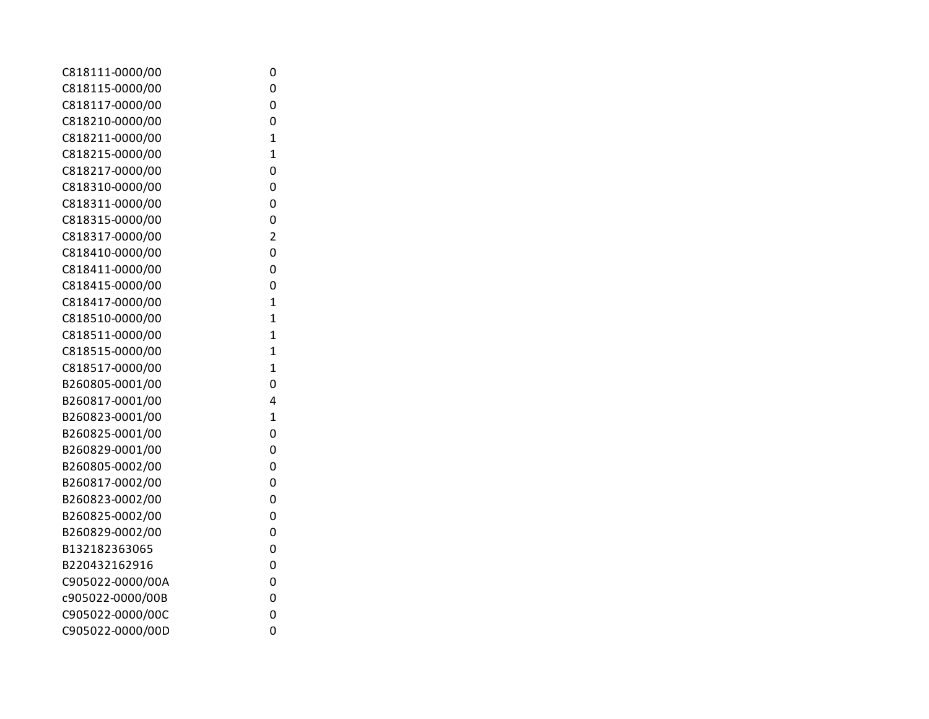| C818111-0000/00  | 0              |
|------------------|----------------|
| C818115-0000/00  | 0              |
| C818117-0000/00  | 0              |
| C818210-0000/00  | 0              |
| C818211-0000/00  | $\mathbf{1}$   |
| C818215-0000/00  | $\mathbf{1}$   |
| C818217-0000/00  | 0              |
| C818310-0000/00  | 0              |
| C818311-0000/00  | 0              |
| C818315-0000/00  | 0              |
| C818317-0000/00  | $\overline{2}$ |
| C818410-0000/00  | 0              |
| C818411-0000/00  | 0              |
| C818415-0000/00  | 0              |
| C818417-0000/00  | $\overline{1}$ |
| C818510-0000/00  | $\overline{1}$ |
| C818511-0000/00  | $\mathbf 1$    |
| C818515-0000/00  | $\mathbf{1}$   |
| C818517-0000/00  | $\overline{1}$ |
| B260805-0001/00  | 0              |
| B260817-0001/00  | 4              |
| B260823-0001/00  | $\overline{1}$ |
| B260825-0001/00  | 0              |
| B260829-0001/00  | 0              |
| B260805-0002/00  | 0              |
| B260817-0002/00  | 0              |
| B260823-0002/00  | 0              |
| B260825-0002/00  | 0              |
| B260829-0002/00  | 0              |
| B132182363065    | 0              |
| B220432162916    | 0              |
| C905022-0000/00A | 0              |
| c905022-0000/00B | 0              |
| C905022-0000/00C | 0              |
| C905022-0000/00D | 0              |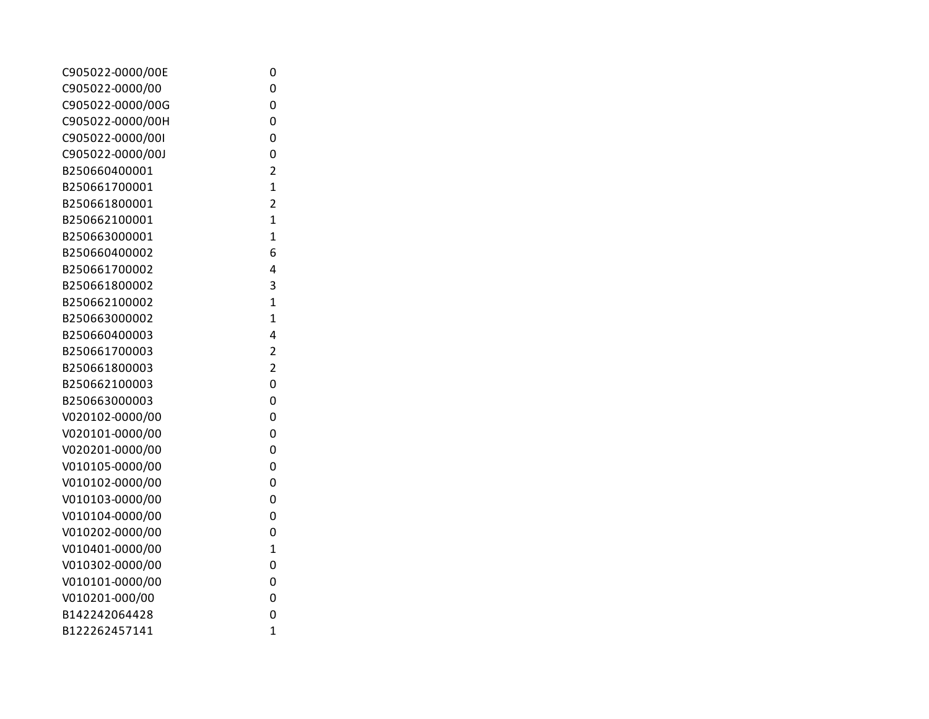| C905022-0000/00E | 0              |
|------------------|----------------|
| C905022-0000/00  | 0              |
| C905022-0000/00G | 0              |
| C905022-0000/00H | 0              |
| C905022-0000/00I | 0              |
| C905022-0000/00J | 0              |
| B250660400001    | $\overline{2}$ |
| B250661700001    | $\overline{1}$ |
| B250661800001    | $\overline{2}$ |
| B250662100001    | $\overline{1}$ |
| B250663000001    | $\overline{1}$ |
| B250660400002    | 6              |
| B250661700002    | 4              |
| B250661800002    | 3              |
| B250662100002    | 1              |
| B250663000002    | $\overline{1}$ |
| B250660400003    | 4              |
| B250661700003    | $\overline{2}$ |
| B250661800003    | $\overline{2}$ |
| B250662100003    | 0              |
| B250663000003    | 0              |
| V020102-0000/00  | 0              |
| V020101-0000/00  | 0              |
| V020201-0000/00  | 0              |
| V010105-0000/00  | 0              |
| V010102-0000/00  | 0              |
| V010103-0000/00  | 0              |
| V010104-0000/00  | 0              |
| V010202-0000/00  | 0              |
| V010401-0000/00  | 1              |
| V010302-0000/00  | 0              |
| V010101-0000/00  | 0              |
| V010201-000/00   | 0              |
| B142242064428    | 0              |
| B122262457141    | $\overline{1}$ |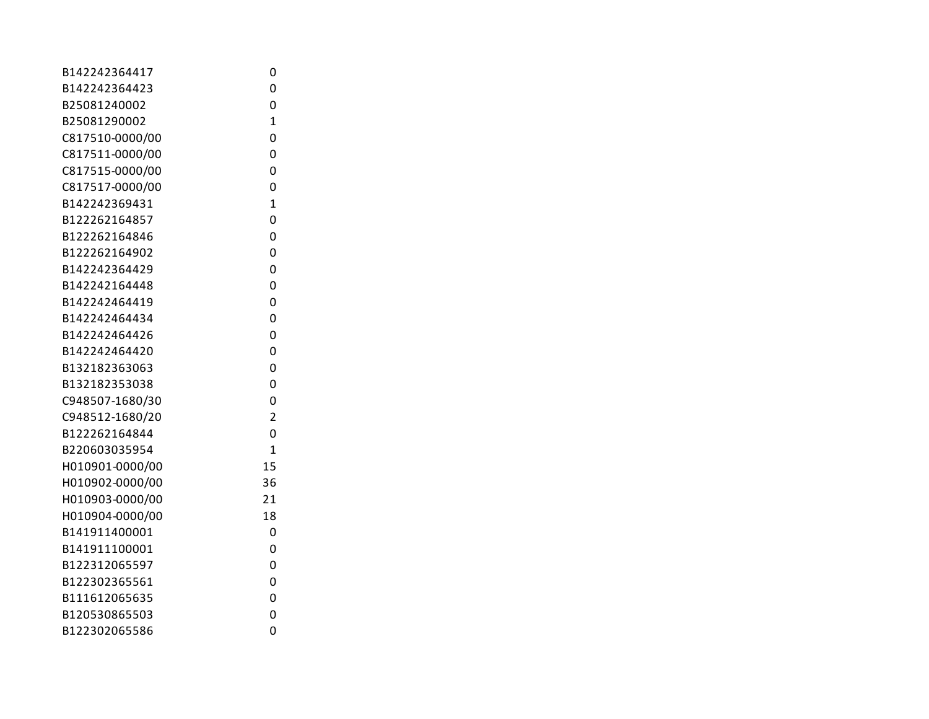| B142242364417   | 0              |
|-----------------|----------------|
| B142242364423   | 0              |
| B25081240002    | 0              |
| B25081290002    | $\mathbf{1}$   |
| C817510-0000/00 | 0              |
| C817511-0000/00 | 0              |
| C817515-0000/00 | 0              |
| C817517-0000/00 | 0              |
| B142242369431   | $\mathbf{1}$   |
| B122262164857   | 0              |
| B122262164846   | 0              |
| B122262164902   | 0              |
| B142242364429   | 0              |
| B142242164448   | 0              |
| B142242464419   | 0              |
| B142242464434   | 0              |
| B142242464426   | 0              |
| B142242464420   | 0              |
| B132182363063   | 0              |
| B132182353038   | 0              |
| C948507-1680/30 | 0              |
| C948512-1680/20 | $\overline{2}$ |
| B122262164844   | 0              |
| B220603035954   | 1              |
| H010901-0000/00 | 15             |
| H010902-0000/00 | 36             |
| H010903-0000/00 | 21             |
| H010904-0000/00 | 18             |
| B141911400001   | 0              |
| B141911100001   | 0              |
| B122312065597   | 0              |
| B122302365561   | 0              |
| B111612065635   | 0              |
| B120530865503   | 0              |
| B122302065586   | 0              |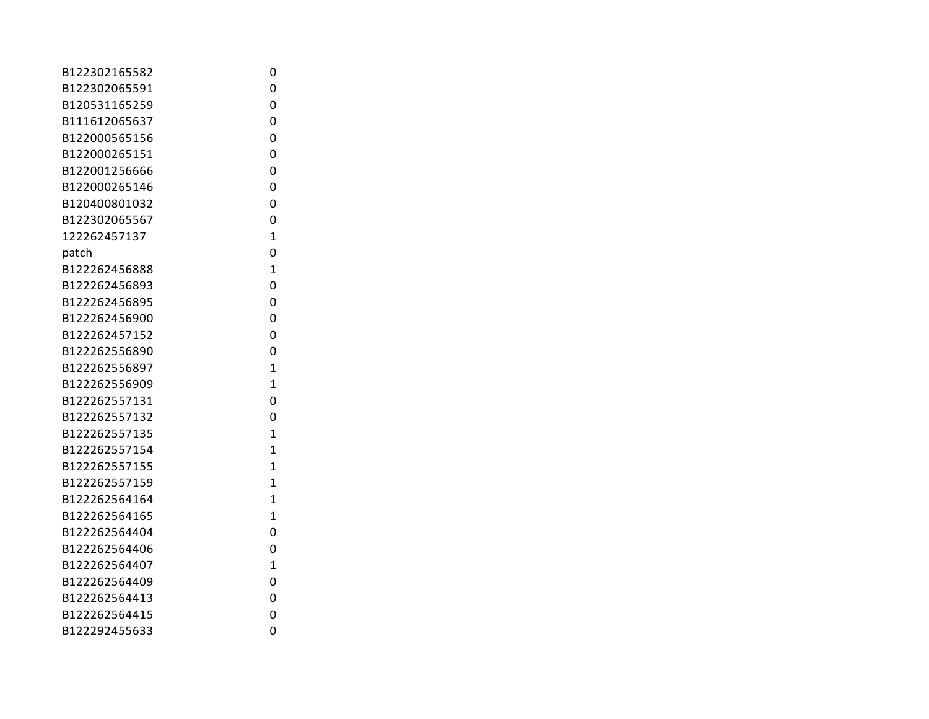| B122302165582 | 0              |
|---------------|----------------|
| B122302065591 | 0              |
| B120531165259 | 0              |
| B111612065637 | 0              |
| B122000565156 | 0              |
| B122000265151 | 0              |
| B122001256666 | 0              |
| B122000265146 | 0              |
| B120400801032 | 0              |
| B122302065567 | 0              |
| 122262457137  | $\overline{1}$ |
| patch         | 0              |
| B122262456888 | $\overline{1}$ |
| B122262456893 | 0              |
| B122262456895 | 0              |
| B122262456900 | 0              |
| B122262457152 | 0              |
| B122262556890 | 0              |
| B122262556897 | $\overline{1}$ |
| B122262556909 | $\overline{1}$ |
| B122262557131 | 0              |
| B122262557132 | 0              |
| B122262557135 | $\overline{1}$ |
| B122262557154 | 1              |
| B122262557155 | $\overline{1}$ |
| B122262557159 | 1              |
| B122262564164 | $\overline{1}$ |
| B122262564165 | $\overline{1}$ |
| B122262564404 | 0              |
| B122262564406 | 0              |
| B122262564407 | $\overline{1}$ |
| B122262564409 | 0              |
| B122262564413 | 0              |
| B122262564415 | 0              |
| B122292455633 | 0              |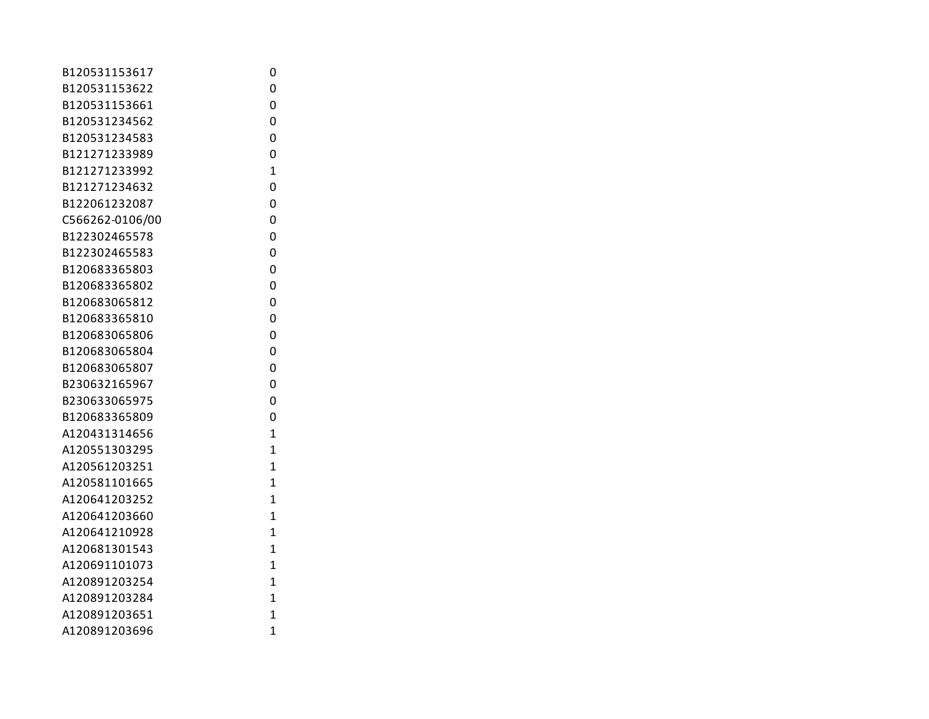| B120531153617   | 0              |
|-----------------|----------------|
| B120531153622   | 0              |
| B120531153661   | 0              |
| B120531234562   | 0              |
| B120531234583   | 0              |
| B121271233989   | 0              |
| B121271233992   | $\mathbf{1}$   |
| B121271234632   | 0              |
| B122061232087   | 0              |
| C566262-0106/00 | 0              |
| B122302465578   | 0              |
| B122302465583   | 0              |
| B120683365803   | 0              |
| B120683365802   | 0              |
| B120683065812   | 0              |
| B120683365810   | 0              |
| B120683065806   | 0              |
| B120683065804   | 0              |
| B120683065807   | 0              |
| B230632165967   | 0              |
| B230633065975   | 0              |
| B120683365809   | 0              |
| A120431314656   | $\overline{1}$ |
| A120551303295   | $\overline{1}$ |
| A120561203251   | $\overline{1}$ |
| A120581101665   | $\mathbf{1}$   |
| A120641203252   | $\mathbf{1}$   |
| A120641203660   | $\overline{1}$ |
| A120641210928   | 1              |
| A120681301543   | 1              |
| A120691101073   | $\overline{1}$ |
| A120891203254   | $\overline{1}$ |
| A120891203284   | $\mathbf{1}$   |
| A120891203651   | $\overline{1}$ |
| A120891203696   | $\overline{1}$ |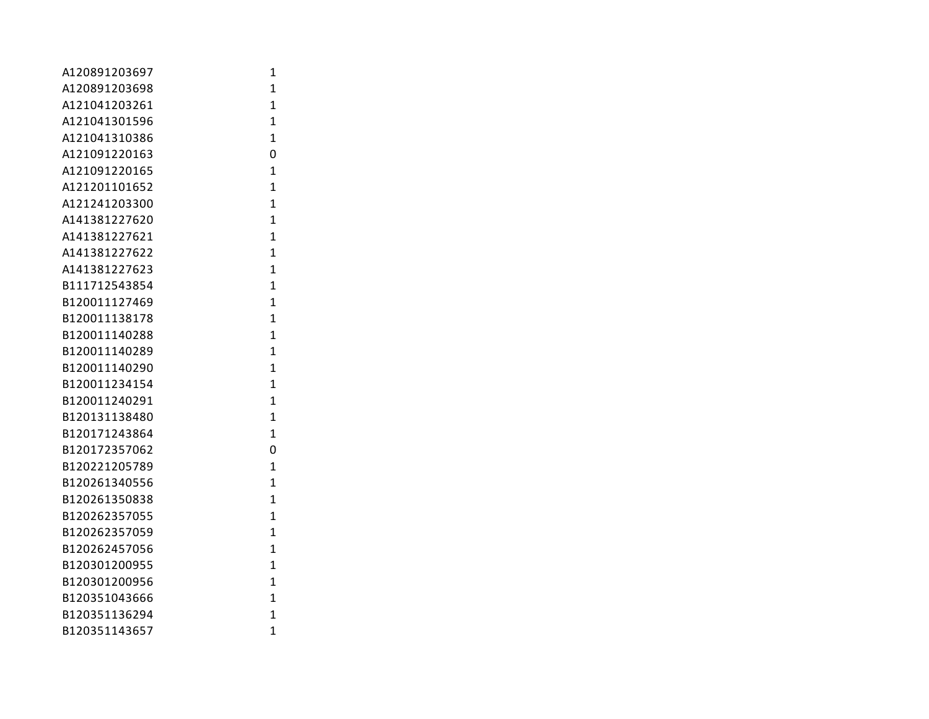| A120891203697 | 1              |
|---------------|----------------|
| A120891203698 | $\mathbf{1}$   |
| A121041203261 | $\mathbf{1}$   |
| A121041301596 | 1              |
| A121041310386 | $\overline{1}$ |
| A121091220163 | 0              |
| A121091220165 | $\mathbf{1}$   |
| A121201101652 | $\overline{1}$ |
| A121241203300 | $\overline{1}$ |
| A141381227620 | $\overline{1}$ |
| A141381227621 | $\overline{1}$ |
| A141381227622 | $\overline{1}$ |
| A141381227623 | 1              |
| B111712543854 | $\mathbf{1}$   |
| B120011127469 | $\mathbf{1}$   |
| B120011138178 | $\mathbf{1}$   |
| B120011140288 | 1              |
| B120011140289 | $\overline{1}$ |
| B120011140290 | $\overline{1}$ |
| B120011234154 | $\mathbf{1}$   |
| B120011240291 | $\mathbf{1}$   |
| B120131138480 | $\overline{1}$ |
| B120171243864 | $\overline{1}$ |
| B120172357062 | 0              |
| B120221205789 | 1              |
| B120261340556 | $\mathbf{1}$   |
| B120261350838 | $\overline{1}$ |
| B120262357055 | $\overline{1}$ |
| B120262357059 | $\mathbf{1}$   |
| B120262457056 | 1              |
| B120301200955 | $\overline{1}$ |
| B120301200956 | $\overline{1}$ |
| B120351043666 | $\overline{1}$ |
| B120351136294 | $\overline{1}$ |
| B120351143657 | $\overline{1}$ |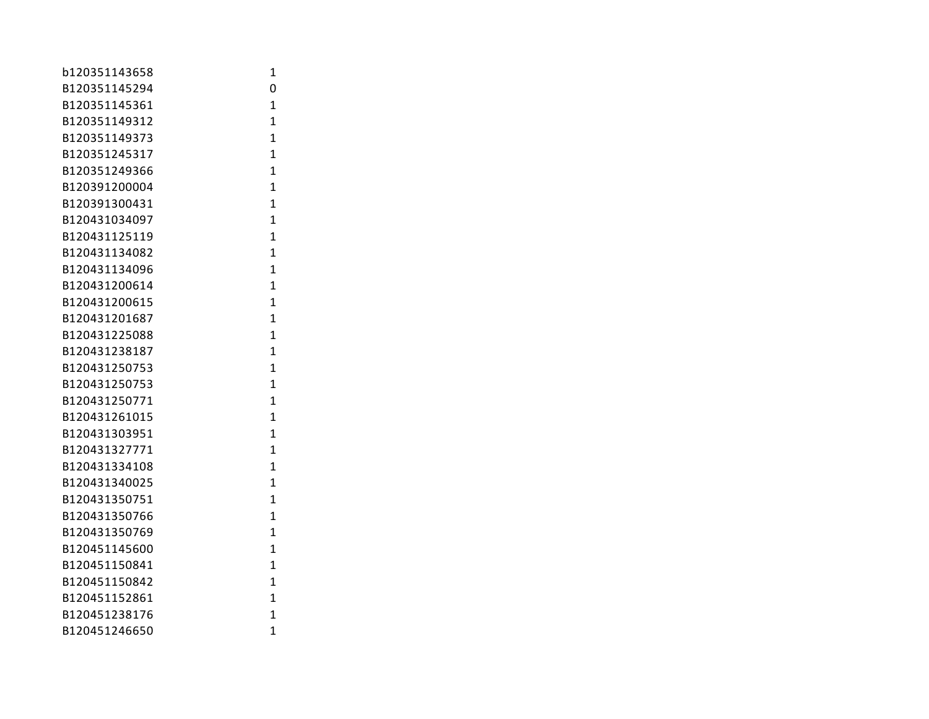| b120351143658 | 1              |
|---------------|----------------|
| B120351145294 | 0              |
| B120351145361 | $\mathbf{1}$   |
| B120351149312 | 1              |
| B120351149373 | 1              |
| B120351245317 | $\overline{1}$ |
| B120351249366 | $\mathbf{1}$   |
| B120391200004 | $\overline{1}$ |
| B120391300431 | $\overline{1}$ |
| B120431034097 | $\mathbf{1}$   |
| B120431125119 | $\overline{1}$ |
| B120431134082 | $\overline{1}$ |
| B120431134096 | $\mathbf{1}$   |
| B120431200614 | $\mathbf{1}$   |
| B120431200615 | $\mathbf{1}$   |
| B120431201687 | $\mathbf{1}$   |
| B120431225088 | 1              |
| B120431238187 | 1              |
| B120431250753 | $\overline{1}$ |
| B120431250753 | $\mathbf{1}$   |
| B120431250771 | $\mathbf{1}$   |
| B120431261015 | $\overline{1}$ |
| B120431303951 | $\overline{1}$ |
| B120431327771 | $\overline{1}$ |
| B120431334108 | $\mathbf{1}$   |
| B120431340025 | $\mathbf{1}$   |
| B120431350751 | $\mathbf{1}$   |
| B120431350766 | $\mathbf{1}$   |
| B120431350769 | $\mathbf{1}$   |
| B120451145600 | 1              |
| B120451150841 | $\overline{1}$ |
| B120451150842 | 1              |
| B120451152861 | $\mathbf{1}$   |
| B120451238176 | $\overline{1}$ |
| B120451246650 | 1              |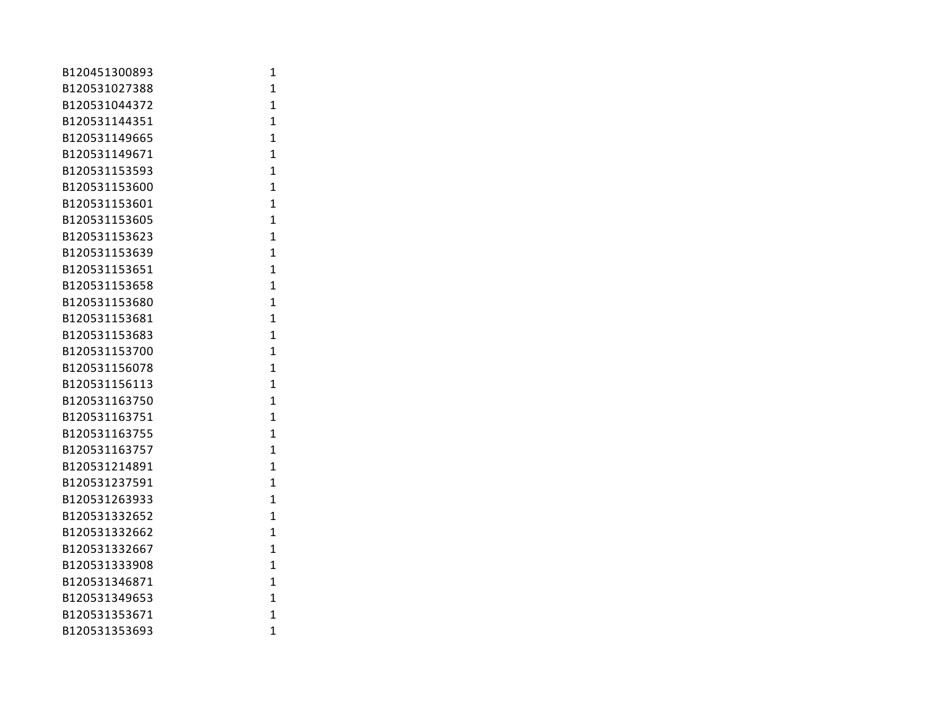| B120451300893 | $\mathbf 1$    |
|---------------|----------------|
| B120531027388 | $\mathbf{1}$   |
| B120531044372 | $\overline{1}$ |
| B120531144351 | 1              |
| B120531149665 | $\mathbf{1}$   |
| B120531149671 | $\overline{1}$ |
| B120531153593 | 1              |
| B120531153600 | $\overline{1}$ |
| B120531153601 | $\mathbf{1}$   |
| B120531153605 | $\mathbf{1}$   |
| B120531153623 | $\mathbf{1}$   |
| B120531153639 | $\mathbf{1}$   |
| B120531153651 | $\overline{1}$ |
| B120531153658 | $\overline{1}$ |
| B120531153680 | $\overline{1}$ |
| B120531153681 | $\overline{1}$ |
| B120531153683 | $\overline{1}$ |
| B120531153700 | $\overline{1}$ |
| B120531156078 | $\mathbf{1}$   |
| B120531156113 | $\mathbf{1}$   |
| B120531163750 | $\mathbf{1}$   |
| B120531163751 | $\mathbf{1}$   |
| B120531163755 | 1              |
| B120531163757 | $\overline{1}$ |
| B120531214891 | $\mathbf{1}$   |
| B120531237591 | $\overline{1}$ |
| B120531263933 | 1              |
| B120531332652 | $\overline{1}$ |
| B120531332662 | $\overline{1}$ |
| B120531332667 | $\mathbf{1}$   |
| B120531333908 | $\overline{1}$ |
| B120531346871 | $\mathbf{1}$   |
| B120531349653 | $\overline{1}$ |
| B120531353671 | $\overline{1}$ |
| B120531353693 | 1              |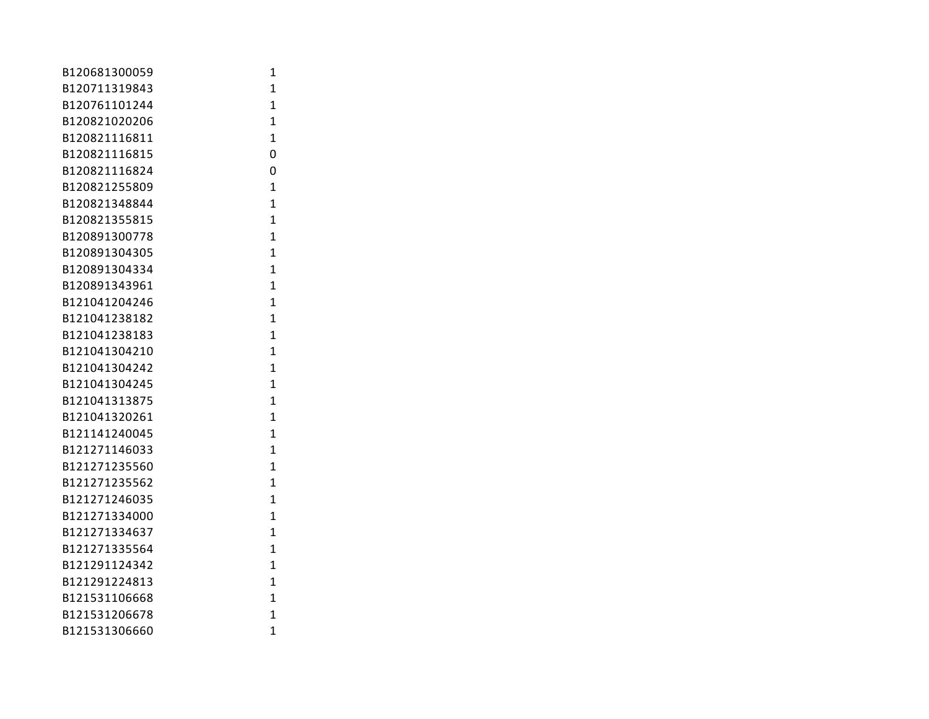| B120681300059 | 1              |
|---------------|----------------|
| B120711319843 | $\mathbf{1}$   |
| B120761101244 | $\mathbf{1}$   |
| B120821020206 | 1              |
| B120821116811 | $\overline{1}$ |
| B120821116815 | 0              |
| B120821116824 | 0              |
| B120821255809 | $\mathbf{1}$   |
| B120821348844 | $\overline{1}$ |
| B120821355815 | $\mathbf{1}$   |
| B120891300778 | $\overline{1}$ |
| B120891304305 | $\overline{1}$ |
| B120891304334 | $\mathbf{1}$   |
| B120891343961 | $\mathbf{1}$   |
| B121041204246 | $\mathbf{1}$   |
| B121041238182 | $\mathbf{1}$   |
| B121041238183 | 1              |
| B121041304210 | $\overline{1}$ |
| B121041304242 | $\overline{1}$ |
| B121041304245 | $\mathbf{1}$   |
| B121041313875 | $\overline{1}$ |
| B121041320261 | $\overline{1}$ |
| B121141240045 | $\mathbf{1}$   |
| B121271146033 | $\overline{1}$ |
| B121271235560 | $\mathbf{1}$   |
| B121271235562 | $\mathbf{1}$   |
| B121271246035 | $\mathbf{1}$   |
| B121271334000 | $\mathbf{1}$   |
| B121271334637 | $\mathbf{1}$   |
| B121271335564 | 1              |
| B121291124342 | $\overline{1}$ |
| B121291224813 | $\overline{1}$ |
| B121531106668 | $\overline{1}$ |
| B121531206678 | $\overline{1}$ |
| B121531306660 | 1              |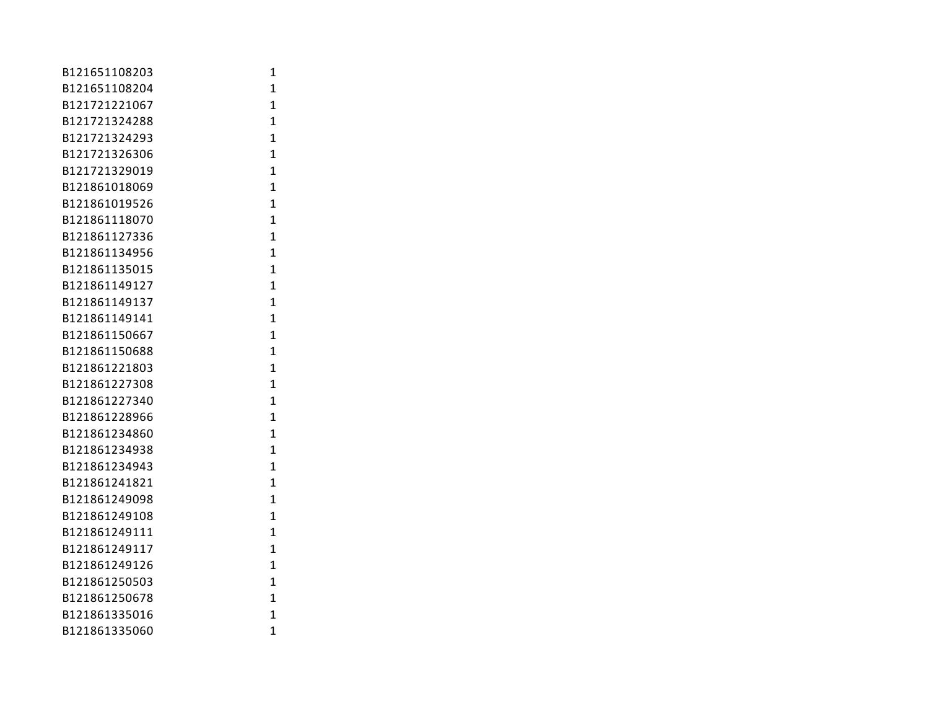| B121651108203 | 1              |
|---------------|----------------|
| B121651108204 | $\mathbf{1}$   |
| B121721221067 | $\mathbf{1}$   |
| B121721324288 | 1              |
| B121721324293 | 1              |
| B121721326306 | $\mathbf{1}$   |
| B121721329019 | $\mathbf{1}$   |
| B121861018069 | $\mathbf{1}$   |
| B121861019526 | $\overline{1}$ |
| B121861118070 | $\mathbf{1}$   |
| B121861127336 | $\overline{1}$ |
| B121861134956 | $\overline{1}$ |
| B121861135015 | $\mathbf{1}$   |
| B121861149127 | $\mathbf{1}$   |
| B121861149137 | $\mathbf{1}$   |
| B121861149141 | $\mathbf{1}$   |
| B121861150667 | 1              |
| B121861150688 | 1              |
| B121861221803 | $\mathbf{1}$   |
| B121861227308 | $\mathbf{1}$   |
| B121861227340 | $\mathbf{1}$   |
| B121861228966 | $\mathbf{1}$   |
| B121861234860 | $\mathbf{1}$   |
| B121861234938 | $\overline{1}$ |
| B121861234943 | $\mathbf{1}$   |
| B121861241821 | $\mathbf{1}$   |
| B121861249098 | $\mathbf{1}$   |
| B121861249108 | $\mathbf{1}$   |
| B121861249111 | $\mathbf{1}$   |
| B121861249117 | 1              |
| B121861249126 | $\overline{1}$ |
| B121861250503 | 1              |
| B121861250678 | $\mathbf{1}$   |
| B121861335016 | $\mathbf{1}$   |
| B121861335060 | $\mathbf{1}$   |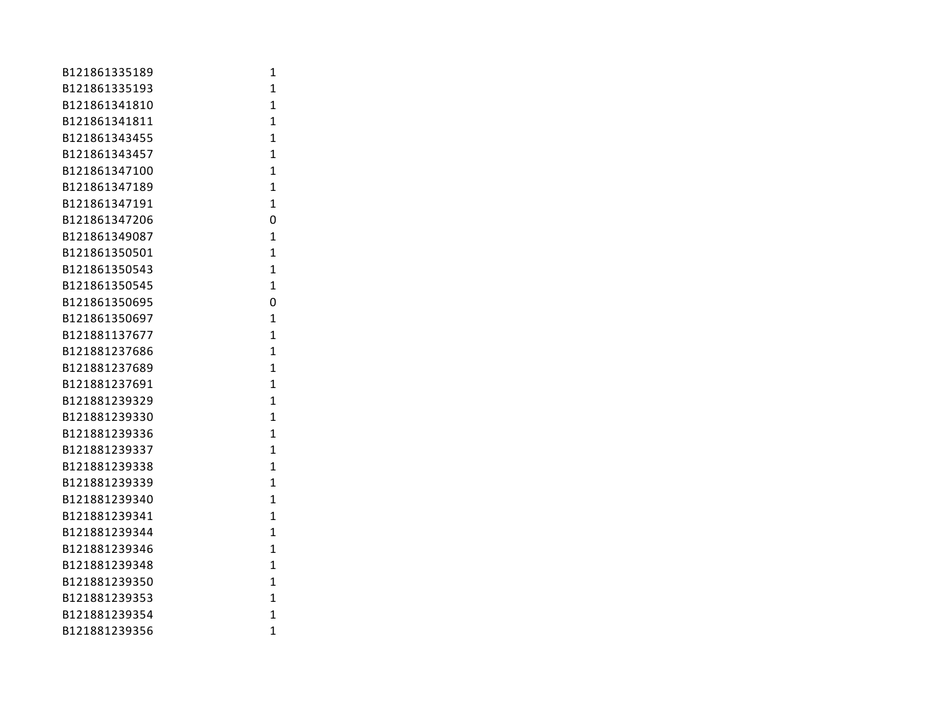| B121861335189 | 1              |
|---------------|----------------|
| B121861335193 | 1              |
| B121861341810 | 1              |
| B121861341811 | 1              |
| B121861343455 | 1              |
| B121861343457 | $\mathbf{1}$   |
| B121861347100 | $\mathbf{1}$   |
| B121861347189 | $\mathbf{1}$   |
| B121861347191 | $\mathbf{1}$   |
| B121861347206 | 0              |
| B121861349087 | 1              |
| B121861350501 | $\overline{1}$ |
| B121861350543 | $\mathbf{1}$   |
| B121861350545 | $\mathbf{1}$   |
| B121861350695 | 0              |
| B121861350697 | 1              |
| B121881137677 | 1              |
| B121881237686 | 1              |
| B121881237689 | 1              |
| B121881237691 | $\mathbf{1}$   |
| B121881239329 | $\mathbf{1}$   |
| B121881239330 | 1              |
| B121881239336 | $\mathbf{1}$   |
| B121881239337 | $\mathbf{1}$   |
| B121881239338 | 1              |
| B121881239339 | $\mathbf{1}$   |
| B121881239340 | $\mathbf{1}$   |
| B121881239341 | $\mathbf{1}$   |
| B121881239344 | 1              |
| B121881239346 | 1              |
| B121881239348 | 1              |
| B121881239350 | 1              |
| B121881239353 | $\mathbf{1}$   |
| B121881239354 | $\mathbf{1}$   |
| B121881239356 | 1              |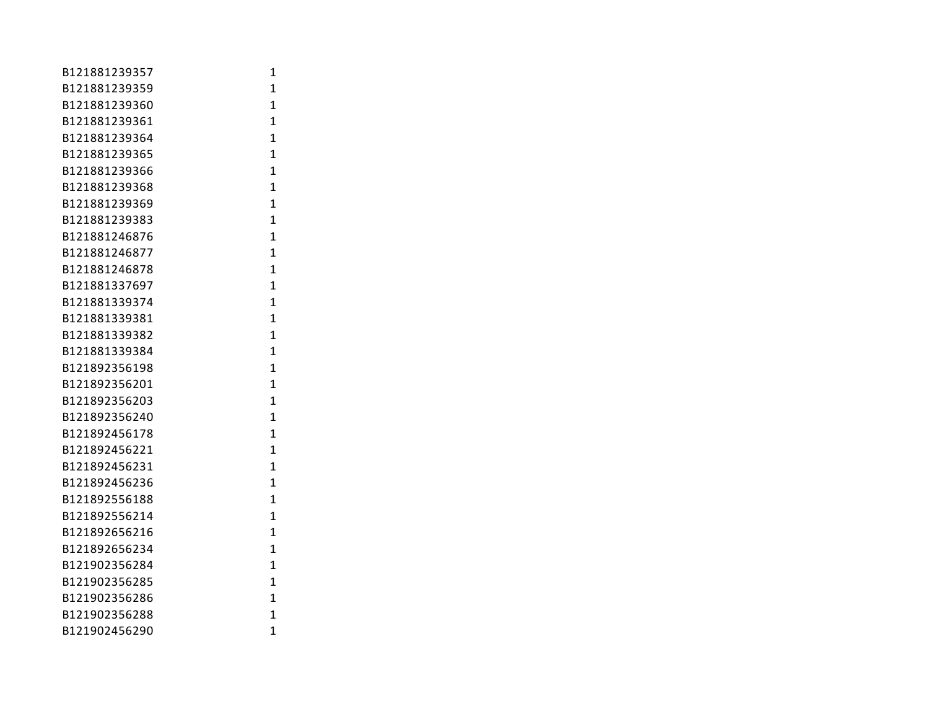| B121881239357 | 1              |
|---------------|----------------|
| B121881239359 | 1              |
| B121881239360 | $\overline{1}$ |
| B121881239361 | 1              |
| B121881239364 | 1              |
| B121881239365 | $\mathbf{1}$   |
| B121881239366 | $\mathbf{1}$   |
| B121881239368 | $\mathbf{1}$   |
| B121881239369 | 1              |
| B121881239383 | 1              |
| B121881246876 | $\mathbf{1}$   |
| B121881246877 | $\mathbf{1}$   |
| B121881246878 | 1              |
| B121881337697 | 1              |
| B121881339374 | $\overline{1}$ |
| B121881339381 | $\overline{1}$ |
| B121881339382 | $\mathbf{1}$   |
| B121881339384 | 1              |
| B121892356198 | 1              |
| B121892356201 | 1              |
| B121892356203 | 1              |
| B121892356240 | $\mathbf{1}$   |
| B121892456178 | 1              |
| B121892456221 | $\mathbf{1}$   |
| B121892456231 | 1              |
| B121892456236 | $\mathbf{1}$   |
| B121892556188 | $\mathbf{1}$   |
| B121892556214 | $\mathbf{1}$   |
| B121892656216 | 1              |
| B121892656234 | 1              |
| B121902356284 | 1              |
| B121902356285 | 1              |
| B121902356286 | 1              |
| B121902356288 | $\mathbf{1}$   |
| B121902456290 | 1              |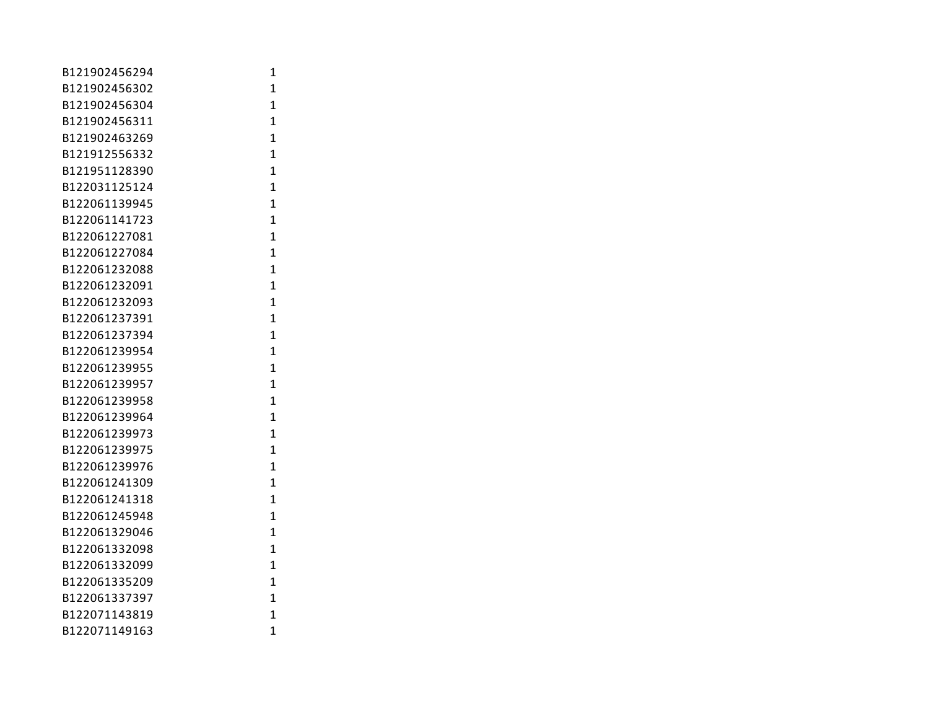| B121902456294 | 1              |
|---------------|----------------|
| B121902456302 | 1              |
| B121902456304 | 1              |
| B121902456311 | 1              |
| B121902463269 | 1              |
| B121912556332 | $\mathbf{1}$   |
| B121951128390 | $\mathbf{1}$   |
| B122031125124 | $\overline{1}$ |
| B122061139945 | $\overline{1}$ |
| B122061141723 | $\mathbf{1}$   |
| B122061227081 | $\overline{1}$ |
| B122061227084 | $\overline{1}$ |
| B122061232088 | $\mathbf{1}$   |
| B122061232091 | $\mathbf{1}$   |
| B122061232093 | 1              |
| B122061237391 | 1              |
| B122061237394 | 1              |
| B122061239954 | 1              |
| B122061239955 | 1              |
| B122061239957 | $\mathbf{1}$   |
| B122061239958 | $\mathbf{1}$   |
| B122061239964 | 1              |
| B122061239973 | $\mathbf{1}$   |
| B122061239975 | $\mathbf{1}$   |
| B122061239976 | 1              |
| B122061241309 | $\mathbf{1}$   |
| B122061241318 | $\mathbf{1}$   |
| B122061245948 | $\mathbf{1}$   |
| B122061329046 | 1              |
| B122061332098 | 1              |
| B122061332099 | 1              |
| B122061335209 | 1              |
| B122061337397 | $\mathbf{1}$   |
| B122071143819 | $\mathbf{1}$   |
| B122071149163 | 1              |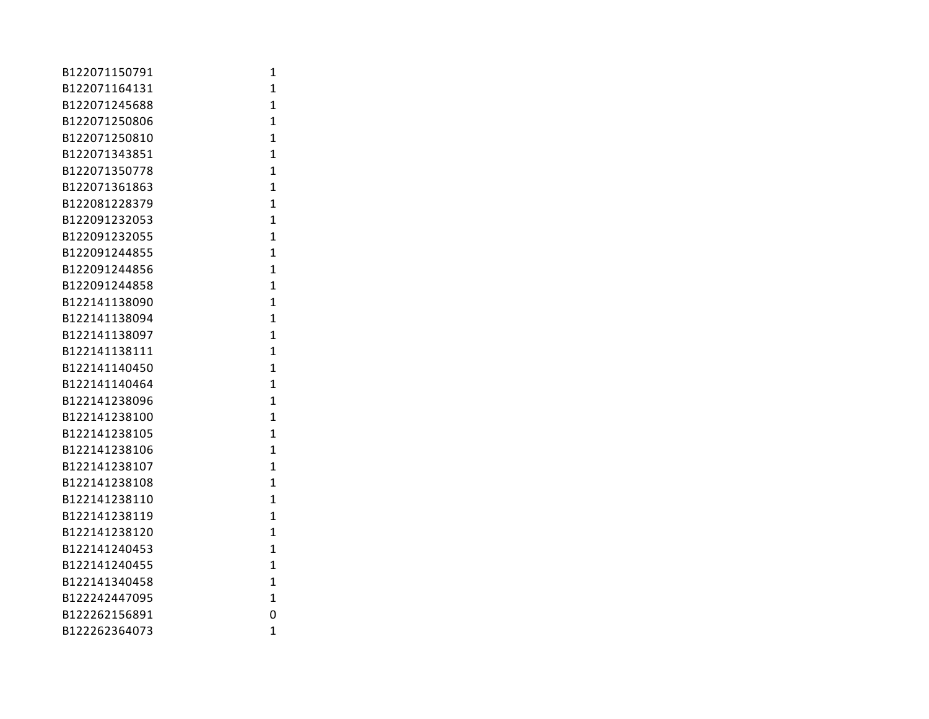| B122071150791 | 1              |
|---------------|----------------|
| B122071164131 | 1              |
| B122071245688 | $\mathbf{1}$   |
| B122071250806 | 1              |
| B122071250810 | 1              |
| B122071343851 | $\mathbf{1}$   |
| B122071350778 | $\mathbf{1}$   |
| B122071361863 | $\mathbf{1}$   |
| B122081228379 | $\overline{1}$ |
| B122091232053 | $\mathbf{1}$   |
| B122091232055 | $\overline{1}$ |
| B122091244855 | $\overline{1}$ |
| B122091244856 | $\mathbf{1}$   |
| B122091244858 | $\mathbf{1}$   |
| B122141138090 | $\mathbf{1}$   |
| B122141138094 | $\mathbf{1}$   |
| B122141138097 | 1              |
| B122141138111 | 1              |
| B122141140450 | $\overline{1}$ |
| B122141140464 | $\mathbf{1}$   |
| B122141238096 | $\mathbf{1}$   |
| B122141238100 | $\overline{1}$ |
| B122141238105 | $\overline{1}$ |
| B122141238106 | $\overline{1}$ |
| B122141238107 | $\mathbf{1}$   |
| B122141238108 | $\mathbf{1}$   |
| B122141238110 | $\mathbf{1}$   |
| B122141238119 | $\mathbf{1}$   |
| B122141238120 | 1              |
| B122141240453 | 1              |
| B122141240455 | $\overline{1}$ |
| B122141340458 | $\overline{1}$ |
| B122242447095 | $\mathbf{1}$   |
| B122262156891 | 0              |
| B122262364073 | 1              |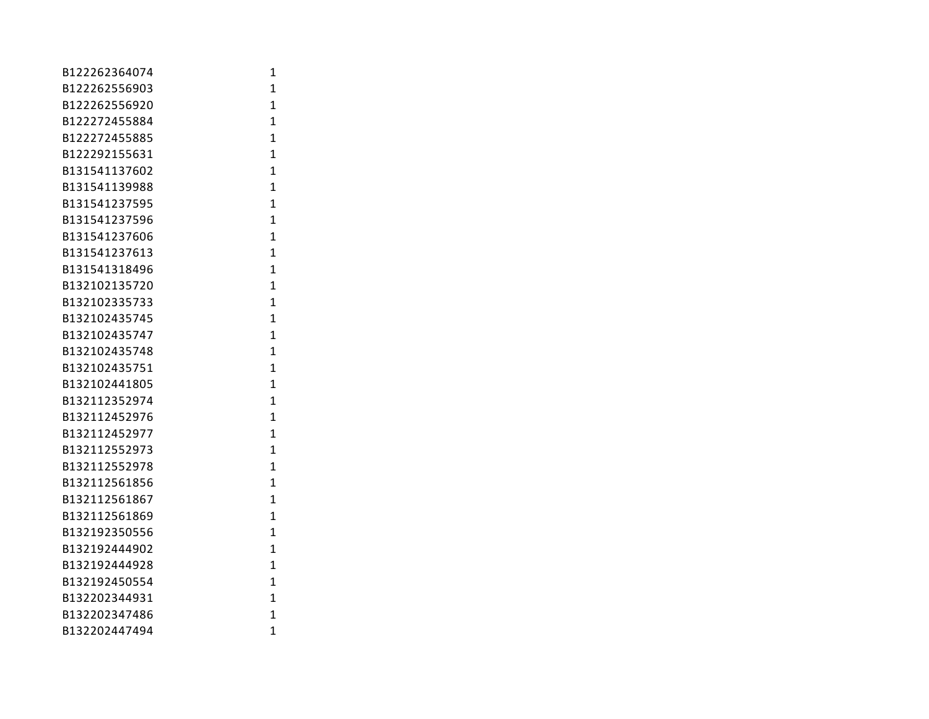| B122262364074 | 1              |
|---------------|----------------|
| B122262556903 | $\mathbf{1}$   |
| B122262556920 | $\overline{1}$ |
| B122272455884 | $\overline{1}$ |
| B122272455885 | $\overline{1}$ |
| B122292155631 | $\overline{1}$ |
| B131541137602 | $\mathbf{1}$   |
| B131541139988 | $\mathbf{1}$   |
| B131541237595 | 1              |
| B131541237596 | 1              |
| B131541237606 | $\overline{1}$ |
| B131541237613 | $\overline{1}$ |
| B131541318496 | $\overline{1}$ |
| B132102135720 | $\overline{1}$ |
| B132102335733 | $\overline{1}$ |
| B132102435745 | $\mathbf{1}$   |
| B132102435747 | $\mathbf{1}$   |
| B132102435748 | $\mathbf{1}$   |
| B132102435751 | $\overline{1}$ |
| B132102441805 | $\mathbf{1}$   |
| B132112352974 | $\overline{1}$ |
| B132112452976 | $\overline{1}$ |
| B132112452977 | $\mathbf{1}$   |
| B132112552973 | $\mathbf{1}$   |
| B132112552978 | $\mathbf{1}$   |
| B132112561856 | $\overline{1}$ |
| B132112561867 | $\overline{1}$ |
| B132112561869 | $\overline{1}$ |
| B132192350556 | $\mathbf{1}$   |
| B132192444902 | $\overline{1}$ |
| B132192444928 | $\mathbf{1}$   |
| B132192450554 | $\mathbf{1}$   |
| B132202344931 | $\mathbf{1}$   |
| B132202347486 | $\overline{1}$ |
| B132202447494 | 1              |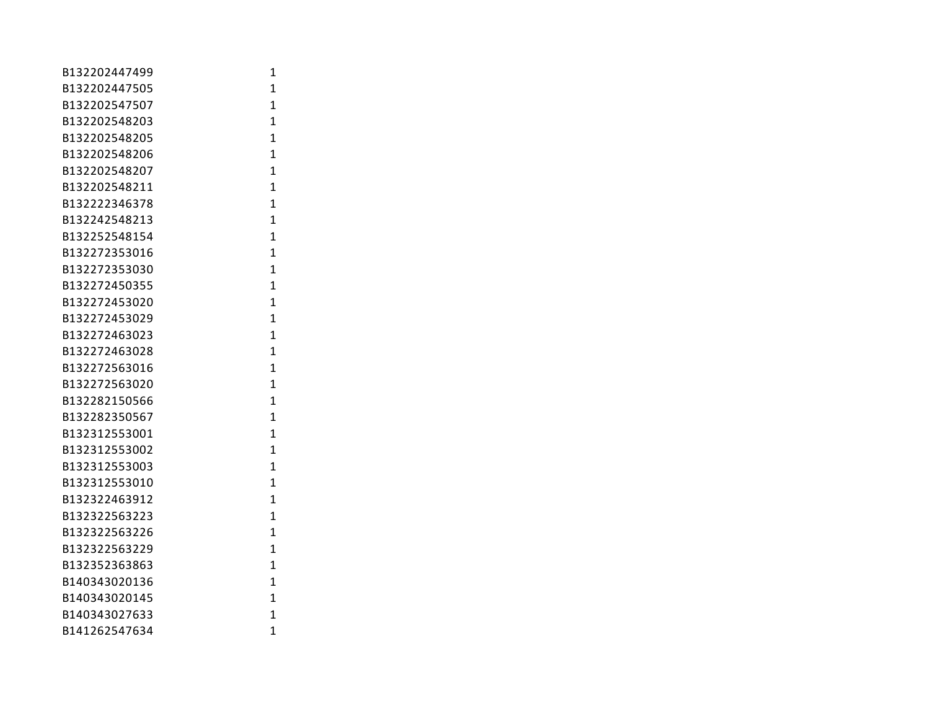| B132202447499 | 1              |
|---------------|----------------|
| B132202447505 | $\mathbf{1}$   |
| B132202547507 | $\mathbf{1}$   |
| B132202548203 | 1              |
| B132202548205 | $\overline{1}$ |
| B132202548206 | $\overline{1}$ |
| B132202548207 | $\mathbf{1}$   |
| B132202548211 | $\mathbf{1}$   |
| B132222346378 | $\overline{1}$ |
| B132242548213 | $\mathbf{1}$   |
| B132252548154 | $\overline{1}$ |
| B132272353016 | $\overline{1}$ |
| B132272353030 | $\mathbf{1}$   |
| B132272450355 | $\mathbf{1}$   |
| B132272453020 | $\overline{1}$ |
| B132272453029 | $\mathbf{1}$   |
| B132272463023 | 1              |
| B132272463028 | $\overline{1}$ |
| B132272563016 | $\overline{1}$ |
| B132272563020 | $\mathbf{1}$   |
| B132282150566 | $\overline{1}$ |
| B132282350567 | $\overline{1}$ |
| B132312553001 | $\overline{1}$ |
| B132312553002 | $\overline{1}$ |
| B132312553003 | $\mathbf{1}$   |
| B132312553010 | $\mathbf{1}$   |
| B132322463912 | $\mathbf{1}$   |
| B132322563223 | $\mathbf{1}$   |
| B132322563226 | $\mathbf{1}$   |
| B132322563229 | 1              |
| B132352363863 | $\overline{1}$ |
| B140343020136 | $\overline{1}$ |
| B140343020145 | $\overline{1}$ |
| B140343027633 | $\overline{1}$ |
| B141262547634 | 1              |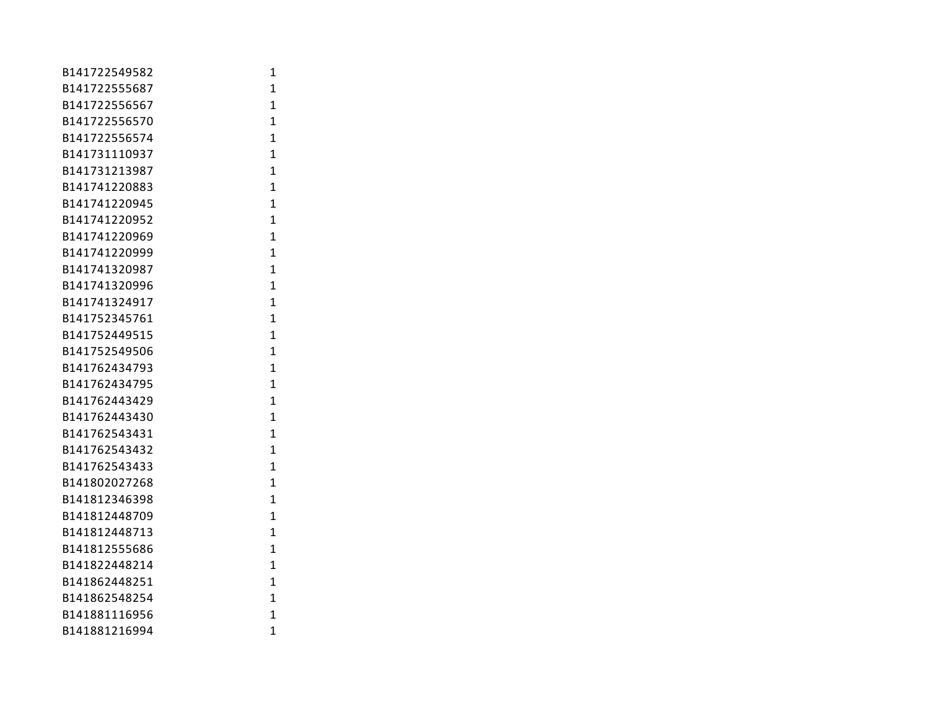| B141722549582 | 1              |
|---------------|----------------|
| B141722555687 | $\mathbf{1}$   |
| B141722556567 | $\overline{1}$ |
| B141722556570 | $\overline{1}$ |
| B141722556574 | $\overline{1}$ |
| B141731110937 | $\mathbf{1}$   |
| B141731213987 | $\overline{1}$ |
| B141741220883 | $\overline{1}$ |
| B141741220945 | 1              |
| B141741220952 | $\mathbf{1}$   |
| B141741220969 | 1              |
| B141741220999 | $\mathbf{1}$   |
| B141741320987 | $\overline{1}$ |
| B141741320996 | $\overline{1}$ |
| B141741324917 | $\overline{1}$ |
| B141752345761 | 1              |
| B141752449515 | $\overline{1}$ |
| B141752549506 | $\overline{1}$ |
| B141762434793 | 1              |
| B141762434795 | $\mathbf{1}$   |
| B141762443429 | $\mathbf{1}$   |
| B141762443430 | $\mathbf{1}$   |
| B141762543431 | 1              |
| B141762543432 | $\overline{1}$ |
| B141762543433 | $\overline{1}$ |
| B141802027268 | $\overline{1}$ |
| B141812346398 | $\overline{1}$ |
| B141812448709 | 1              |
| B141812448713 | $\mathbf{1}$   |
| B141812555686 | 1              |
| B141822448214 | 1              |
| B141862448251 | $\mathbf{1}$   |
| B141862548254 | 1              |
| B141881116956 | $\overline{1}$ |
| B141881216994 | 1              |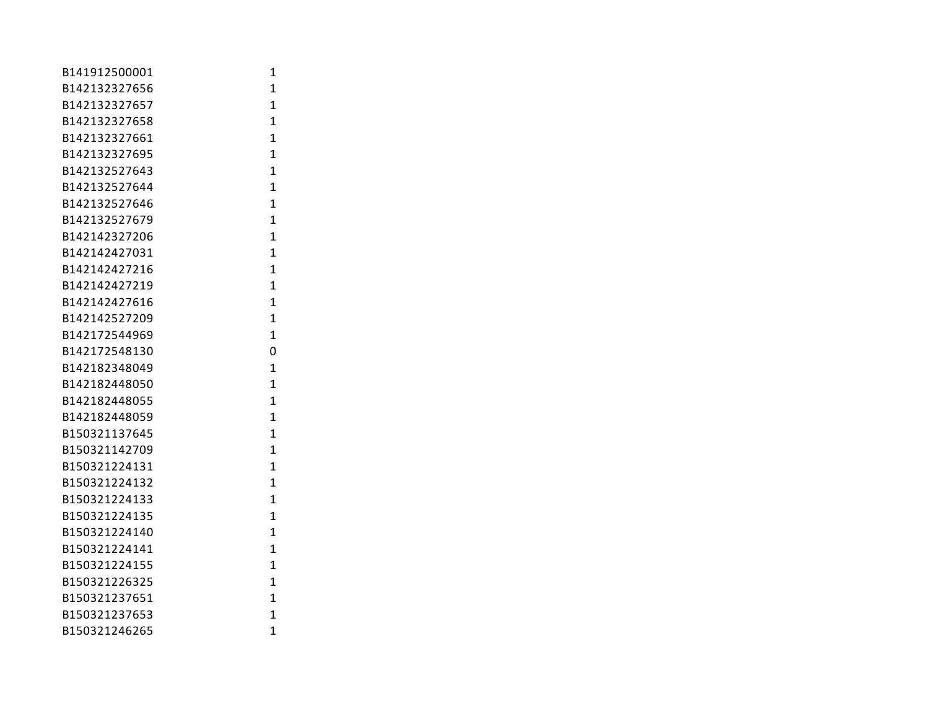| B141912500001 | 1              |
|---------------|----------------|
| B142132327656 | $\mathbf{1}$   |
| B142132327657 | $\overline{1}$ |
| B142132327658 | $\overline{1}$ |
| B142132327661 | $\overline{1}$ |
| B142132327695 | $\overline{1}$ |
| B142132527643 | $\mathbf{1}$   |
| B142132527644 | $\mathbf{1}$   |
| B142132527646 | $\mathbf{1}$   |
| B142132527679 | 1              |
| B142142327206 | $\overline{1}$ |
| B142142427031 | $\mathbf{1}$   |
| B142142427216 | $\mathbf{1}$   |
| B142142427219 | $\overline{1}$ |
| B142142427616 | $\overline{1}$ |
| B142142527209 | $\mathbf{1}$   |
| B142172544969 | $\overline{1}$ |
| B142172548130 | 0              |
| B142182348049 | $\mathbf{1}$   |
| B142182448050 | $\mathbf{1}$   |
| B142182448055 | $\overline{1}$ |
| B142182448059 | 1              |
| B150321137645 | 1              |
| B150321142709 | $\mathbf{1}$   |
| B150321224131 | $\mathbf{1}$   |
| B150321224132 | 1              |
| B150321224133 | $\overline{1}$ |
| B150321224135 | $\overline{1}$ |
| B150321224140 | $\overline{1}$ |
| B150321224141 | $\overline{1}$ |
| B150321224155 | $\mathbf{1}$   |
| B150321226325 | $\mathbf{1}$   |
| B150321237651 | $\overline{1}$ |
| B150321237653 | $\overline{1}$ |
| B150321246265 | 1              |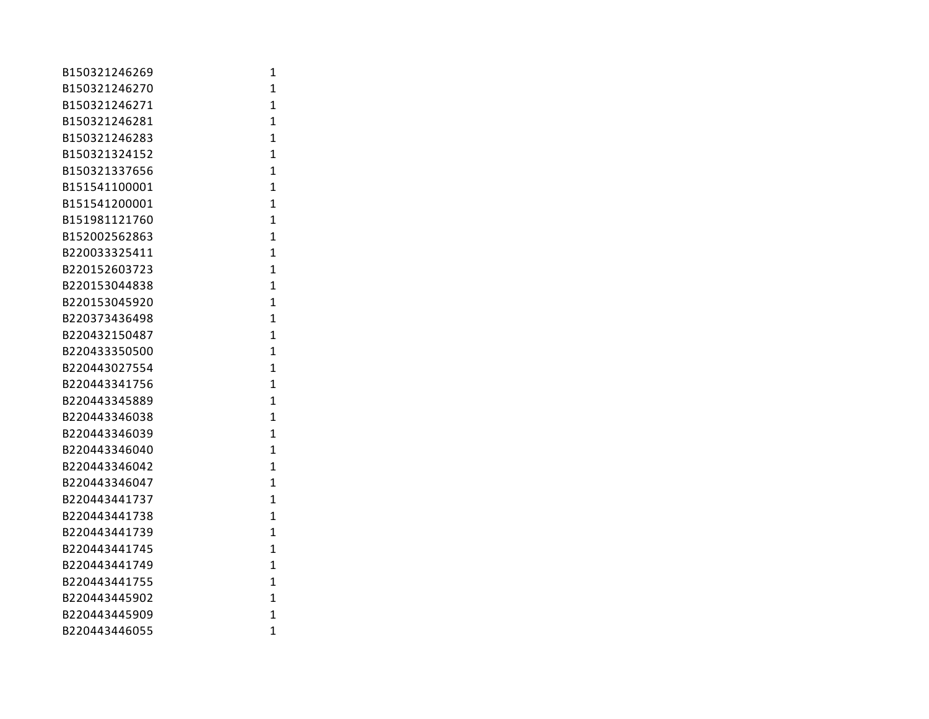| B150321246269 | 1              |
|---------------|----------------|
| B150321246270 | $\mathbf{1}$   |
| B150321246271 | $\overline{1}$ |
| B150321246281 | $\overline{1}$ |
| B150321246283 | $\mathbf{1}$   |
| B150321324152 | $\overline{1}$ |
| B150321337656 | $\mathbf{1}$   |
| B151541100001 | $\overline{1}$ |
| B151541200001 | $\overline{1}$ |
| B151981121760 | $\mathbf{1}$   |
| B152002562863 | $\mathbf{1}$   |
| B220033325411 | $\mathbf{1}$   |
| B220152603723 | $\overline{1}$ |
| B220153044838 | $\overline{1}$ |
| B220153045920 | $\overline{1}$ |
| B220373436498 | $\overline{1}$ |
| B220432150487 | $\overline{1}$ |
| B220433350500 | $\overline{1}$ |
| B220443027554 | $\mathbf{1}$   |
| B220443341756 | $\mathbf{1}$   |
| B220443345889 | $\mathbf{1}$   |
| B220443346038 | $\mathbf{1}$   |
| B220443346039 | 1              |
| B220443346040 | $\overline{1}$ |
| B220443346042 | $\overline{1}$ |
| B220443346047 | $\overline{1}$ |
| B220443441737 | $\overline{1}$ |
| B220443441738 | $\mathbf{1}$   |
| B220443441739 | $\mathbf{1}$   |
| B220443441745 | 1              |
| B220443441749 | 1              |
| B220443441755 | $\mathbf{1}$   |
| B220443445902 | $\overline{1}$ |
| B220443445909 | $\overline{1}$ |
| B220443446055 | 1              |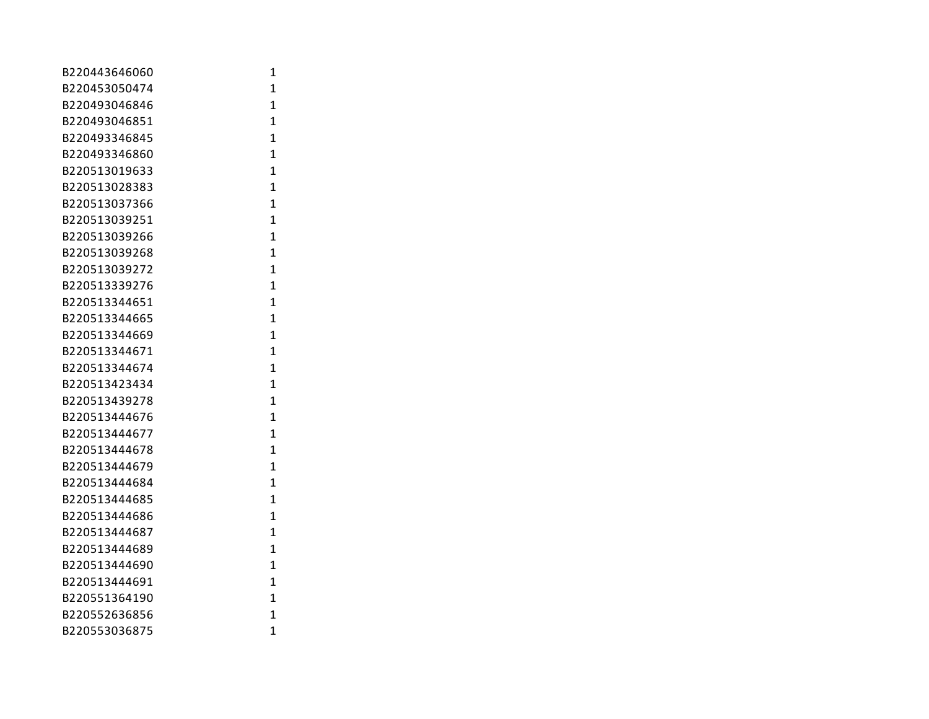| B220443646060 | 1              |
|---------------|----------------|
| B220453050474 | $\mathbf{1}$   |
| B220493046846 | $\overline{1}$ |
| B220493046851 | $\overline{1}$ |
| B220493346845 | $\overline{1}$ |
| B220493346860 | $\overline{1}$ |
| B220513019633 | $\overline{1}$ |
| B220513028383 | $\mathbf{1}$   |
| B220513037366 | $\mathbf{1}$   |
| B220513039251 | $\mathbf{1}$   |
| B220513039266 | $\mathbf{1}$   |
| B220513039268 | $\mathbf{1}$   |
| B220513039272 | $\overline{1}$ |
| B220513339276 | $\overline{1}$ |
| B220513344651 | $\overline{1}$ |
| B220513344665 | $\overline{1}$ |
| B220513344669 | $\overline{1}$ |
| B220513344671 | $\overline{1}$ |
| B220513344674 | $\overline{1}$ |
| B220513423434 | $\mathbf{1}$   |
| B220513439278 | $\overline{1}$ |
| B220513444676 | $\mathbf{1}$   |
| B220513444677 | 1              |
| B220513444678 | $\overline{1}$ |
| B220513444679 | $\overline{1}$ |
| B220513444684 | $\overline{1}$ |
| B220513444685 | $\overline{1}$ |
| B220513444686 | $\overline{1}$ |
| B220513444687 | $\mathbf{1}$   |
| B220513444689 | 1              |
| B220513444690 | 1              |
| B220513444691 | $\mathbf{1}$   |
| B220551364190 | $\overline{1}$ |
| B220552636856 | $\overline{1}$ |
| B220553036875 | 1              |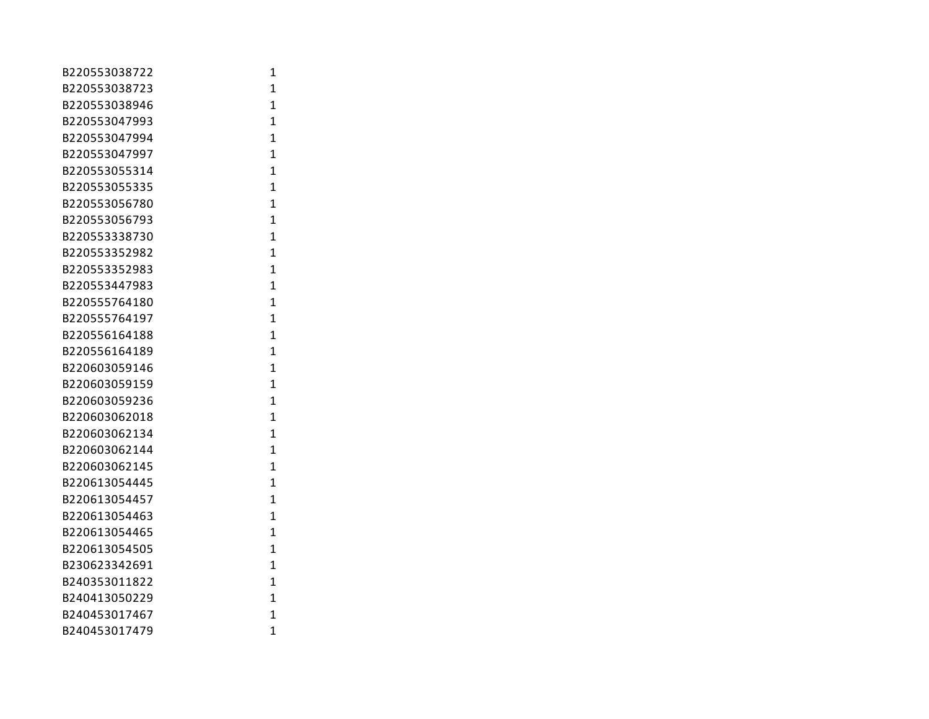| B220553038722 | 1              |
|---------------|----------------|
| B220553038723 | $\mathbf{1}$   |
| B220553038946 | $\overline{1}$ |
| B220553047993 | $\mathbf{1}$   |
| B220553047994 | $\mathbf{1}$   |
| B220553047997 | $\mathbf{1}$   |
| B220553055314 | $\mathbf{1}$   |
| B220553055335 | $\mathbf{1}$   |
| B220553056780 | $\overline{1}$ |
| B220553056793 | $\mathbf{1}$   |
| B220553338730 | $\overline{1}$ |
| B220553352982 | $\mathbf{1}$   |
| B220553352983 | $\mathbf{1}$   |
| B220553447983 | $\mathbf{1}$   |
| B220555764180 | $\overline{1}$ |
| B220555764197 | $\overline{1}$ |
| B220556164188 | $\mathbf{1}$   |
| B220556164189 | $\mathbf{1}$   |
| B220603059146 | $\mathbf{1}$   |
| B220603059159 | $\mathbf{1}$   |
| B220603059236 | $\mathbf{1}$   |
| B220603062018 | $\overline{1}$ |
| B220603062134 | $\mathbf{1}$   |
| B220603062144 | $\mathbf{1}$   |
| B220603062145 | $\mathbf{1}$   |
| B220613054445 | $\mathbf{1}$   |
| B220613054457 | $\mathbf{1}$   |
| B220613054463 | $\overline{1}$ |
| B220613054465 | $\mathbf{1}$   |
| B220613054505 | $\mathbf{1}$   |
| B230623342691 | $\mathbf{1}$   |
| B240353011822 | $\mathbf{1}$   |
| B240413050229 | $\mathbf{1}$   |
| B240453017467 | $\overline{1}$ |
| B240453017479 | $\overline{1}$ |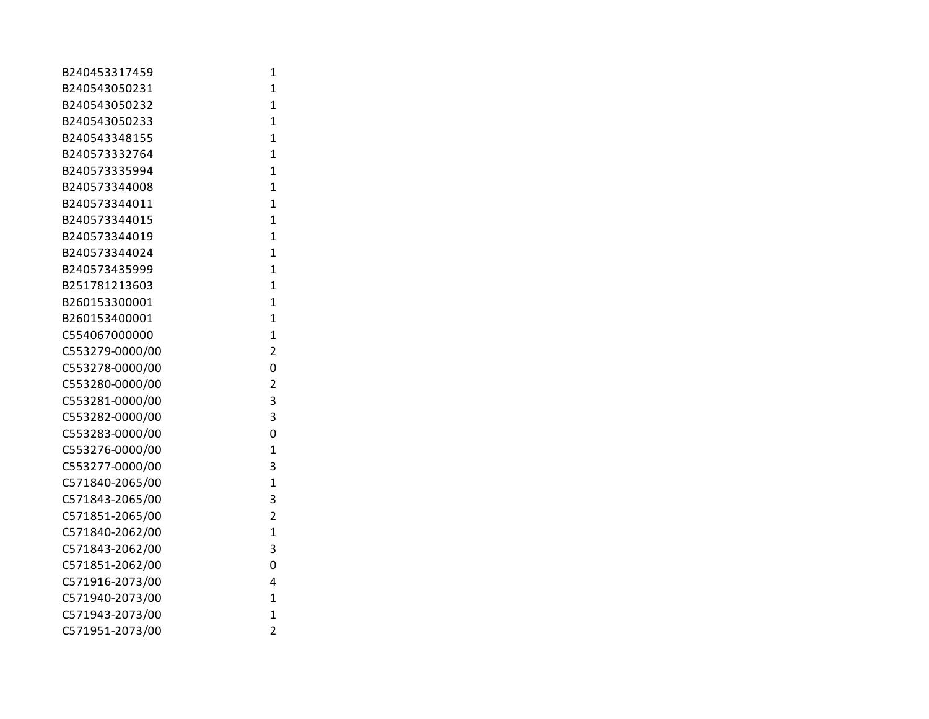| B240453317459   | 1              |
|-----------------|----------------|
| B240543050231   | $\mathbf{1}$   |
| B240543050232   | $\overline{1}$ |
| B240543050233   | $\overline{1}$ |
| B240543348155   | $\overline{1}$ |
| B240573332764   | $\overline{1}$ |
| B240573335994   | $\mathbf{1}$   |
| B240573344008   | $\overline{1}$ |
| B240573344011   | $\overline{1}$ |
| B240573344015   | $\overline{1}$ |
| B240573344019   | $\overline{1}$ |
| B240573344024   | $\overline{1}$ |
| B240573435999   | $\overline{1}$ |
| B251781213603   | $\overline{1}$ |
| B260153300001   | $\overline{1}$ |
| B260153400001   | $\overline{1}$ |
| C554067000000   | $\overline{1}$ |
| C553279-0000/00 | $\overline{2}$ |
| C553278-0000/00 | 0              |
| C553280-0000/00 | $\overline{2}$ |
| C553281-0000/00 | 3              |
| C553282-0000/00 | 3              |
| C553283-0000/00 | 0              |
| C553276-0000/00 | $\overline{1}$ |
| C553277-0000/00 | 3              |
| C571840-2065/00 | $\overline{1}$ |
| C571843-2065/00 | 3              |
| C571851-2065/00 | $\overline{2}$ |
| C571840-2062/00 | $\overline{1}$ |
| C571843-2062/00 | 3              |
| C571851-2062/00 | 0              |
| C571916-2073/00 | 4              |
| C571940-2073/00 | $\mathbf{1}$   |
| C571943-2073/00 | $\overline{1}$ |
| C571951-2073/00 | $\overline{c}$ |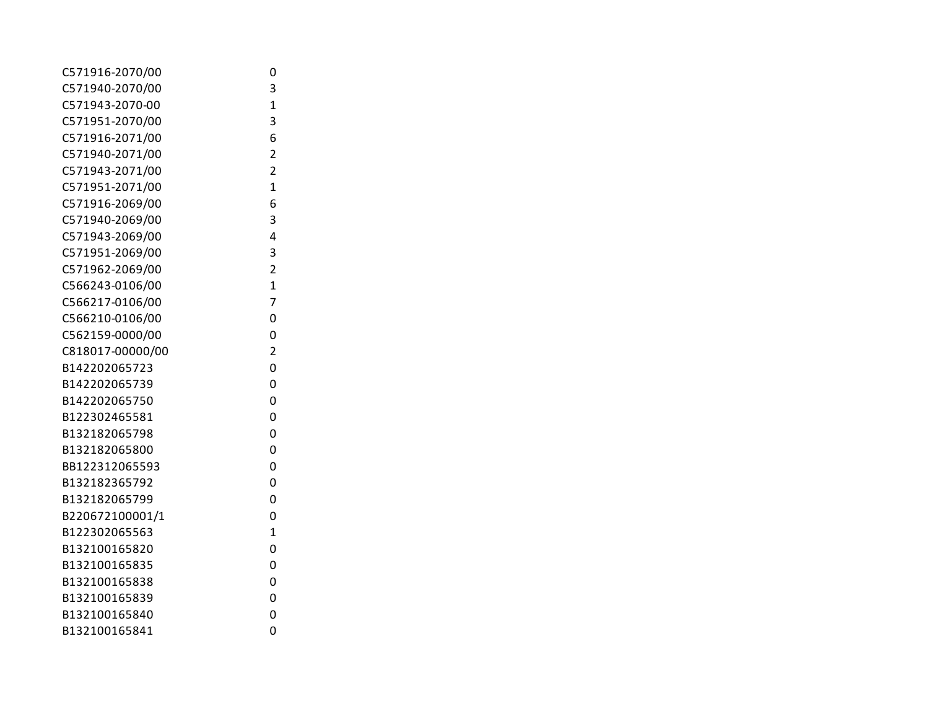| C571916-2070/00  | 0              |
|------------------|----------------|
| C571940-2070/00  | 3              |
| C571943-2070-00  | $\overline{1}$ |
| C571951-2070/00  | 3              |
| C571916-2071/00  | 6              |
| C571940-2071/00  | $\overline{2}$ |
| C571943-2071/00  | $\overline{2}$ |
| C571951-2071/00  | $\overline{1}$ |
| C571916-2069/00  | 6              |
| C571940-2069/00  | 3              |
| C571943-2069/00  | 4              |
| C571951-2069/00  | 3              |
| C571962-2069/00  | $\overline{2}$ |
| C566243-0106/00  | $\overline{1}$ |
| C566217-0106/00  | 7              |
| C566210-0106/00  | 0              |
| C562159-0000/00  | 0              |
| C818017-00000/00 | $\overline{2}$ |
| B142202065723    | 0              |
| B142202065739    | 0              |
| B142202065750    | 0              |
| B122302465581    | 0              |
| B132182065798    | 0              |
| B132182065800    | 0              |
| BB122312065593   | 0              |
| B132182365792    | 0              |
| B132182065799    | 0              |
| B220672100001/1  | 0              |
| B122302065563    | $\overline{1}$ |
| B132100165820    | 0              |
| B132100165835    | 0              |
| B132100165838    | 0              |
| B132100165839    | 0              |
| B132100165840    | 0              |
| B132100165841    | 0              |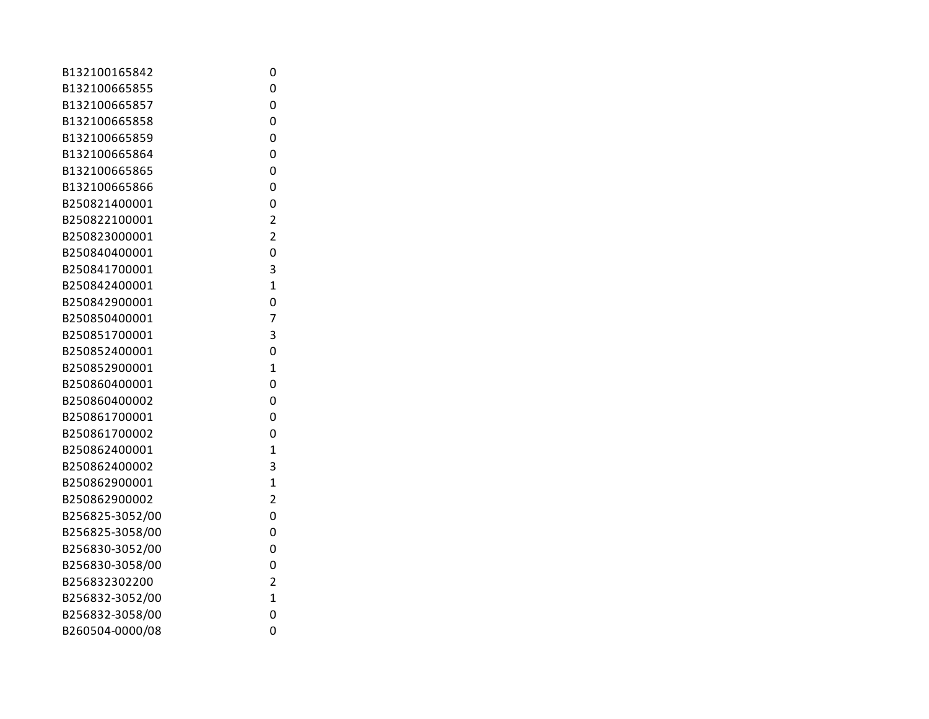| B132100165842   | 0              |
|-----------------|----------------|
| B132100665855   | 0              |
| B132100665857   | 0              |
| B132100665858   | 0              |
| B132100665859   | 0              |
| B132100665864   | 0              |
| B132100665865   | 0              |
| B132100665866   | 0              |
| B250821400001   | 0              |
| B250822100001   | $\overline{2}$ |
| B250823000001   | $\overline{2}$ |
| B250840400001   | 0              |
| B250841700001   | 3              |
| B250842400001   | $\overline{1}$ |
| B250842900001   | 0              |
| B250850400001   | 7              |
| B250851700001   | 3              |
| B250852400001   | 0              |
| B250852900001   | $\overline{1}$ |
| B250860400001   | 0              |
| B250860400002   | 0              |
| B250861700001   | 0              |
| B250861700002   | 0              |
| B250862400001   | $\overline{1}$ |
| B250862400002   | 3              |
| B250862900001   | $\overline{1}$ |
| B250862900002   | $\overline{2}$ |
| B256825-3052/00 | 0              |
| B256825-3058/00 | 0              |
| B256830-3052/00 | 0              |
| B256830-3058/00 | 0              |
| B256832302200   | $\overline{2}$ |
| B256832-3052/00 | $\overline{1}$ |
| B256832-3058/00 | 0              |
| B260504-0000/08 | 0              |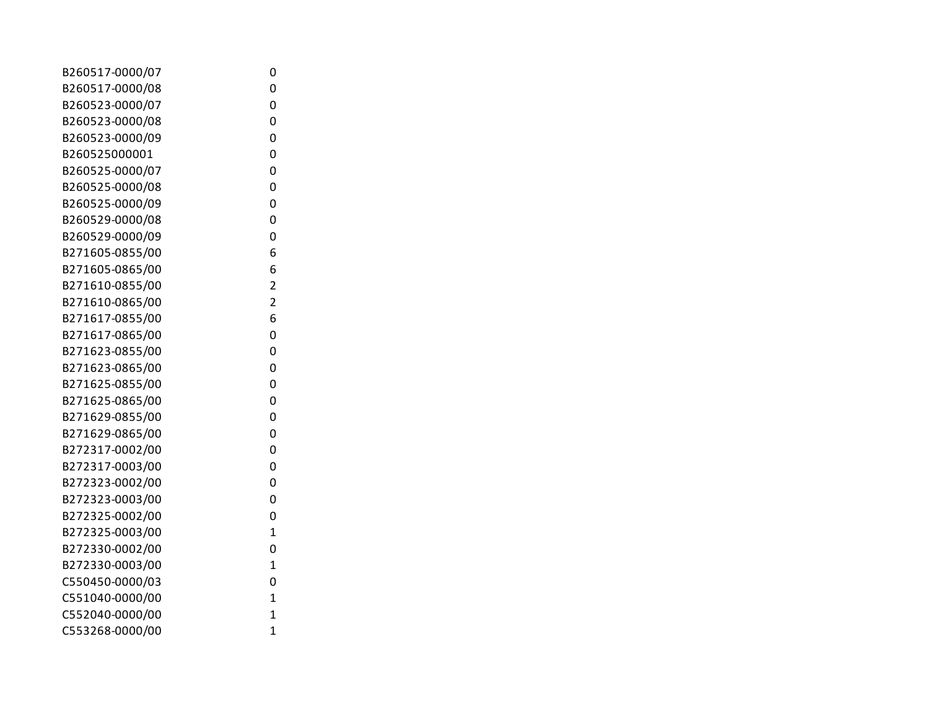| B260517-0000/07 | 0                       |
|-----------------|-------------------------|
| B260517-0000/08 | 0                       |
| B260523-0000/07 | 0                       |
| B260523-0000/08 | 0                       |
| B260523-0000/09 | 0                       |
| B260525000001   | 0                       |
| B260525-0000/07 | 0                       |
| B260525-0000/08 | 0                       |
| B260525-0000/09 | 0                       |
| B260529-0000/08 | 0                       |
| B260529-0000/09 | 0                       |
| B271605-0855/00 | 6                       |
| B271605-0865/00 | 6                       |
| B271610-0855/00 | 2                       |
| B271610-0865/00 | $\overline{\mathbf{c}}$ |
| B271617-0855/00 | 6                       |
| B271617-0865/00 | 0                       |
| B271623-0855/00 | 0                       |
| B271623-0865/00 | 0                       |
| B271625-0855/00 | 0                       |
| B271625-0865/00 | 0                       |
| B271629-0855/00 | 0                       |
| B271629-0865/00 | 0                       |
| B272317-0002/00 | 0                       |
| B272317-0003/00 | 0                       |
| B272323-0002/00 | 0                       |
| B272323-0003/00 | 0                       |
| B272325-0002/00 | 0                       |
| B272325-0003/00 | $\mathbf 1$             |
| B272330-0002/00 | 0                       |
| B272330-0003/00 | $\mathbf 1$             |
| C550450-0000/03 | 0                       |
| C551040-0000/00 | $\mathbf 1$             |
| C552040-0000/00 | $\mathbf 1$             |
| C553268-0000/00 | $\mathbf 1$             |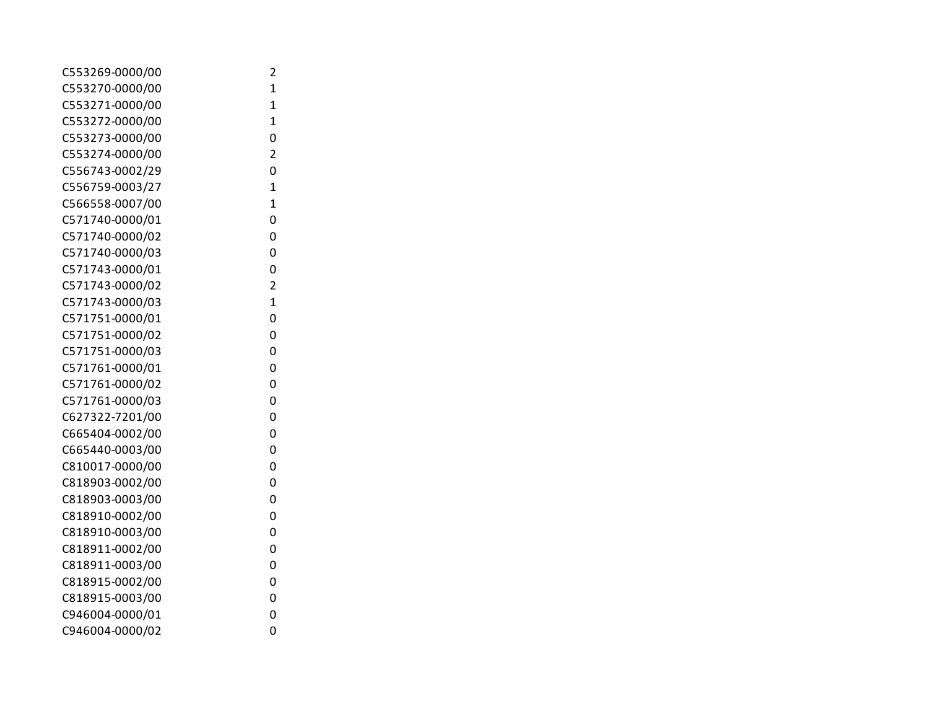| 2              |
|----------------|
| $\mathbf{1}$   |
| $\overline{1}$ |
| $\mathbf{1}$   |
| 0              |
| $\overline{2}$ |
| 0              |
| $\overline{1}$ |
| $\overline{1}$ |
| 0              |
| 0              |
| 0              |
| 0              |
| $\overline{2}$ |
| $\overline{1}$ |
| 0              |
| 0              |
| 0              |
| 0              |
| 0              |
| 0              |
| 0              |
| 0              |
| 0              |
| 0              |
| 0              |
| 0              |
| 0              |
| 0              |
| 0              |
| 0              |
| 0              |
| 0              |
| 0              |
| 0              |
|                |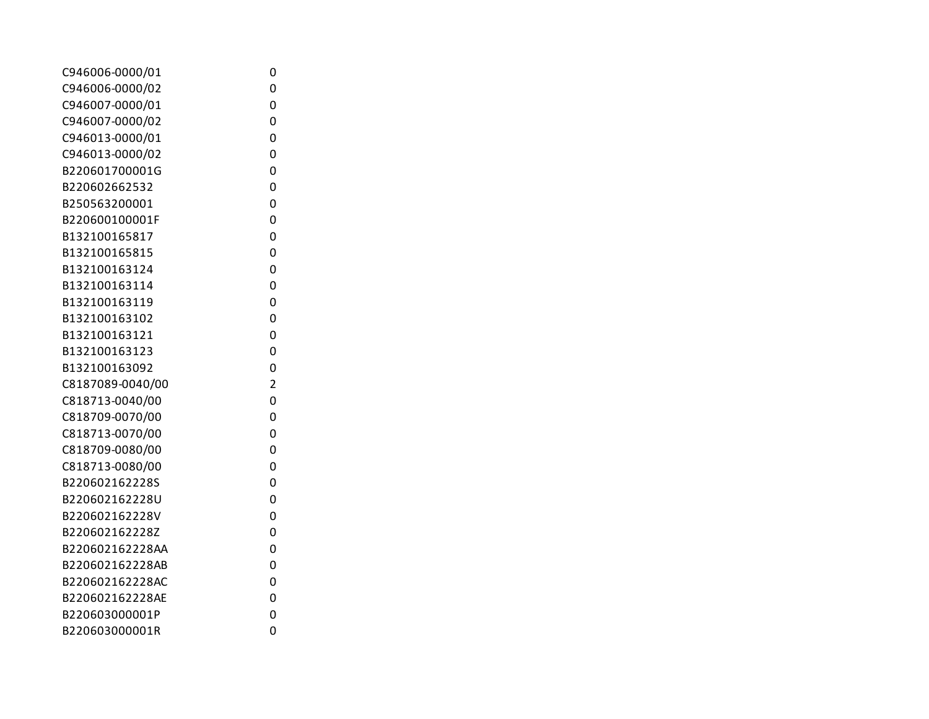| C946006-0000/01  | 0              |
|------------------|----------------|
| C946006-0000/02  | 0              |
| C946007-0000/01  | 0              |
| C946007-0000/02  | 0              |
| C946013-0000/01  | 0              |
| C946013-0000/02  | 0              |
| B220601700001G   | 0              |
| B220602662532    | 0              |
| B250563200001    | 0              |
| B220600100001F   | 0              |
| B132100165817    | 0              |
| B132100165815    | 0              |
| B132100163124    | 0              |
| B132100163114    | 0              |
| B132100163119    | 0              |
| B132100163102    | 0              |
| B132100163121    | 0              |
| B132100163123    | 0              |
| B132100163092    | 0              |
| C8187089-0040/00 | $\overline{c}$ |
| C818713-0040/00  | 0              |
| C818709-0070/00  | 0              |
| C818713-0070/00  | 0              |
| C818709-0080/00  | 0              |
| C818713-0080/00  | 0              |
| B220602162228S   | 0              |
| B220602162228U   | 0              |
| B220602162228V   | 0              |
| B220602162228Z   | 0              |
| B220602162228AA  | 0              |
| B220602162228AB  | 0              |
| B220602162228AC  | 0              |
| B220602162228AE  | 0              |
| B220603000001P   | 0              |
| B220603000001R   | 0              |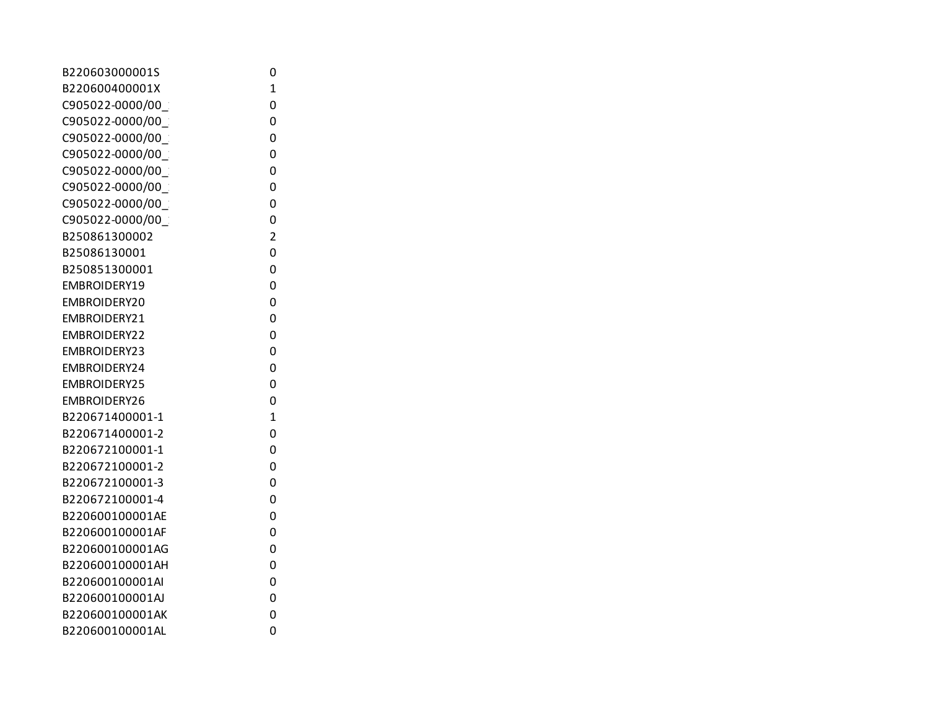| B220603000001S      | 0              |
|---------------------|----------------|
| B220600400001X      | $\mathbf{1}$   |
| C905022-0000/00     | 0              |
| C905022-0000/00     | 0              |
| C905022-0000/00     | 0              |
| C905022-0000/00     | 0              |
| C905022-0000/00     | 0              |
| C905022-0000/00     | 0              |
| C905022-0000/00     | 0              |
| C905022-0000/00     | 0              |
| B250861300002       | $\overline{2}$ |
| B25086130001        | 0              |
| B250851300001       | 0              |
| EMBROIDERY19        | 0              |
| EMBROIDERY20        | 0              |
| EMBROIDERY21        | 0              |
| EMBROIDERY22        | 0              |
| EMBROIDERY23        | 0              |
| EMBROIDERY24        | 0              |
| <b>EMBROIDERY25</b> | 0              |
| EMBROIDERY26        | 0              |
| B220671400001-1     | $\overline{1}$ |
| B220671400001-2     | 0              |
| B220672100001-1     | 0              |
| B220672100001-2     | 0              |
| B220672100001-3     | 0              |
| B220672100001-4     | 0              |
| B220600100001AE     | 0              |
| B220600100001AF     | 0              |
| B220600100001AG     | 0              |
| B220600100001AH     | 0              |
| B220600100001AI     | 0              |
| B220600100001AJ     | 0              |
| B220600100001AK     | 0              |
| B220600100001AL     | 0              |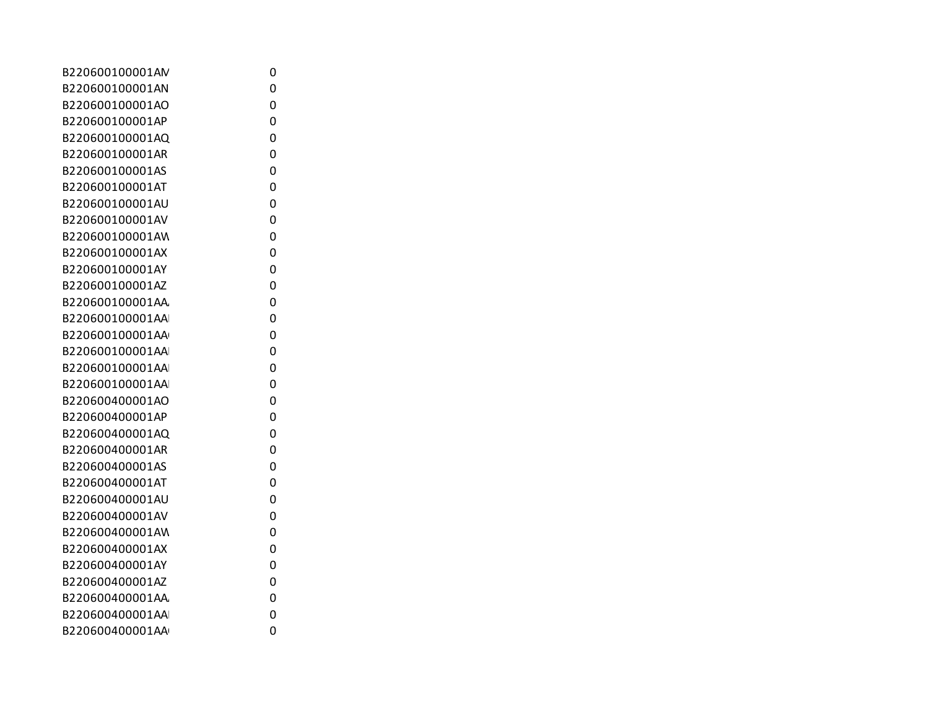| B220600100001AN | 0 |
|-----------------|---|
| B220600100001AN | 0 |
| B220600100001AO | 0 |
| B220600100001AP | 0 |
| B220600100001AQ | 0 |
| B220600100001AR | 0 |
| B220600100001AS | 0 |
| B220600100001AT | 0 |
| B220600100001AU | 0 |
| B220600100001AV | 0 |
| B220600100001AW | 0 |
| B220600100001AX | 0 |
| B220600100001AY | 0 |
| B220600100001AZ | 0 |
| B220600100001AA | 0 |
| B220600100001AA | 0 |
| B220600100001AA | 0 |
| B220600100001AA | 0 |
| B220600100001AA | 0 |
| B220600100001AA | 0 |
| B220600400001AO | 0 |
| B220600400001AP | 0 |
| B220600400001AQ | 0 |
| B220600400001AR | 0 |
| B220600400001AS | 0 |
| B220600400001AT | 0 |
| B220600400001AU | 0 |
| B220600400001AV | 0 |
| B220600400001AW | 0 |
| B220600400001AX | 0 |
| B220600400001AY | 0 |
| B220600400001AZ | 0 |
| B220600400001AA | 0 |
| B220600400001AA | 0 |
| B220600400001AA | 0 |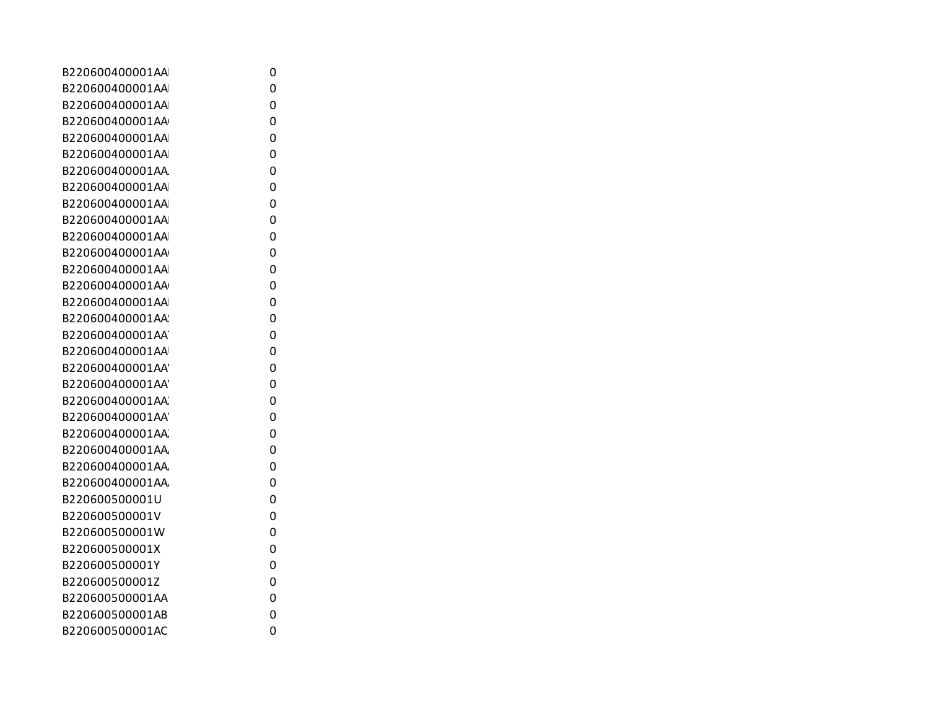| B220600400001AA | 0 |
|-----------------|---|
| B220600400001AA | 0 |
| B220600400001AA | 0 |
| B220600400001AA | 0 |
| B220600400001AA | 0 |
| B220600400001AA | 0 |
| B220600400001AA | 0 |
| B220600400001AA | 0 |
| B220600400001AA | 0 |
| B220600400001AA | 0 |
| B220600400001AA | 0 |
| B220600400001AA | 0 |
| B220600400001AA | 0 |
| B220600400001AA | 0 |
| B220600400001AA | 0 |
| B220600400001AA | 0 |
| B220600400001AA | 0 |
| B220600400001AA | 0 |
| B220600400001AA | 0 |
| B220600400001AA | 0 |
| B220600400001AA | 0 |
| B220600400001AA | 0 |
| B220600400001AA | 0 |
| B220600400001AA | 0 |
| B220600400001AA | 0 |
| B220600400001AA | 0 |
| B220600500001U  | 0 |
| B220600500001V  | 0 |
| B220600500001W  | 0 |
| B220600500001X  | 0 |
| B220600500001Y  | 0 |
| B220600500001Z  | 0 |
| B220600500001AA | 0 |
| B220600500001AB | 0 |
| B220600500001AC | 0 |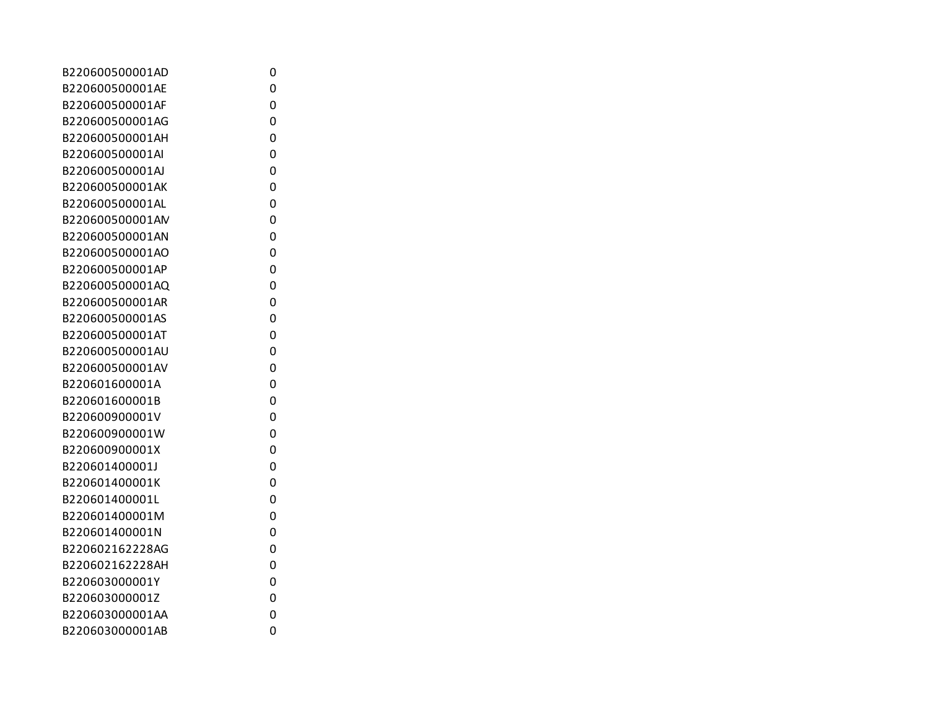| B220600500001AD | 0 |
|-----------------|---|
| B220600500001AE | 0 |
| B220600500001AF | 0 |
| B220600500001AG | 0 |
| B220600500001AH | 0 |
| B220600500001AI | 0 |
| B220600500001AJ | 0 |
| B220600500001AK | 0 |
| B220600500001AL | 0 |
| B220600500001AM | 0 |
| B220600500001AN | 0 |
| B220600500001AO | 0 |
| B220600500001AP | 0 |
| B220600500001AQ | 0 |
| B220600500001AR | 0 |
| B220600500001AS | 0 |
| B220600500001AT | 0 |
| B220600500001AU | 0 |
| B220600500001AV | 0 |
| B220601600001A  | 0 |
| B220601600001B  | 0 |
| B220600900001V  | 0 |
| B220600900001W  | 0 |
| B220600900001X  | 0 |
| B220601400001J  | 0 |
| B220601400001K  | 0 |
| B220601400001L  | 0 |
| B220601400001M  | 0 |
| B220601400001N  | 0 |
| B220602162228AG | 0 |
| B220602162228AH | 0 |
| B220603000001Y  | 0 |
| B220603000001Z  | 0 |
| B220603000001AA | 0 |
| B220603000001AB | 0 |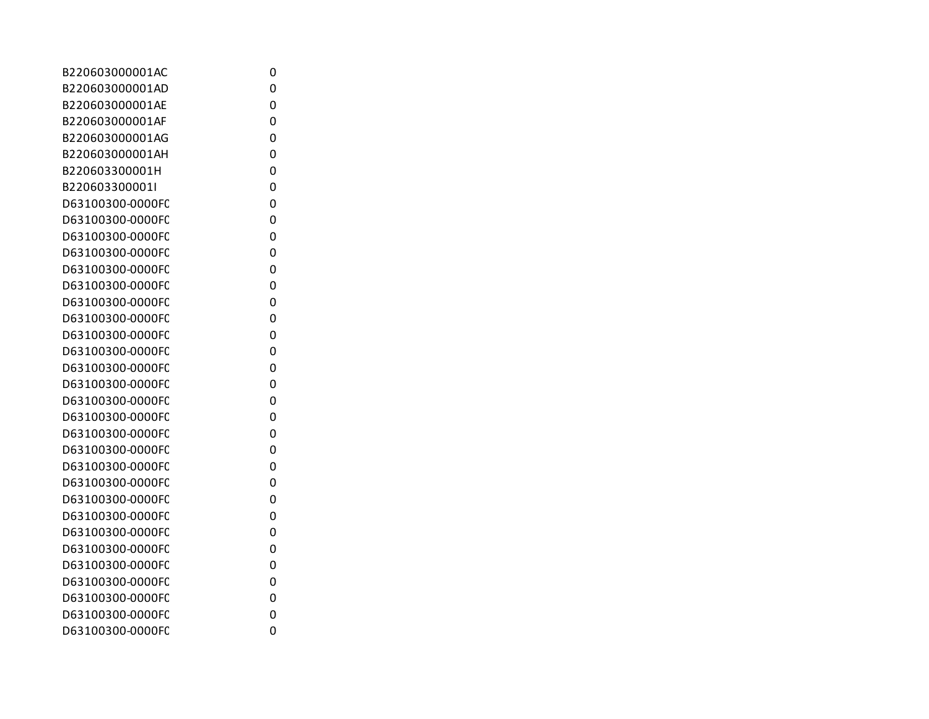| B220603000001AC  | 0 |
|------------------|---|
| B220603000001AD  | 0 |
| B220603000001AE  | 0 |
| B220603000001AF  | 0 |
| B220603000001AG  | 0 |
| B220603000001AH  | 0 |
| B220603300001H   | 0 |
| B220603300001I   | 0 |
| D63100300-0000FC | 0 |
| D63100300-0000FC | 0 |
| D63100300-0000FC | 0 |
| D63100300-0000FC | 0 |
| D63100300-0000FC | 0 |
| D63100300-0000FC | 0 |
| D63100300-0000FC | 0 |
| D63100300-0000FC | 0 |
| D63100300-0000FC | 0 |
| D63100300-0000FC | 0 |
| D63100300-0000FC | 0 |
| D63100300-0000FC | 0 |
| D63100300-0000FC | 0 |
| D63100300-0000FC | 0 |
| D63100300-0000FC | 0 |
| D63100300-0000FC | 0 |
| D63100300-0000FC | 0 |
| D63100300-0000FC | 0 |
| D63100300-0000FC | 0 |
| D63100300-0000FC | 0 |
| D63100300-0000FC | 0 |
| D63100300-0000FC | 0 |
| D63100300-0000FC | 0 |
| D63100300-0000FC | 0 |
| D63100300-0000FC | 0 |
| D63100300-0000FC | 0 |
| D63100300-0000FC | 0 |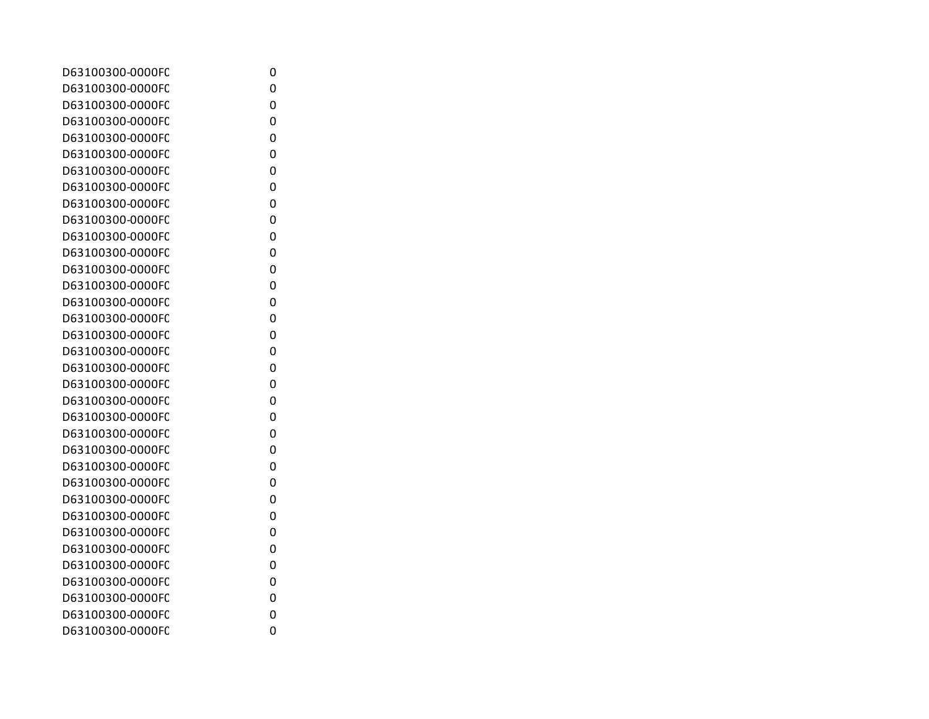| D63100300-0000FC | 0 |
|------------------|---|
| D63100300-0000FC | 0 |
| D63100300-0000FC | 0 |
| D63100300-0000FC | 0 |
| D63100300-0000FC | 0 |
| D63100300-0000FC | 0 |
| D63100300-0000FC | 0 |
| D63100300-0000FC | 0 |
| D63100300-0000FC | 0 |
| D63100300-0000FC | 0 |
| D63100300-0000FC | 0 |
| D63100300-0000FC | 0 |
| D63100300-0000FC | 0 |
| D63100300-0000FC | 0 |
| D63100300-0000FC | 0 |
| D63100300-0000FC | 0 |
| D63100300-0000FC | 0 |
| D63100300-0000FC | 0 |
| D63100300-0000FC | 0 |
| D63100300-0000FC | 0 |
| D63100300-0000FC | 0 |
| D63100300-0000FC | 0 |
| D63100300-0000FC | 0 |
| D63100300-0000FC | 0 |
| D63100300-0000FC | 0 |
| D63100300-0000FC | 0 |
| D63100300-0000FC | 0 |
| D63100300-0000FC | 0 |
| D63100300-0000FC | 0 |
| D63100300-0000FC | 0 |
| D63100300-0000FC | 0 |
| D63100300-0000FC | 0 |
| D63100300-0000FC | 0 |
| D63100300-0000FC | 0 |
| D63100300-0000FC | 0 |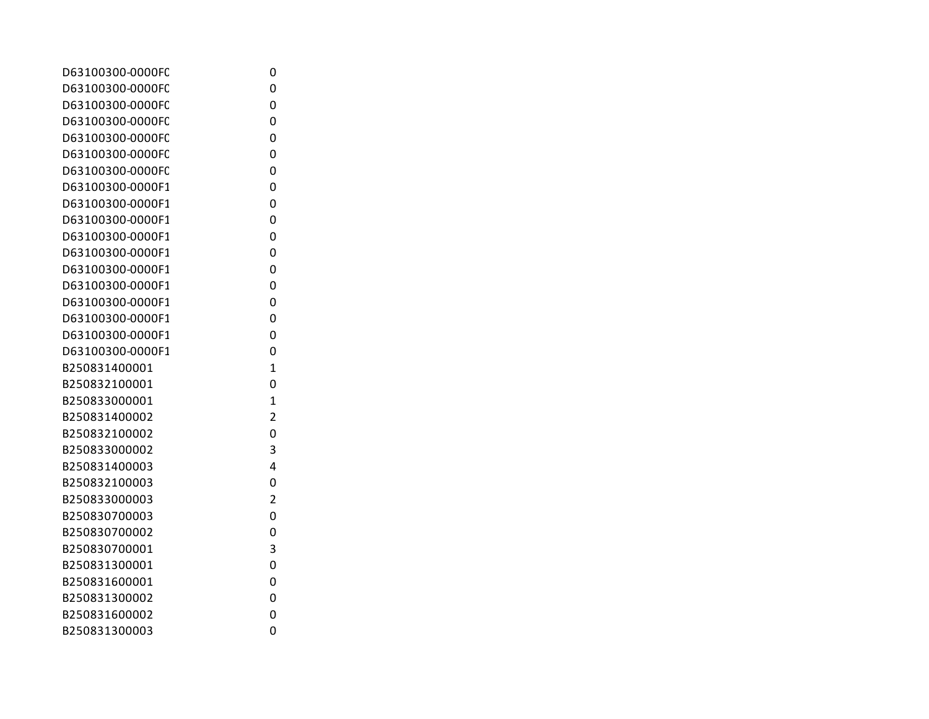| D63100300-0000FC | 0              |
|------------------|----------------|
| D63100300-0000FC | 0              |
| D63100300-0000FC | 0              |
| D63100300-0000FC | 0              |
| D63100300-0000FC | 0              |
| D63100300-0000FC | 0              |
| D63100300-0000FC | 0              |
| D63100300-0000F1 | 0              |
| D63100300-0000F1 | 0              |
| D63100300-0000F1 | 0              |
| D63100300-0000F1 | 0              |
| D63100300-0000F1 | 0              |
| D63100300-0000F1 | 0              |
| D63100300-0000F1 | 0              |
| D63100300-0000F1 | 0              |
| D63100300-0000F1 | 0              |
| D63100300-0000F1 | 0              |
| D63100300-0000F1 | 0              |
| B250831400001    | 1              |
| B250832100001    | 0              |
| B250833000001    | $\mathbf{1}$   |
| B250831400002    | 2              |
| B250832100002    | 0              |
| B250833000002    | 3              |
| B250831400003    | 4              |
| B250832100003    | 0              |
| B250833000003    | $\overline{2}$ |
| B250830700003    | 0              |
| B250830700002    | 0              |
| B250830700001    | 3              |
| B250831300001    | 0              |
| B250831600001    | 0              |
| B250831300002    | 0              |
| B250831600002    | 0              |
| B250831300003    | 0              |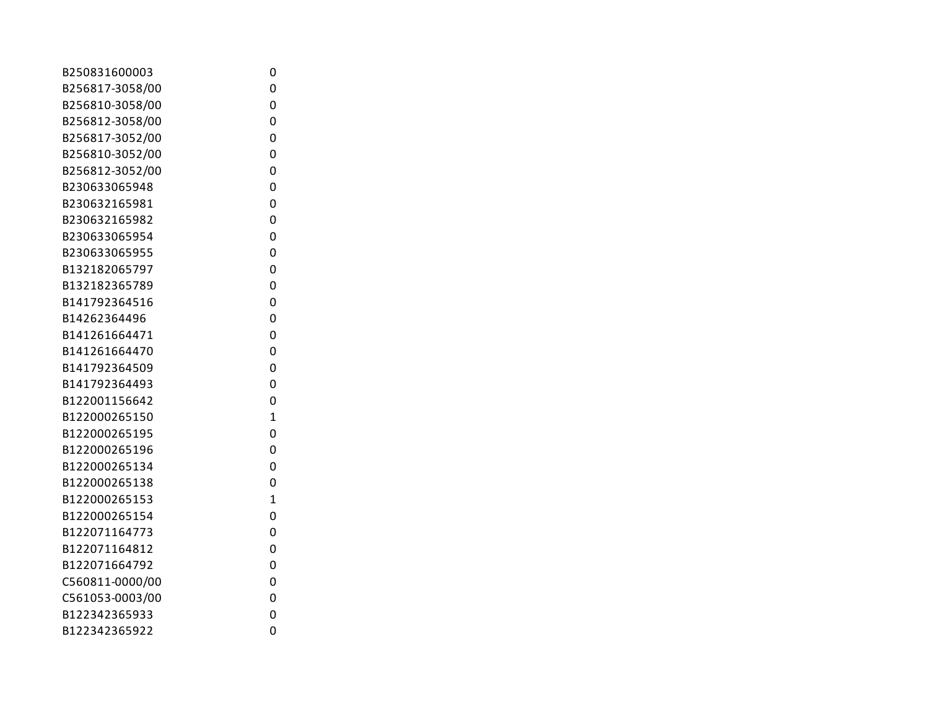| B250831600003   | 0              |
|-----------------|----------------|
| B256817-3058/00 | 0              |
| B256810-3058/00 | 0              |
| B256812-3058/00 | 0              |
| B256817-3052/00 | 0              |
| B256810-3052/00 | 0              |
| B256812-3052/00 | 0              |
| B230633065948   | 0              |
| B230632165981   | 0              |
| B230632165982   | 0              |
| B230633065954   | 0              |
| B230633065955   | 0              |
| B132182065797   | 0              |
| B132182365789   | 0              |
| B141792364516   | 0              |
| B14262364496    | 0              |
| B141261664471   | 0              |
| B141261664470   | 0              |
| B141792364509   | 0              |
| B141792364493   | 0              |
| B122001156642   | 0              |
| B122000265150   | $\overline{1}$ |
| B122000265195   | 0              |
| B122000265196   | 0              |
| B122000265134   | 0              |
| B122000265138   | 0              |
| B122000265153   | $\overline{1}$ |
| B122000265154   | 0              |
| B122071164773   | 0              |
| B122071164812   | 0              |
| B122071664792   | 0              |
| C560811-0000/00 | 0              |
| C561053-0003/00 | 0              |
| B122342365933   | 0              |
| B122342365922   | 0              |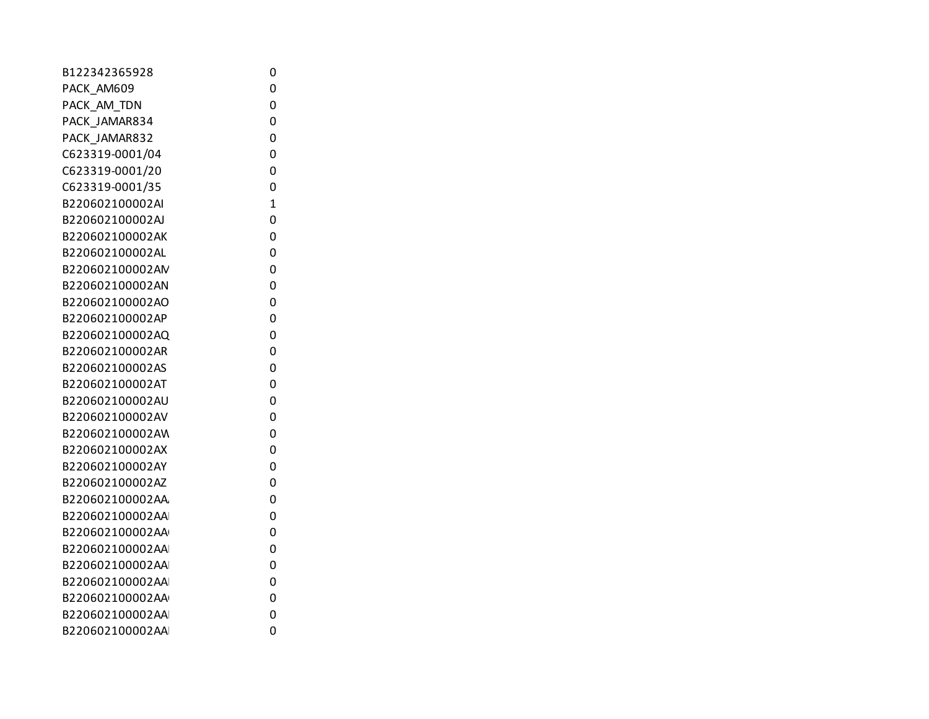| B122342365928   | 0            |
|-----------------|--------------|
| PACK AM609      | 0            |
| PACK_AM_TDN     | 0            |
| PACK_JAMAR834   | 0            |
| PACK_JAMAR832   | 0            |
| C623319-0001/04 | 0            |
| C623319-0001/20 | 0            |
| C623319-0001/35 | 0            |
| B220602100002AI | $\mathbf{1}$ |
| B220602100002AJ | 0            |
| B220602100002AK | 0            |
| B220602100002AL | 0            |
| B220602100002AN | 0            |
| B220602100002AN | 0            |
| B220602100002AO | 0            |
| B220602100002AP | 0            |
| B220602100002AQ | 0            |
| B220602100002AR | 0            |
| B220602100002AS | 0            |
| B220602100002AT | 0            |
| B220602100002AU | 0            |
| B220602100002AV | 0            |
| B220602100002AW | 0            |
| B220602100002AX | 0            |
| B220602100002AY | 0            |
| B220602100002AZ | 0            |
| B220602100002AA | 0            |
| B220602100002AA | 0            |
| B220602100002AA | 0            |
| B220602100002AA | 0            |
| B220602100002AA | 0            |
| B220602100002AA | 0            |
| B220602100002AA | 0            |
| B220602100002AA | 0            |
| B220602100002AA | 0            |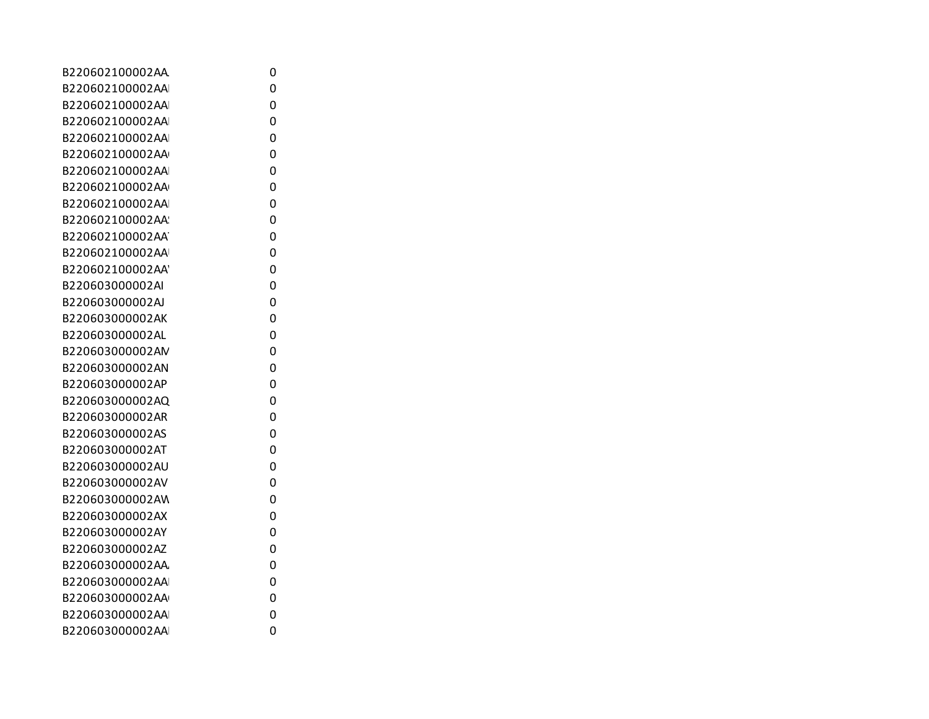| B220602100002AA | 0 |
|-----------------|---|
| B220602100002AA | 0 |
| B220602100002AA | 0 |
| B220602100002AA | 0 |
| B220602100002AA | 0 |
| B220602100002AA | 0 |
| B220602100002AA | 0 |
| B220602100002AA | 0 |
| B220602100002AA | 0 |
| B220602100002AA | 0 |
| B220602100002AA | 0 |
| B220602100002AA | 0 |
| B220602100002AA | 0 |
| B220603000002AI | 0 |
| B220603000002AJ | 0 |
| B220603000002AK | 0 |
| B220603000002AL | 0 |
| B220603000002AM | 0 |
| B220603000002AN | 0 |
| B220603000002AP | 0 |
| B220603000002AQ | 0 |
| B220603000002AR | 0 |
| B220603000002AS | 0 |
| B220603000002AT | 0 |
| B220603000002AU | 0 |
| B220603000002AV | 0 |
| B220603000002AW | 0 |
| B220603000002AX | 0 |
| B220603000002AY | 0 |
| B220603000002AZ | 0 |
| B220603000002AA | 0 |
| B220603000002AA | 0 |
| B220603000002AA | 0 |
| B220603000002AA | 0 |
| B220603000002AA | 0 |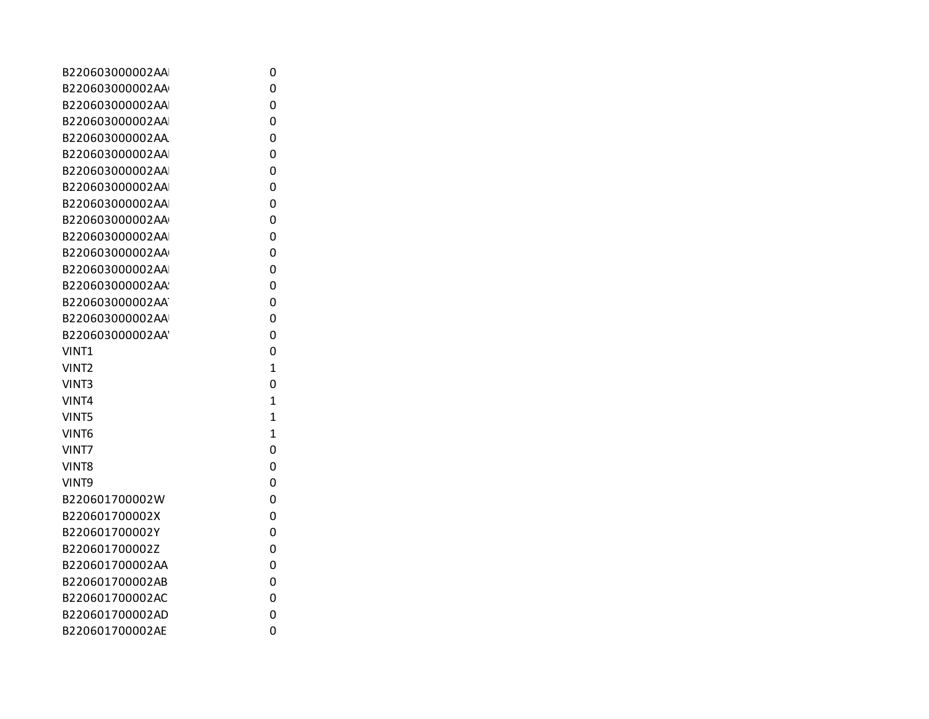| B220603000002AA  | 0              |
|------------------|----------------|
| B220603000002AA  | 0              |
| B220603000002AA  | 0              |
| B220603000002AA  | 0              |
| B220603000002AA  | 0              |
| B220603000002AA  | 0              |
| B220603000002AA  | 0              |
| B220603000002AA  | 0              |
| B220603000002AA  | 0              |
| B220603000002AA  | 0              |
| B220603000002AA  | 0              |
| B220603000002AA  | 0              |
| B220603000002AA  | 0              |
| B220603000002AA  | 0              |
| B220603000002AA  | 0              |
| B220603000002AA  | 0              |
| B220603000002AA' | 0              |
| VINT1            | 0              |
| VINT2            | $\mathbf{1}$   |
| VINT3            | 0              |
| VINT4            | $\mathbf{1}$   |
| <b>VINT5</b>     | $\overline{1}$ |
| VINT6            | $\mathbf{1}$   |
| VINT7            | 0              |
| VINT8            | 0              |
| VINT9            | 0              |
| B220601700002W   | 0              |
| B220601700002X   | 0              |
| B220601700002Y   | 0              |
| B220601700002Z   | 0              |
| B220601700002AA  | 0              |
| B220601700002AB  | 0              |
| B220601700002AC  | 0              |
| B220601700002AD  | 0              |
| B220601700002AE  | 0              |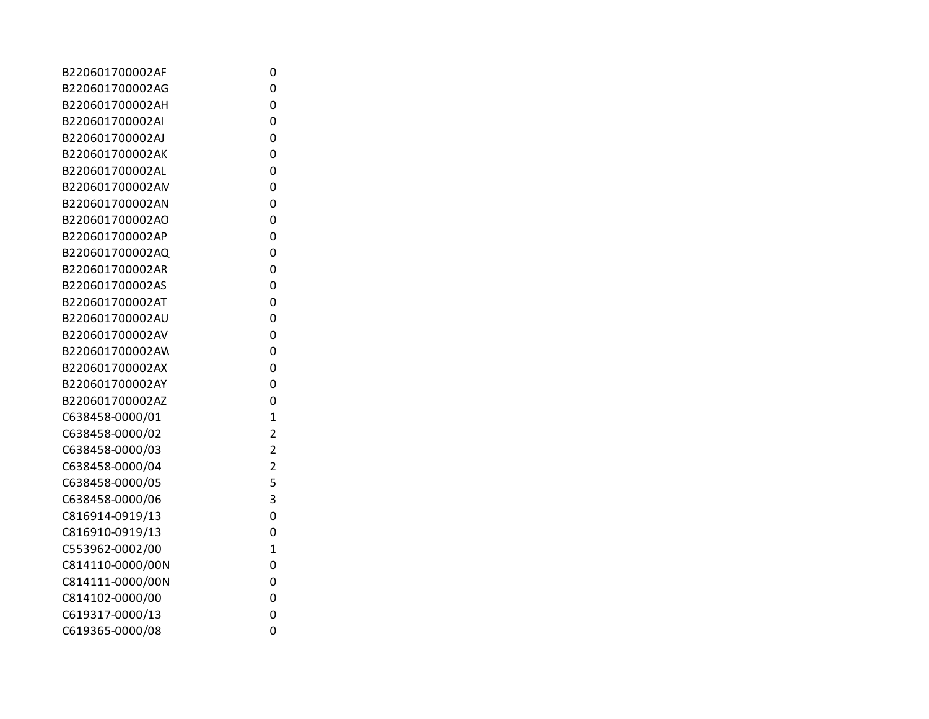| B220601700002AF  | 0                       |
|------------------|-------------------------|
| B220601700002AG  | 0                       |
| B220601700002AH  | 0                       |
| B220601700002AI  | 0                       |
| B220601700002AJ  | 0                       |
| B220601700002AK  | 0                       |
| B220601700002AL  | 0                       |
| B220601700002AM  | 0                       |
| B220601700002AN  | 0                       |
| B220601700002AO  | 0                       |
| B220601700002AP  | 0                       |
| B220601700002AQ  | 0                       |
| B220601700002AR  | 0                       |
| B220601700002AS  | 0                       |
| B220601700002AT  | 0                       |
| B220601700002AU  | 0                       |
| B220601700002AV  | 0                       |
| B220601700002AW  | 0                       |
| B220601700002AX  | 0                       |
| B220601700002AY  | 0                       |
| B220601700002AZ  | 0                       |
| C638458-0000/01  | $\overline{1}$          |
| C638458-0000/02  | $\overline{2}$          |
| C638458-0000/03  | $\overline{\mathbf{c}}$ |
| C638458-0000/04  | $\overline{2}$          |
| C638458-0000/05  | 5                       |
| C638458-0000/06  | 3                       |
| C816914-0919/13  | 0                       |
| C816910-0919/13  | 0                       |
| C553962-0002/00  | $\mathbf{1}$            |
| C814110-0000/00N | 0                       |
| C814111-0000/00N | 0                       |
| C814102-0000/00  | 0                       |
| C619317-0000/13  | 0                       |
| C619365-0000/08  | 0                       |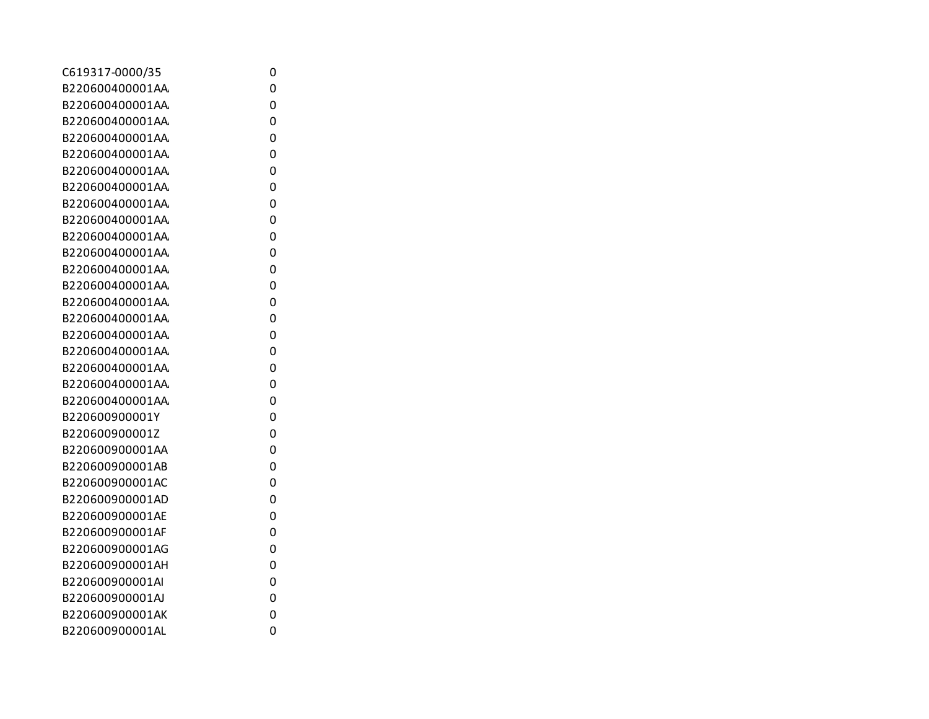| C619317-0000/35 | 0 |
|-----------------|---|
| B220600400001AA | 0 |
| B220600400001AA | 0 |
| B220600400001AA | 0 |
| B220600400001AA | 0 |
| B220600400001AA | 0 |
| B220600400001AA | 0 |
| B220600400001AA | 0 |
| B220600400001AA | 0 |
| B220600400001AA | 0 |
| B220600400001AA | 0 |
| B220600400001AA | 0 |
| B220600400001AA | 0 |
| B220600400001AA | 0 |
| B220600400001AA | 0 |
| B220600400001AA | 0 |
| B220600400001AA | 0 |
| B220600400001AA | 0 |
| B220600400001AA | 0 |
| B220600400001AA | 0 |
| B220600400001AA | 0 |
| B220600900001Y  | 0 |
| B220600900001Z  | 0 |
| B220600900001AA | 0 |
| B220600900001AB | 0 |
| B220600900001AC | 0 |
| B220600900001AD | 0 |
| B220600900001AE | 0 |
| B220600900001AF | 0 |
| B220600900001AG | 0 |
| B220600900001AH | 0 |
| B220600900001AI | 0 |
| B220600900001AJ | 0 |
| B220600900001AK | 0 |
| B220600900001AL | 0 |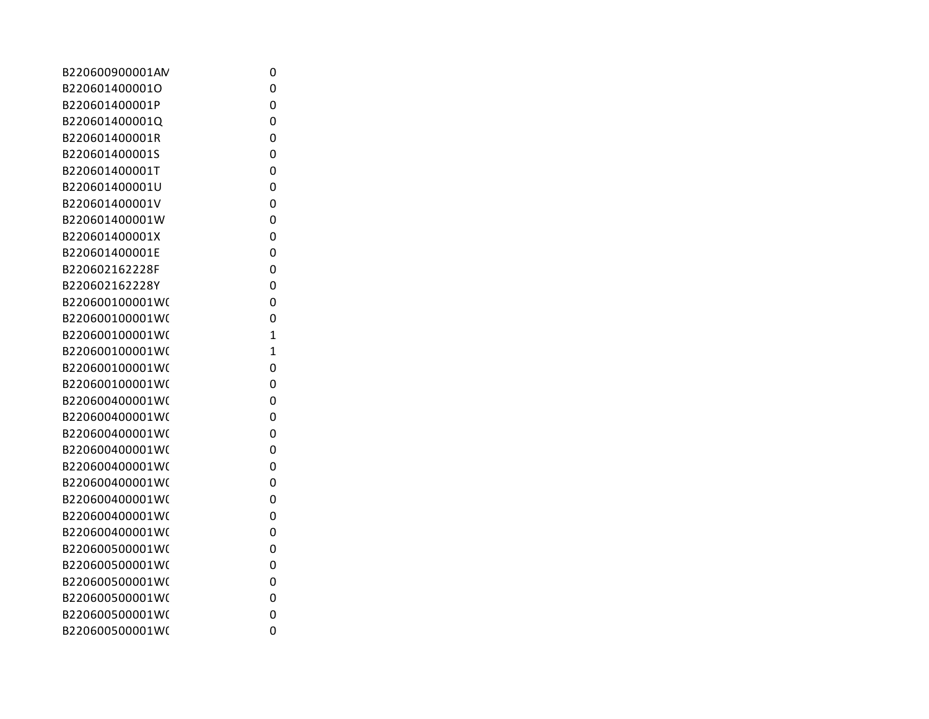| B220600900001AN | 0 |
|-----------------|---|
| B220601400001O  | 0 |
| B220601400001P  | 0 |
| B220601400001Q  | 0 |
| B220601400001R  | 0 |
| B220601400001S  | 0 |
| B220601400001T  | 0 |
| B220601400001U  | 0 |
| B220601400001V  | 0 |
| B220601400001W  | 0 |
| B220601400001X  | 0 |
| B220601400001E  | 0 |
| B220602162228F  | 0 |
| B220602162228Y  | 0 |
| B220600100001W( | 0 |
| B220600100001W( | 0 |
| B220600100001W( | 1 |
| B220600100001W( | 1 |
| B220600100001W( | 0 |
| B220600100001W( | 0 |
| B220600400001W( | 0 |
| B220600400001W( | 0 |
| B220600400001W( | 0 |
| B220600400001W( | 0 |
| B220600400001W( | 0 |
| B220600400001W( | 0 |
| B220600400001W( | 0 |
| B220600400001W( | 0 |
| B220600400001W( | 0 |
| B220600500001W( | 0 |
| B220600500001W( | 0 |
| B220600500001W( | 0 |
| B220600500001W( | 0 |
| B220600500001W( | 0 |
| B220600500001W( | 0 |
|                 |   |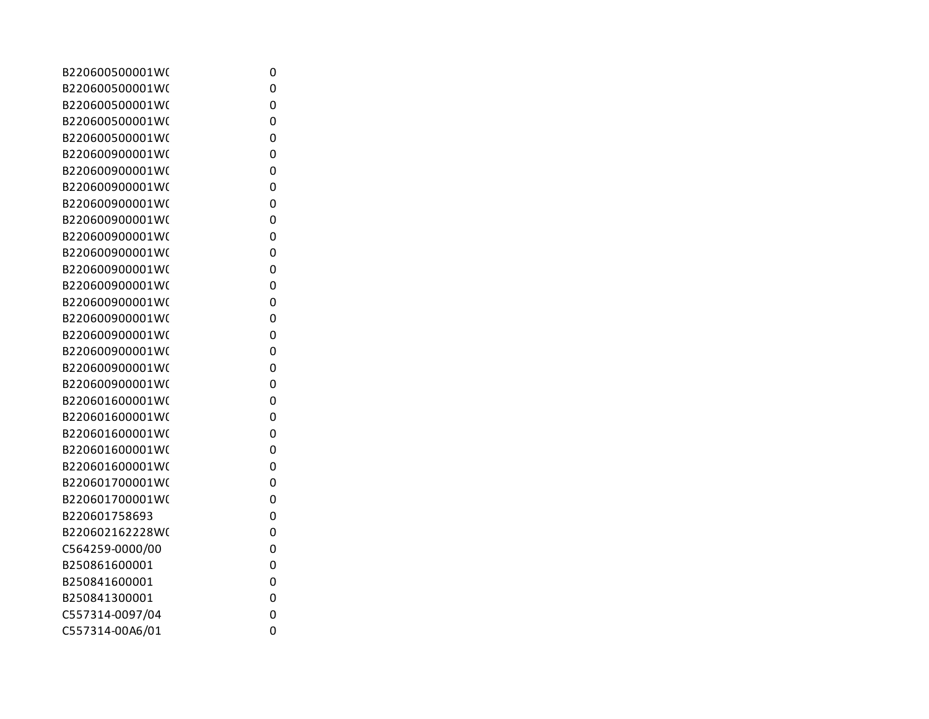| B220600500001W( | 0 |
|-----------------|---|
| B220600500001W( | 0 |
| B220600500001W( | 0 |
| B220600500001W( | 0 |
| B220600500001W( | 0 |
| B220600900001W( | 0 |
| B220600900001W( | 0 |
| B220600900001W( | 0 |
| B220600900001W( | 0 |
| B220600900001W( | 0 |
| B220600900001W( | 0 |
| B220600900001W( | 0 |
| B220600900001W( | 0 |
| B220600900001W( | 0 |
| B220600900001W( | 0 |
| B220600900001W( | 0 |
| B220600900001W( | 0 |
| B220600900001W( | 0 |
| B220600900001W( | 0 |
| B220600900001W( | 0 |
| B220601600001W( | 0 |
| B220601600001W( | 0 |
| B220601600001W( | 0 |
| B220601600001W( | 0 |
| B220601600001W( | 0 |
| B220601700001W( | 0 |
| B220601700001W( | 0 |
| B220601758693   | 0 |
| B220602162228W( | 0 |
| C564259-0000/00 | 0 |
| B250861600001   | 0 |
| B250841600001   | 0 |
| B250841300001   | 0 |
| C557314-0097/04 | 0 |
| C557314-00A6/01 | 0 |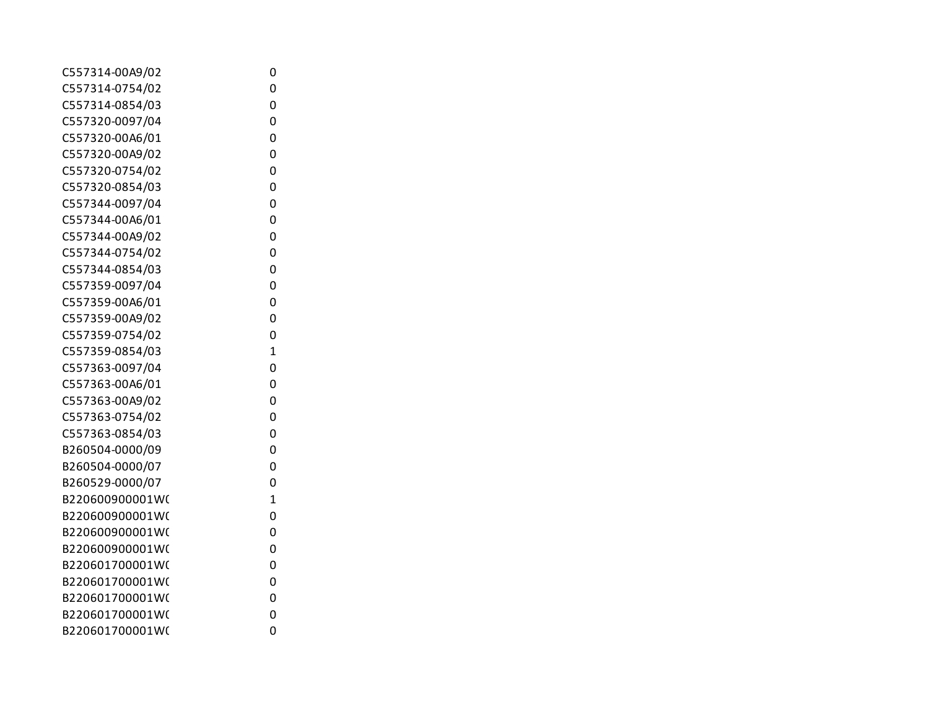| C557314-00A9/02 | 0            |
|-----------------|--------------|
| C557314-0754/02 | 0            |
| C557314-0854/03 | 0            |
| C557320-0097/04 | 0            |
| C557320-00A6/01 | 0            |
| C557320-00A9/02 | 0            |
| C557320-0754/02 | 0            |
| C557320-0854/03 | 0            |
| C557344-0097/04 | 0            |
| C557344-00A6/01 | 0            |
| C557344-00A9/02 | 0            |
| C557344-0754/02 | 0            |
| C557344-0854/03 | 0            |
| C557359-0097/04 | 0            |
| C557359-00A6/01 | 0            |
| C557359-00A9/02 | 0            |
| C557359-0754/02 | 0            |
| C557359-0854/03 | $\mathbf{1}$ |
| C557363-0097/04 | 0            |
| C557363-00A6/01 | 0            |
| C557363-00A9/02 | 0            |
| C557363-0754/02 | 0            |
| C557363-0854/03 | 0            |
| B260504-0000/09 | 0            |
| B260504-0000/07 | 0            |
| B260529-0000/07 | 0            |
| B220600900001W( | $\mathbf{1}$ |
| B220600900001W( | 0            |
| B220600900001W( | 0            |
| B220600900001W( | 0            |
| B220601700001W( | 0            |
| B220601700001W( | 0            |
| B220601700001W( | 0            |
| B220601700001W( | 0            |
| B220601700001W( | 0            |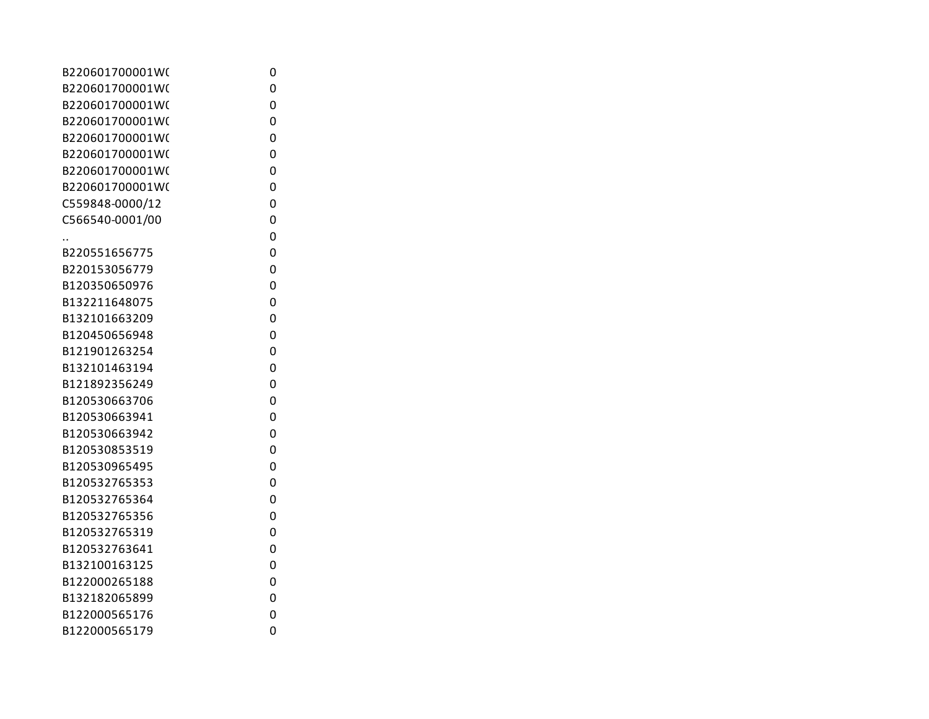| B220601700001W( | 0 |
|-----------------|---|
| B220601700001W( | 0 |
| B220601700001W( | 0 |
| B220601700001W( | 0 |
| B220601700001W( | 0 |
| B220601700001W( | 0 |
| B220601700001W( | 0 |
| B220601700001W( | 0 |
| C559848-0000/12 | 0 |
| C566540-0001/00 | 0 |
|                 | 0 |
| B220551656775   | 0 |
| B220153056779   | 0 |
| B120350650976   | 0 |
| B132211648075   | 0 |
| B132101663209   | 0 |
| B120450656948   | 0 |
| B121901263254   | 0 |
| B132101463194   | 0 |
| B121892356249   | 0 |
| B120530663706   | 0 |
| B120530663941   | 0 |
| B120530663942   | 0 |
| B120530853519   | 0 |
| B120530965495   | 0 |
| B120532765353   | 0 |
| B120532765364   | 0 |
| B120532765356   | 0 |
| B120532765319   | 0 |
| B120532763641   | 0 |
| B132100163125   | 0 |
| B122000265188   | 0 |
| B132182065899   | 0 |
| B122000565176   | 0 |
| B122000565179   | 0 |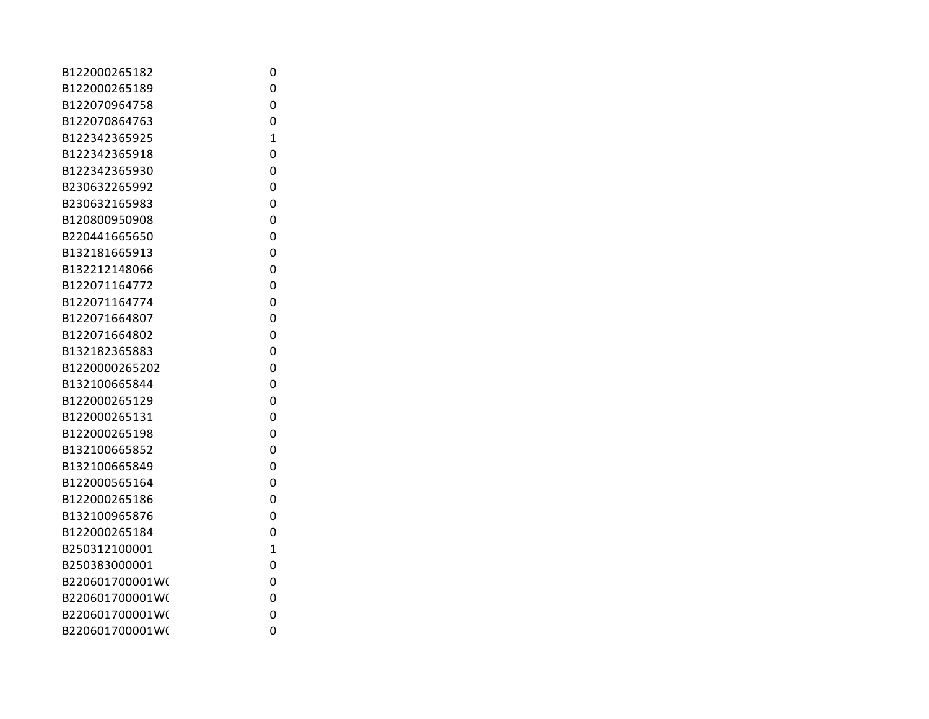| B122000265182   | 0              |
|-----------------|----------------|
| B122000265189   | 0              |
| B122070964758   | 0              |
| B122070864763   | 0              |
| B122342365925   | 1              |
| B122342365918   | 0              |
| B122342365930   | 0              |
| B230632265992   | 0              |
| B230632165983   | 0              |
| B120800950908   | 0              |
| B220441665650   | 0              |
| B132181665913   | 0              |
| B132212148066   | 0              |
| B122071164772   | 0              |
| B122071164774   | 0              |
| B122071664807   | 0              |
| B122071664802   | 0              |
| B132182365883   | 0              |
| B1220000265202  | 0              |
| B132100665844   | 0              |
| B122000265129   | 0              |
| B122000265131   | 0              |
| B122000265198   | 0              |
| B132100665852   | 0              |
| B132100665849   | 0              |
| B122000565164   | 0              |
| B122000265186   | 0              |
| B132100965876   | 0              |
| B122000265184   | 0              |
| B250312100001   | $\overline{1}$ |
| B250383000001   | 0              |
| B220601700001W( | 0              |
| B220601700001W( | 0              |
| B220601700001W( | 0              |
| B220601700001W( | 0              |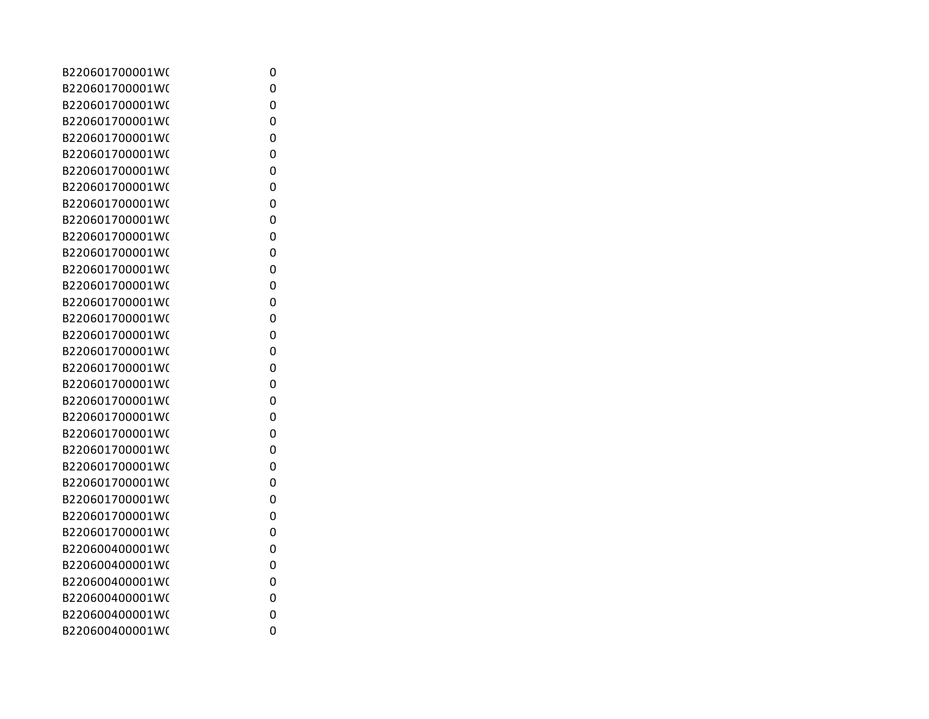| B220601700001W( | 0 |
|-----------------|---|
| B220601700001W( | 0 |
| B220601700001W( | 0 |
| B220601700001W( | 0 |
| B220601700001W( | 0 |
| B220601700001W( | 0 |
| B220601700001W( | 0 |
| B220601700001W( | 0 |
| B220601700001W( | 0 |
| B220601700001W( | 0 |
| B220601700001W( | 0 |
| B220601700001W( | 0 |
| B220601700001W( | 0 |
| B220601700001W( | 0 |
| B220601700001W( | 0 |
| B220601700001W( | 0 |
| B220601700001W( | 0 |
| B220601700001W( | 0 |
| B220601700001W( | 0 |
| B220601700001W( | 0 |
| B220601700001W( | 0 |
| B220601700001W( | 0 |
| B220601700001W( | 0 |
| B220601700001W( | 0 |
| B220601700001W( | 0 |
| B220601700001W( | 0 |
| B220601700001W( | 0 |
| B220601700001W( | 0 |
| B220601700001W( | 0 |
| B220600400001W( | 0 |
| B220600400001W( | 0 |
| B220600400001W( | 0 |
| B220600400001W( | 0 |
| B220600400001W( | 0 |
| B220600400001W( | 0 |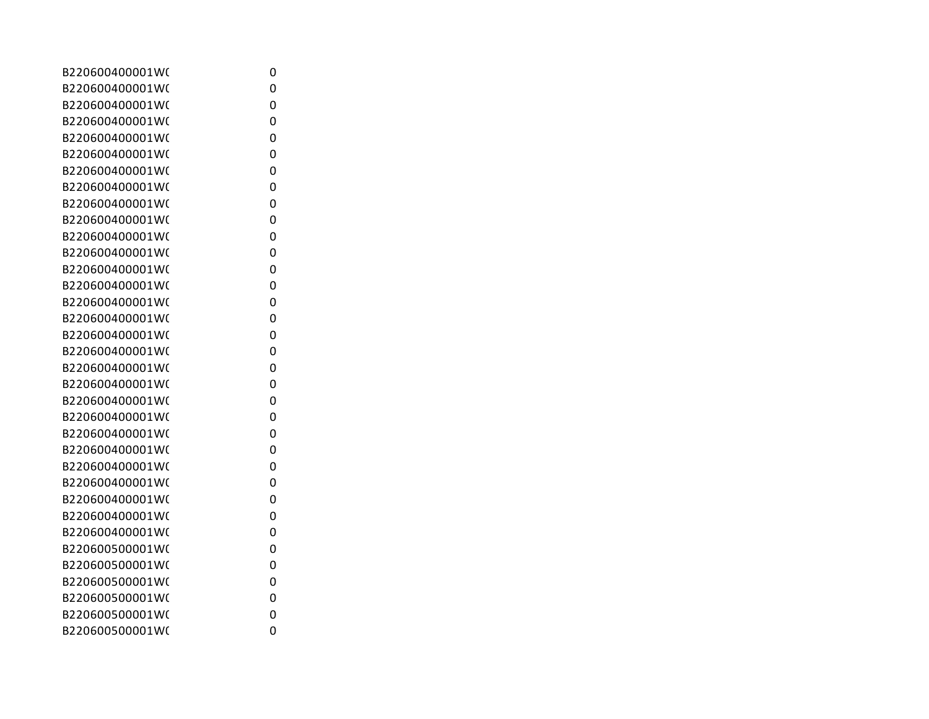| B220600400001W( | 0 |
|-----------------|---|
| B220600400001W( | 0 |
| B220600400001W( | 0 |
| B220600400001W( | 0 |
| B220600400001W( | 0 |
| B220600400001W( | 0 |
| B220600400001W( | 0 |
| B220600400001W( | 0 |
| B220600400001W( | 0 |
| B220600400001W( | 0 |
| B220600400001W( | 0 |
| B220600400001W( | 0 |
| B220600400001W( | 0 |
| B220600400001W( | 0 |
| B220600400001W( | 0 |
| B220600400001W( | 0 |
| B220600400001W( | 0 |
| B220600400001W( | 0 |
| B220600400001W( | 0 |
| B220600400001W( | 0 |
| B220600400001W( | 0 |
| B220600400001W( | 0 |
| B220600400001W( | 0 |
| B220600400001W( | 0 |
| B220600400001W( | 0 |
| B220600400001W( | 0 |
| B220600400001W( | 0 |
| B220600400001W( | 0 |
| B220600400001W( | 0 |
| B220600500001W( | 0 |
| B220600500001W( | 0 |
| B220600500001W( | 0 |
| B220600500001W( | 0 |
| B220600500001W( | 0 |
| B220600500001W( | 0 |
|                 |   |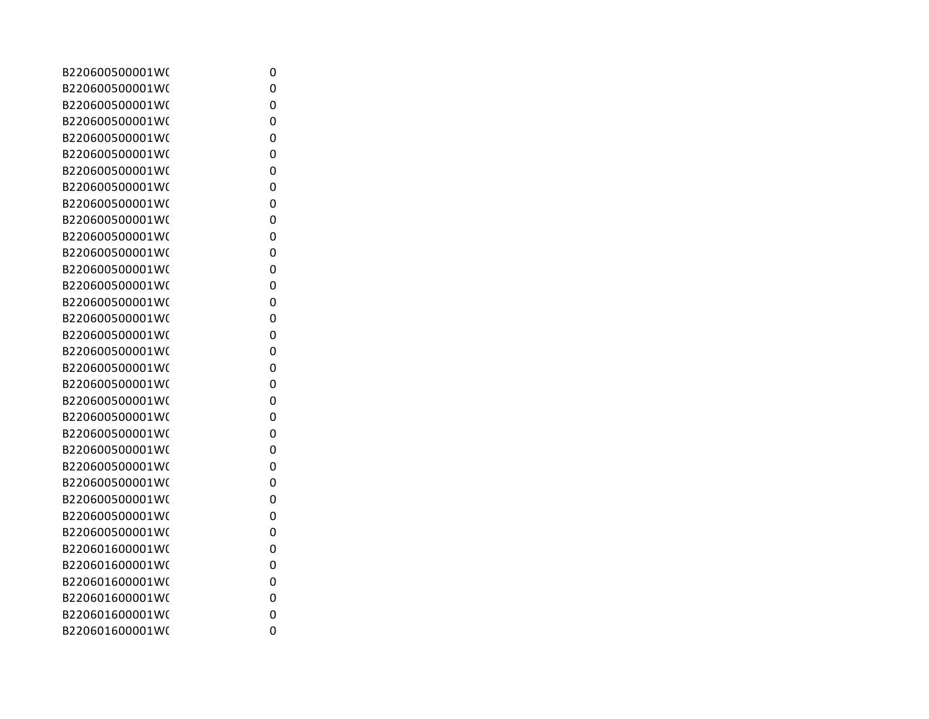| B220600500001W( | 0 |
|-----------------|---|
| B220600500001W( | 0 |
| B220600500001W( | 0 |
| B220600500001W( | 0 |
| B220600500001W( | 0 |
| B220600500001W( | 0 |
| B220600500001W( | 0 |
| B220600500001W( | 0 |
| B220600500001W( | 0 |
| B220600500001W( | 0 |
| B220600500001W( | 0 |
| B220600500001W( | 0 |
| B220600500001W( | 0 |
| B220600500001W( | 0 |
| B220600500001W( | 0 |
| B220600500001W( | 0 |
| B220600500001W( | 0 |
| B220600500001W( | 0 |
| B220600500001W( | 0 |
| B220600500001W( | 0 |
| B220600500001W( | 0 |
| B220600500001W( | 0 |
| B220600500001W( | 0 |
| B220600500001W( | 0 |
| B220600500001W( | 0 |
| B220600500001W( | 0 |
| B220600500001W( | 0 |
| B220600500001W( | 0 |
| B220600500001W( | 0 |
| B220601600001W( | 0 |
| B220601600001W( | 0 |
| B220601600001W( | 0 |
| B220601600001W( | 0 |
| B220601600001W( | 0 |
| B220601600001W( | 0 |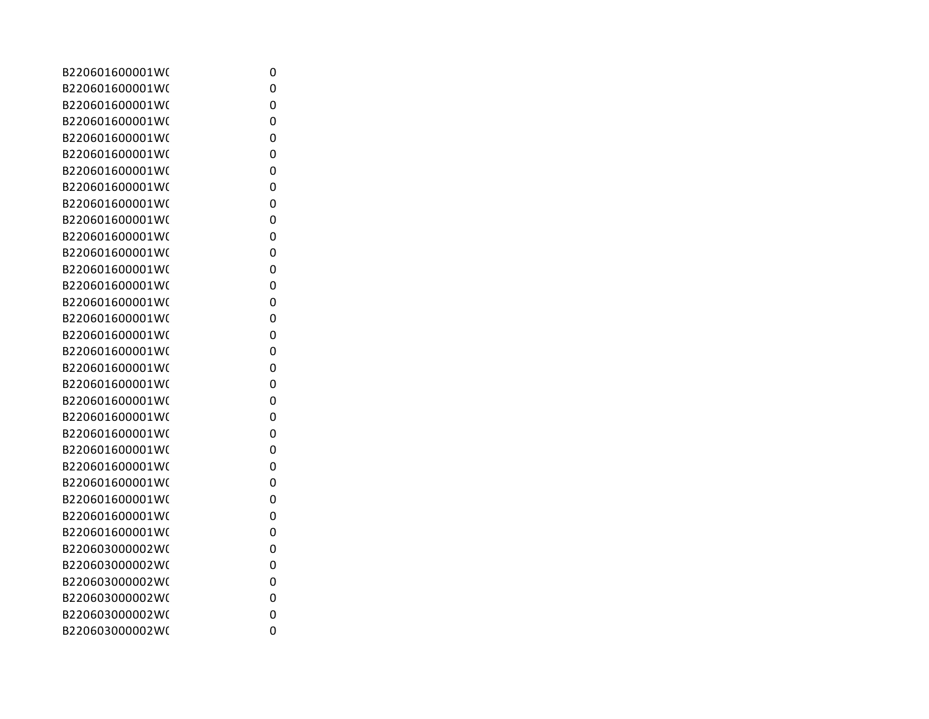| B220601600001W( | 0 |
|-----------------|---|
| B220601600001W( | 0 |
| B220601600001W( | 0 |
| B220601600001W( | 0 |
| B220601600001W( | 0 |
| B220601600001W( | 0 |
| B220601600001W( | 0 |
| B220601600001W( | 0 |
| B220601600001W( | 0 |
| B220601600001W( | 0 |
| B220601600001W( | 0 |
| B220601600001W( | 0 |
| B220601600001W( | 0 |
| B220601600001W( | 0 |
| B220601600001W( | 0 |
| B220601600001W( | 0 |
| B220601600001W( | 0 |
| B220601600001W( | 0 |
| B220601600001W( | 0 |
| B220601600001W( | 0 |
| B220601600001W( | 0 |
| B220601600001W( | 0 |
| B220601600001W( | 0 |
| B220601600001W( | 0 |
| B220601600001W( | 0 |
| B220601600001W( | 0 |
| B220601600001W( | 0 |
| B220601600001W( | 0 |
| B220601600001W( | 0 |
| B220603000002W( | 0 |
| B220603000002W( | 0 |
| B220603000002W( | 0 |
| B220603000002W( | 0 |
| B220603000002W( | 0 |
| B220603000002W( | 0 |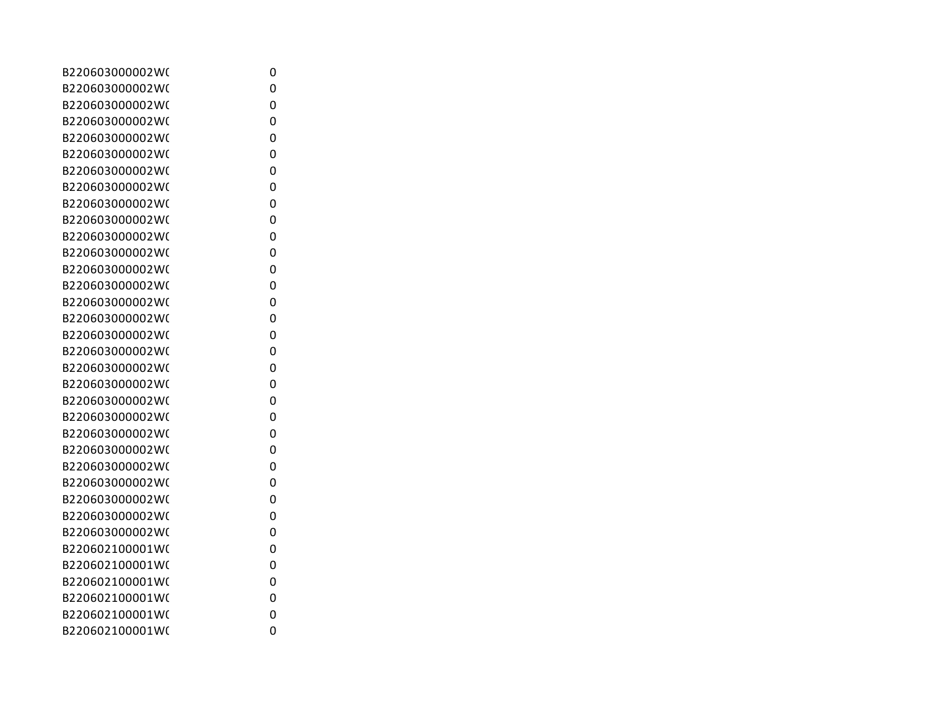| B220603000002W( | 0 |
|-----------------|---|
| B220603000002W( | 0 |
| B220603000002W( | 0 |
| B220603000002W( | 0 |
| B220603000002W( | 0 |
| B220603000002W( | 0 |
| B220603000002W( | 0 |
| B220603000002W( | 0 |
| B220603000002W( | 0 |
| B220603000002W( | 0 |
| B220603000002W( | 0 |
| B220603000002W( | 0 |
| B220603000002W( | 0 |
| B220603000002W( | 0 |
| B220603000002W( | 0 |
| B220603000002W( | 0 |
| B220603000002W( | 0 |
| B220603000002W( | 0 |
| B220603000002W( | 0 |
| B220603000002W( | 0 |
| B220603000002W( | 0 |
| B220603000002W( | 0 |
| B220603000002W( | 0 |
| B220603000002W( | 0 |
| B220603000002W( | 0 |
| B220603000002W( | 0 |
| B220603000002W( | 0 |
| B220603000002W( | 0 |
| B220603000002W( | 0 |
| B220602100001W( | 0 |
| B220602100001W( | 0 |
| B220602100001W( | 0 |
| B220602100001W( | 0 |
| B220602100001W( | 0 |
| B220602100001W( | 0 |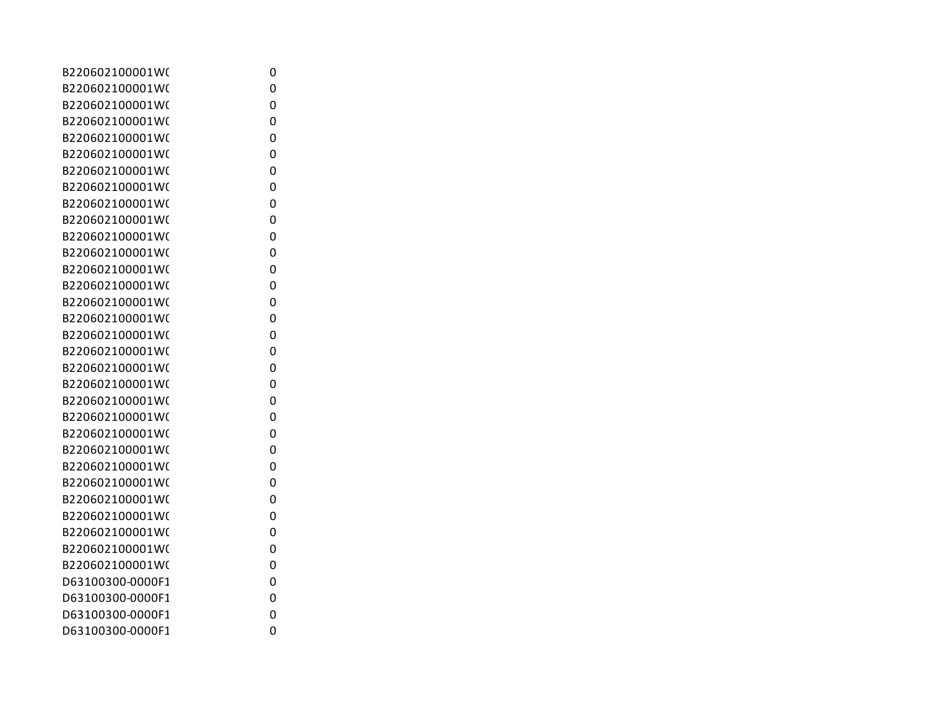| B220602100001W(  | 0 |
|------------------|---|
| B220602100001W(  | 0 |
| B220602100001W(  | 0 |
| B220602100001W(  | 0 |
| B220602100001W(  | 0 |
| B220602100001W(  | 0 |
| B220602100001W(  | 0 |
| B220602100001W(  | 0 |
| B220602100001W(  | 0 |
| B220602100001W(  | 0 |
| B220602100001W(  | 0 |
| B220602100001W(  | 0 |
| B220602100001W(  | 0 |
| B220602100001W(  | 0 |
| B220602100001W(  | 0 |
| B220602100001W(  | 0 |
| B220602100001W(  | 0 |
| B220602100001W(  | 0 |
| B220602100001W(  | 0 |
| B220602100001W(  | 0 |
| B220602100001W(  | 0 |
| B220602100001W(  | 0 |
| B220602100001W(  | 0 |
| B220602100001W(  | 0 |
| B220602100001W(  | 0 |
| B220602100001W(  | 0 |
| B220602100001W(  | 0 |
| B220602100001W(  | 0 |
| B220602100001W(  | 0 |
| B220602100001W(  | 0 |
| B220602100001W(  | 0 |
| D63100300-0000F1 | 0 |
| D63100300-0000F1 | 0 |
| D63100300-0000F1 | 0 |
| D63100300-0000F1 | 0 |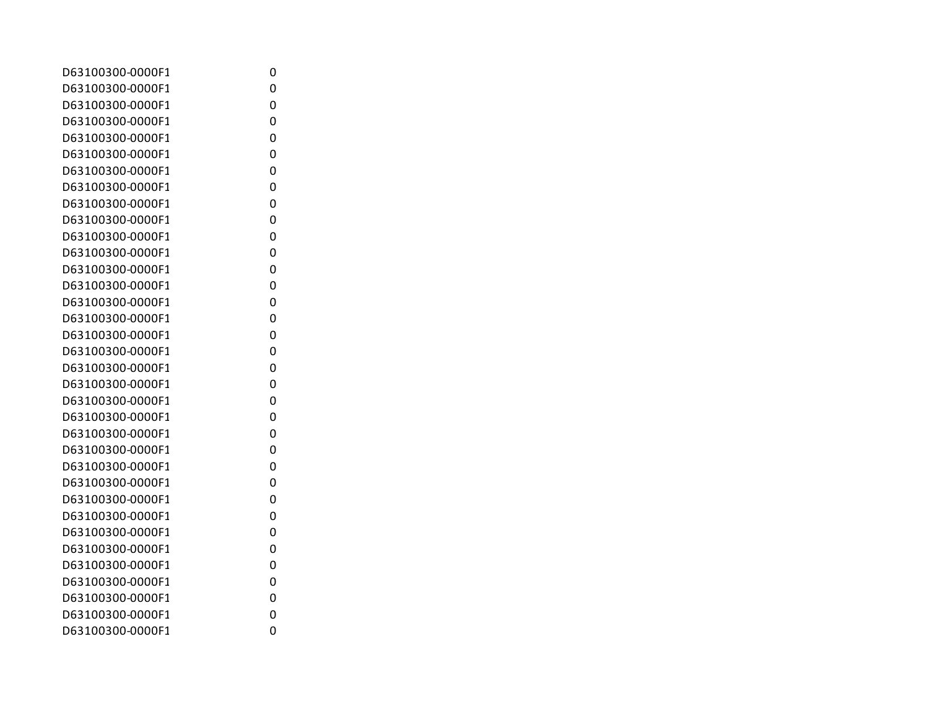| D63100300-0000F1 | 0 |
|------------------|---|
| D63100300-0000F1 | 0 |
| D63100300-0000F1 | 0 |
| D63100300-0000F1 | 0 |
| D63100300-0000F1 | 0 |
| D63100300-0000F1 | 0 |
| D63100300-0000F1 | 0 |
| D63100300-0000F1 | 0 |
| D63100300-0000F1 | 0 |
| D63100300-0000F1 | 0 |
| D63100300-0000F1 | 0 |
| D63100300-0000F1 | 0 |
| D63100300-0000F1 | 0 |
| D63100300-0000F1 | 0 |
| D63100300-0000F1 | 0 |
| D63100300-0000F1 | 0 |
| D63100300-0000F1 | 0 |
| D63100300-0000F1 | 0 |
| D63100300-0000F1 | 0 |
| D63100300-0000F1 | 0 |
| D63100300-0000F1 | 0 |
| D63100300-0000F1 | 0 |
| D63100300-0000F1 | 0 |
| D63100300-0000F1 | 0 |
| D63100300-0000F1 | 0 |
| D63100300-0000F1 | 0 |
| D63100300-0000F1 | 0 |
| D63100300-0000F1 | 0 |
| D63100300-0000F1 | 0 |
| D63100300-0000F1 | 0 |
| D63100300-0000F1 | 0 |
| D63100300-0000F1 | 0 |
| D63100300-0000F1 | 0 |
| D63100300-0000F1 | 0 |
| D63100300-0000F1 | 0 |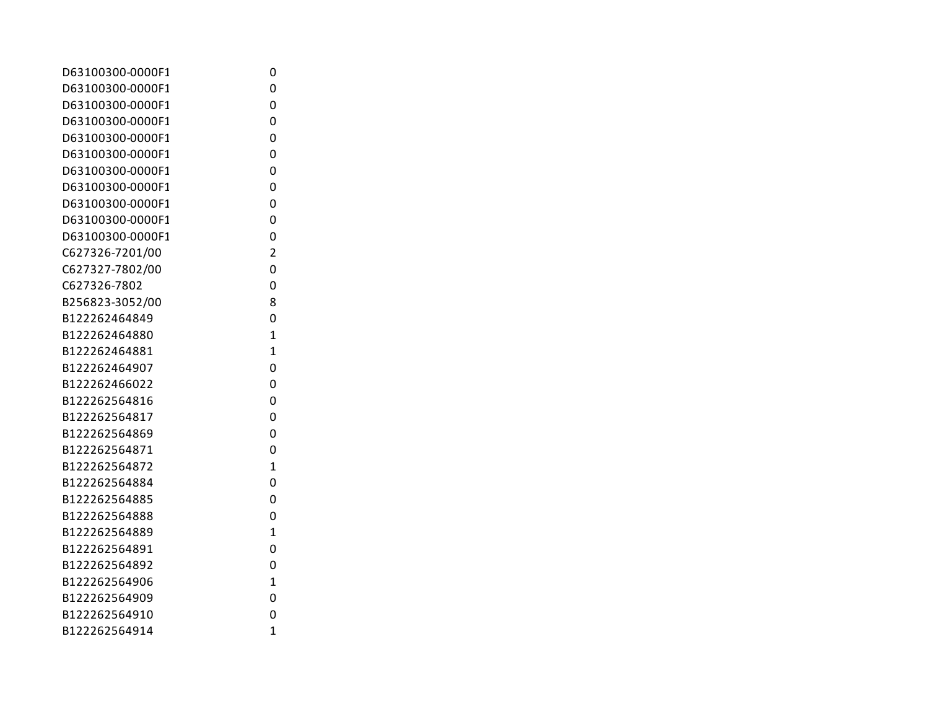| D63100300-0000F1 | 0              |
|------------------|----------------|
| D63100300-0000F1 | 0              |
| D63100300-0000F1 | 0              |
| D63100300-0000F1 | 0              |
| D63100300-0000F1 | 0              |
| D63100300-0000F1 | 0              |
| D63100300-0000F1 | 0              |
| D63100300-0000F1 | 0              |
| D63100300-0000F1 | 0              |
| D63100300-0000F1 | 0              |
| D63100300-0000F1 | 0              |
| C627326-7201/00  | $\overline{2}$ |
| C627327-7802/00  | 0              |
| C627326-7802     | 0              |
| B256823-3052/00  | 8              |
| B122262464849    | 0              |
| B122262464880    | $\mathbf{1}$   |
| B122262464881    | $\overline{1}$ |
| B122262464907    | 0              |
| B122262466022    | 0              |
| B122262564816    | 0              |
| B122262564817    | 0              |
| B122262564869    | 0              |
| B122262564871    | 0              |
| B122262564872    | $\overline{1}$ |
| B122262564884    | 0              |
| B122262564885    | 0              |
| B122262564888    | 0              |
| B122262564889    | $\overline{1}$ |
| B122262564891    | 0              |
| B122262564892    | 0              |
| B122262564906    | $\mathbf{1}$   |
| B122262564909    | 0              |
| B122262564910    | 0              |
| B122262564914    | $\overline{1}$ |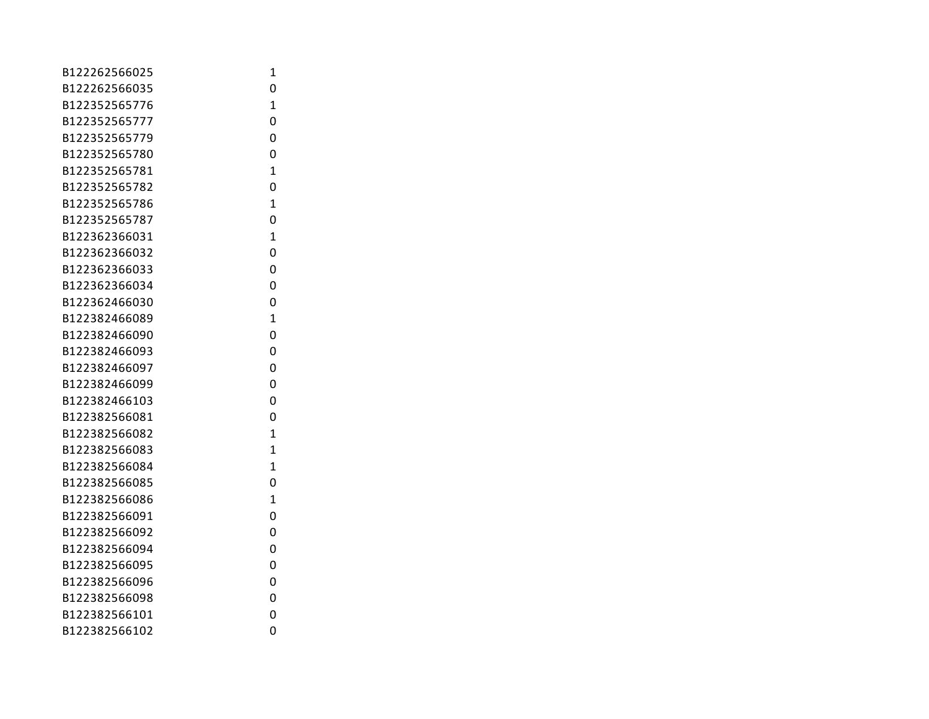| B122262566025 | 1              |
|---------------|----------------|
| B122262566035 | 0              |
| B122352565776 | $\mathbf{1}$   |
| B122352565777 | 0              |
| B122352565779 | 0              |
| B122352565780 | 0              |
| B122352565781 | $\mathbf{1}$   |
| B122352565782 | 0              |
| B122352565786 | $\mathbf{1}$   |
| B122352565787 | 0              |
| B122362366031 | $\mathbf{1}$   |
| B122362366032 | 0              |
| B122362366033 | 0              |
| B122362366034 | 0              |
| B122362466030 | 0              |
| B122382466089 | $\mathbf{1}$   |
| B122382466090 | 0              |
| B122382466093 | 0              |
| B122382466097 | 0              |
| B122382466099 | 0              |
| B122382466103 | 0              |
| B122382566081 | 0              |
| B122382566082 | $\mathbf{1}$   |
| B122382566083 | 1              |
| B122382566084 | $\mathbf{1}$   |
| B122382566085 | 0              |
| B122382566086 | $\overline{1}$ |
| B122382566091 | 0              |
| B122382566092 | 0              |
| B122382566094 | 0              |
| B122382566095 | 0              |
| B122382566096 | 0              |
| B122382566098 | 0              |
| B122382566101 | 0              |
| B122382566102 | 0              |
|               |                |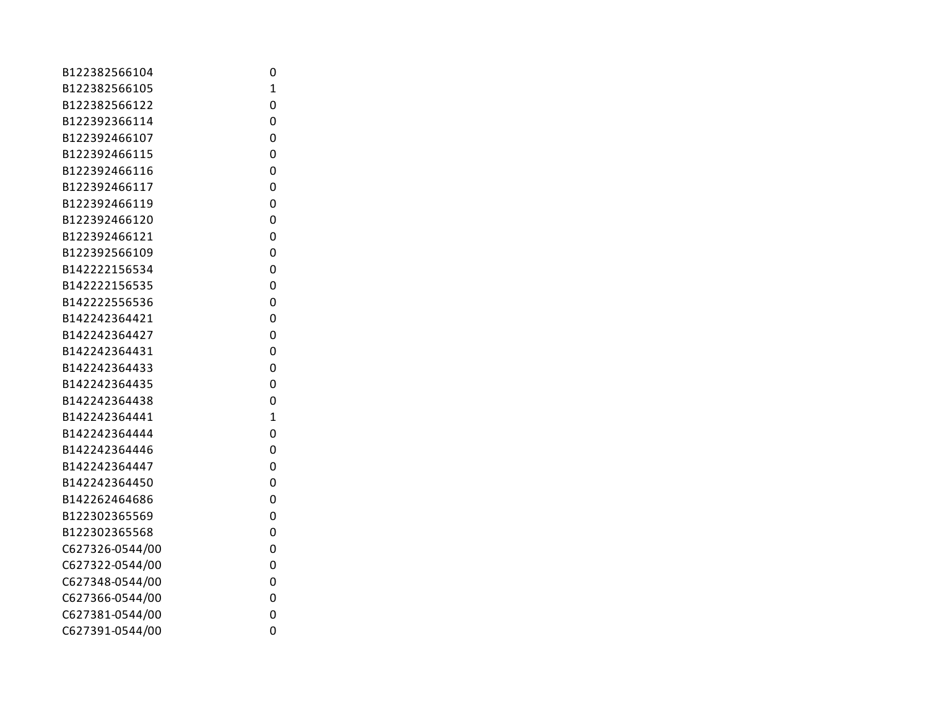| B122382566104   | 0              |
|-----------------|----------------|
| B122382566105   | $\overline{1}$ |
| B122382566122   | 0              |
| B122392366114   | 0              |
| B122392466107   | 0              |
| B122392466115   | 0              |
| B122392466116   | 0              |
| B122392466117   | 0              |
| B122392466119   | 0              |
| B122392466120   | 0              |
| B122392466121   | 0              |
| B122392566109   | 0              |
| B142222156534   | 0              |
| B142222156535   | 0              |
| B142222556536   | 0              |
| B142242364421   | 0              |
| B142242364427   | 0              |
| B142242364431   | 0              |
| B142242364433   | 0              |
| B142242364435   | 0              |
| B142242364438   | 0              |
| B142242364441   | $\mathbf{1}$   |
| B142242364444   | 0              |
| B142242364446   | 0              |
| B142242364447   | 0              |
| B142242364450   | 0              |
| B142262464686   | 0              |
| B122302365569   | 0              |
| B122302365568   | 0              |
| C627326-0544/00 | 0              |
| C627322-0544/00 | 0              |
| C627348-0544/00 | 0              |
| C627366-0544/00 | 0              |
| C627381-0544/00 | 0              |
| C627391-0544/00 | 0              |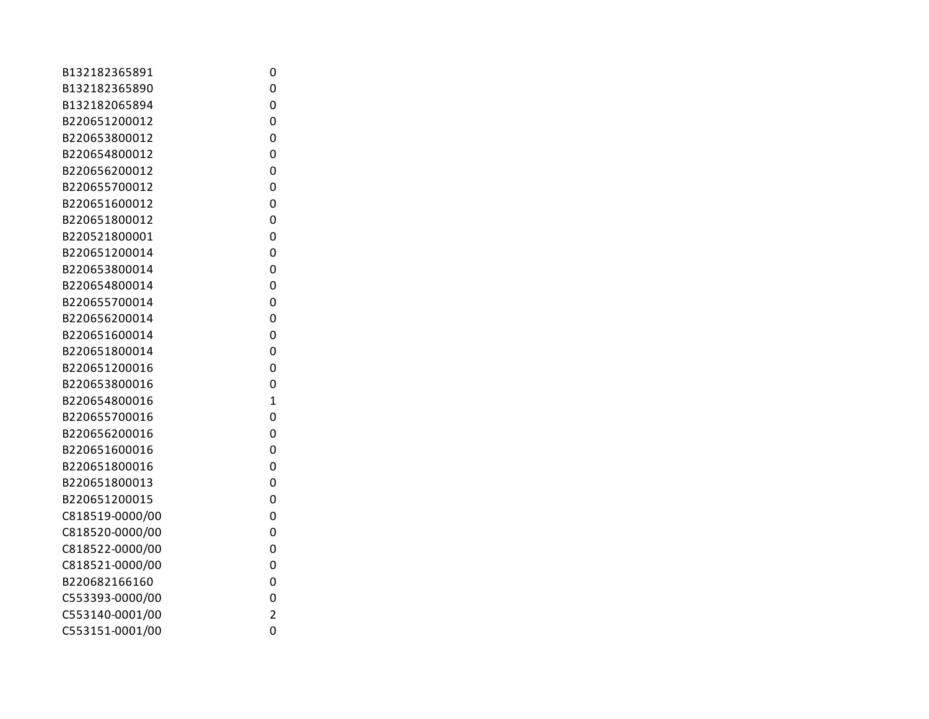| B132182365891   | 0              |
|-----------------|----------------|
| B132182365890   | 0              |
| B132182065894   | 0              |
| B220651200012   | 0              |
| B220653800012   | 0              |
| B220654800012   | 0              |
| B220656200012   | 0              |
| B220655700012   | 0              |
| B220651600012   | 0              |
| B220651800012   | 0              |
| B220521800001   | 0              |
| B220651200014   | 0              |
| B220653800014   | 0              |
| B220654800014   | 0              |
| B220655700014   | 0              |
| B220656200014   | 0              |
| B220651600014   | 0              |
| B220651800014   | 0              |
| B220651200016   | 0              |
| B220653800016   | 0              |
| B220654800016   | $\overline{1}$ |
| B220655700016   | 0              |
| B220656200016   | 0              |
| B220651600016   | 0              |
| B220651800016   | 0              |
| B220651800013   | 0              |
| B220651200015   | 0              |
| C818519-0000/00 | 0              |
| C818520-0000/00 | 0              |
| C818522-0000/00 | 0              |
| C818521-0000/00 | 0              |
| B220682166160   | 0              |
| C553393-0000/00 | 0              |
| C553140-0001/00 | $\overline{c}$ |
| C553151-0001/00 | 0              |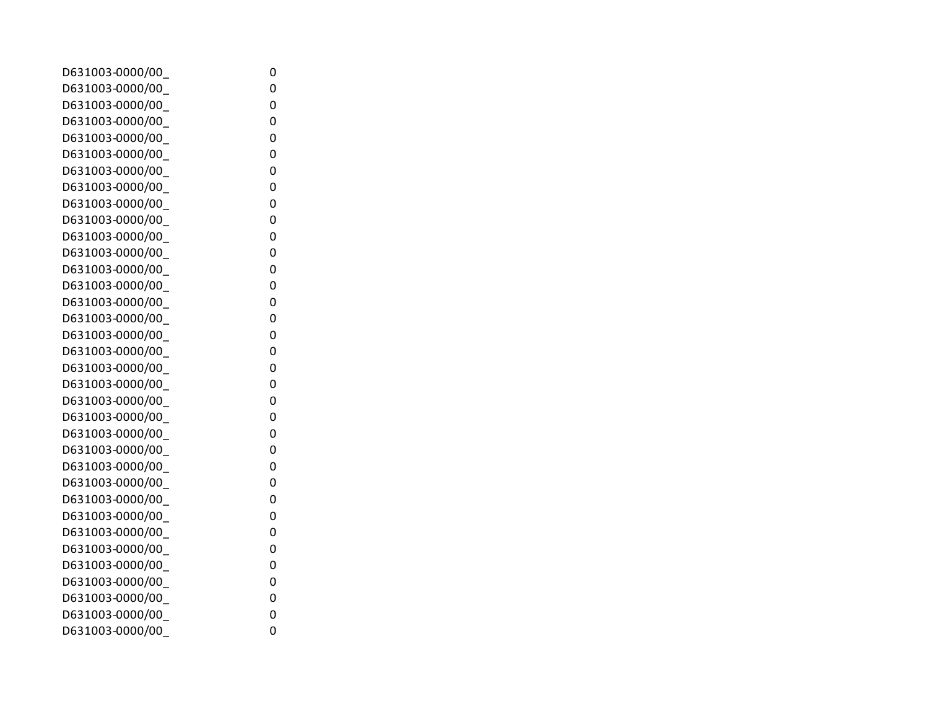| D631003-0000/00  | 0 |
|------------------|---|
| D631003-0000/00  | 0 |
| D631003-0000/00  | 0 |
| D631003-0000/00  | 0 |
| D631003-0000/00  | 0 |
| D631003-0000/00  | 0 |
| D631003-0000/00_ | 0 |
| D631003-0000/00  | 0 |
| D631003-0000/00  | 0 |
| D631003-0000/00  | 0 |
| D631003-0000/00  | 0 |
| D631003-0000/00  | 0 |
| D631003-0000/00  | 0 |
| D631003-0000/00  | 0 |
| D631003-0000/00  | 0 |
| D631003-0000/00  | 0 |
| D631003-0000/00  | 0 |
| D631003-0000/00  | 0 |
| D631003-0000/00  | 0 |
| D631003-0000/00  | 0 |
| D631003-0000/00  | 0 |
| D631003-0000/00  | 0 |
| D631003-0000/00  | 0 |
| D631003-0000/00  | 0 |
| D631003-0000/00  | 0 |
| D631003-0000/00  | 0 |
| D631003-0000/00  | 0 |
| D631003-0000/00  | 0 |
| D631003-0000/00  | 0 |
| D631003-0000/00  | 0 |
| D631003-0000/00  | 0 |
| D631003-0000/00  | 0 |
| D631003-0000/00  | 0 |
| D631003-0000/00  | 0 |
| D631003-0000/00  | 0 |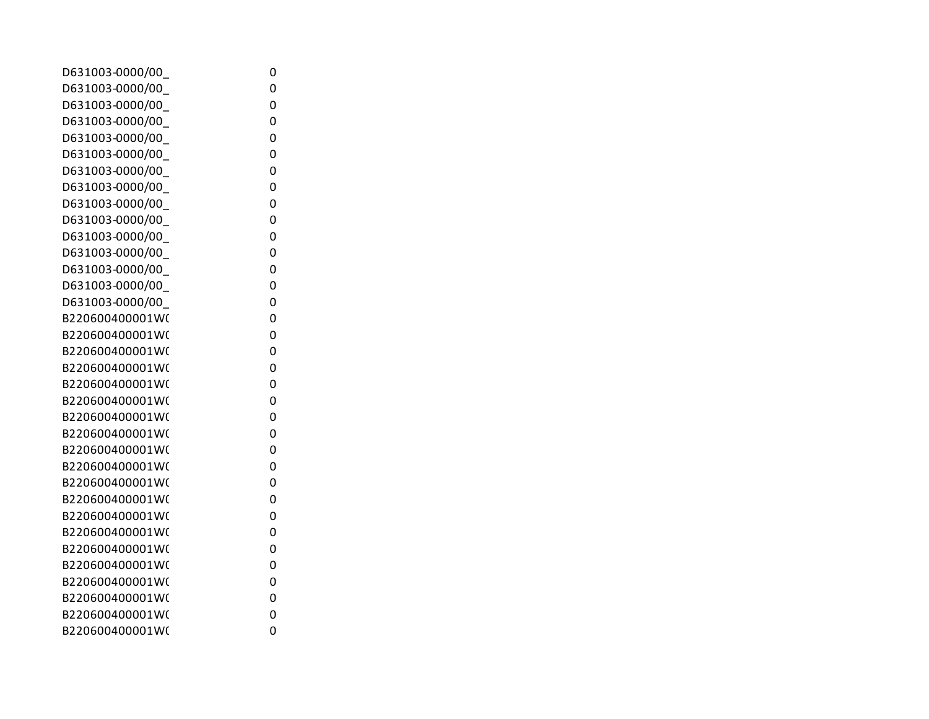| D631003-0000/00  | 0 |
|------------------|---|
| D631003-0000/00  | 0 |
| D631003-0000/00  | 0 |
| D631003-0000/00  | 0 |
| D631003-0000/00  | 0 |
| D631003-0000/00_ | 0 |
| D631003-0000/00_ | 0 |
| D631003-0000/00  | 0 |
| D631003-0000/00  | 0 |
| D631003-0000/00  | 0 |
| D631003-0000/00  | 0 |
| D631003-0000/00  | 0 |
| D631003-0000/00_ | 0 |
| D631003-0000/00  | 0 |
| D631003-0000/00  | 0 |
| B220600400001W(  | 0 |
| B220600400001W(  | 0 |
| B220600400001W(  | 0 |
| B220600400001W(  | 0 |
| B220600400001W(  | 0 |
| B220600400001W(  | 0 |
| B220600400001W(  | 0 |
| B220600400001W(  | 0 |
| B220600400001W(  | 0 |
| B220600400001W(  | 0 |
| B220600400001W(  | 0 |
| B220600400001W(  | 0 |
| B220600400001W(  | 0 |
| B220600400001W(  | 0 |
| B220600400001W(  | 0 |
| B220600400001W(  | 0 |
| B220600400001W(  | 0 |
| B220600400001W(  | 0 |
| B220600400001W(  | 0 |
| B220600400001W(  | 0 |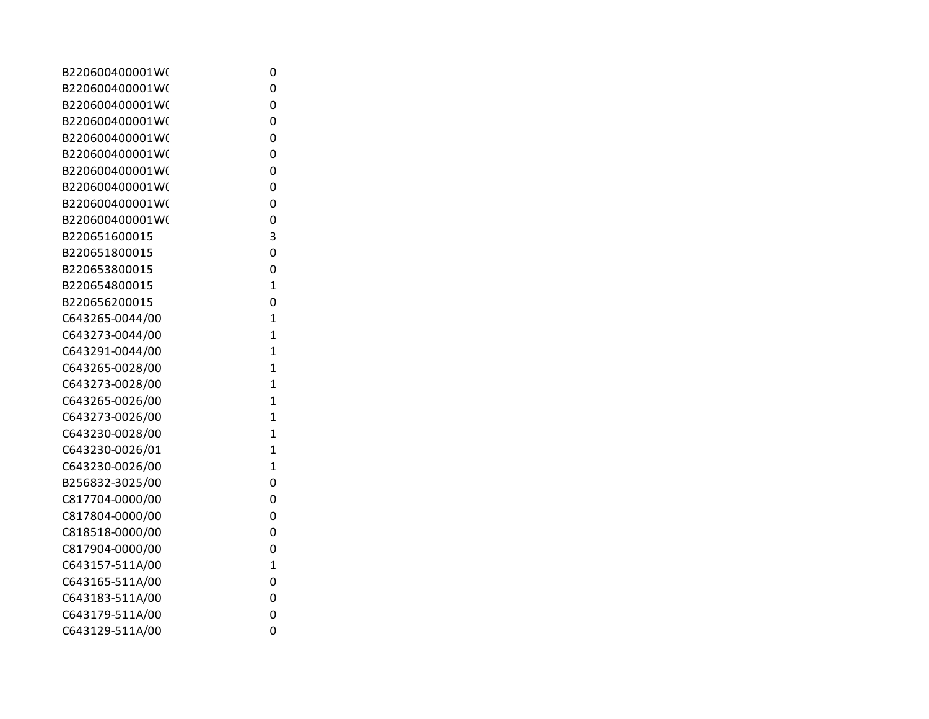| B220600400001W( | 0              |
|-----------------|----------------|
| B220600400001W( | 0              |
| B220600400001W( | 0              |
| B220600400001W( | 0              |
| B220600400001W( | 0              |
| B220600400001W( | 0              |
| B220600400001W( | 0              |
| B220600400001W( | 0              |
| B220600400001W( | 0              |
| B220600400001W( | 0              |
| B220651600015   | 3              |
| B220651800015   | 0              |
| B220653800015   | 0              |
| B220654800015   | $\overline{1}$ |
| B220656200015   | 0              |
| C643265-0044/00 | $\overline{1}$ |
| C643273-0044/00 | $\overline{1}$ |
| C643291-0044/00 | $\overline{1}$ |
| C643265-0028/00 | $\overline{1}$ |
| C643273-0028/00 | $\overline{1}$ |
| C643265-0026/00 | $\overline{1}$ |
| C643273-0026/00 | $\overline{1}$ |
| C643230-0028/00 | $\overline{1}$ |
| C643230-0026/01 | $\overline{1}$ |
| C643230-0026/00 | $\overline{1}$ |
| B256832-3025/00 | 0              |
| C817704-0000/00 | $\overline{0}$ |
| C817804-0000/00 | $\overline{0}$ |
| C818518-0000/00 | 0              |
| C817904-0000/00 | 0              |
| C643157-511A/00 | $\mathbf{1}$   |
| C643165-511A/00 | 0              |
| C643183-511A/00 | 0              |
| C643179-511A/00 | 0              |
| C643129-511A/00 | 0              |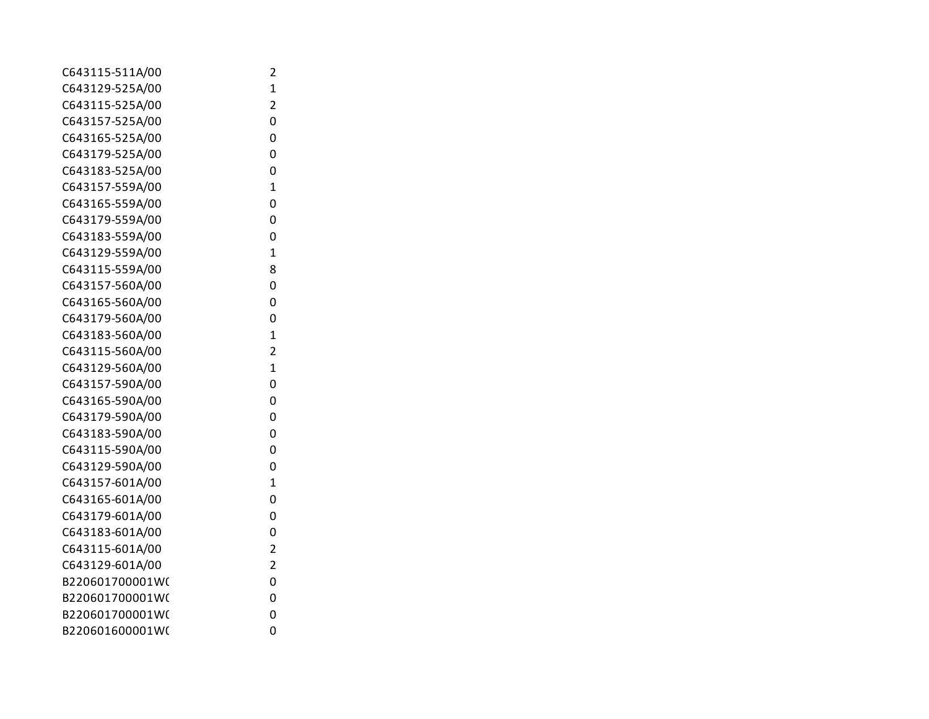| C643115-511A/00 | 2                       |
|-----------------|-------------------------|
| C643129-525A/00 | 1                       |
| C643115-525A/00 | $\overline{\mathbf{c}}$ |
| C643157-525A/00 | 0                       |
| C643165-525A/00 | 0                       |
| C643179-525A/00 | 0                       |
| C643183-525A/00 | 0                       |
| C643157-559A/00 | $\mathbf{1}$            |
| C643165-559A/00 | 0                       |
| C643179-559A/00 | 0                       |
| C643183-559A/00 | 0                       |
| C643129-559A/00 | 1                       |
| C643115-559A/00 | 8                       |
| C643157-560A/00 | 0                       |
| C643165-560A/00 | 0                       |
| C643179-560A/00 | 0                       |
| C643183-560A/00 | $\mathbf 1$             |
| C643115-560A/00 | $\overline{2}$          |
| C643129-560A/00 | $\mathbf 1$             |
| C643157-590A/00 | 0                       |
| C643165-590A/00 | 0                       |
| C643179-590A/00 | 0                       |
| C643183-590A/00 | 0                       |
| C643115-590A/00 | 0                       |
| C643129-590A/00 | 0                       |
| C643157-601A/00 | $\mathbf{1}$            |
| C643165-601A/00 | 0                       |
| C643179-601A/00 | 0                       |
| C643183-601A/00 | 0                       |
| C643115-601A/00 | $\overline{2}$          |
| C643129-601A/00 | $\overline{\mathbf{c}}$ |
| B220601700001W( | 0                       |
| B220601700001W( | 0                       |
| B220601700001W( | 0                       |
| B220601600001W( | 0                       |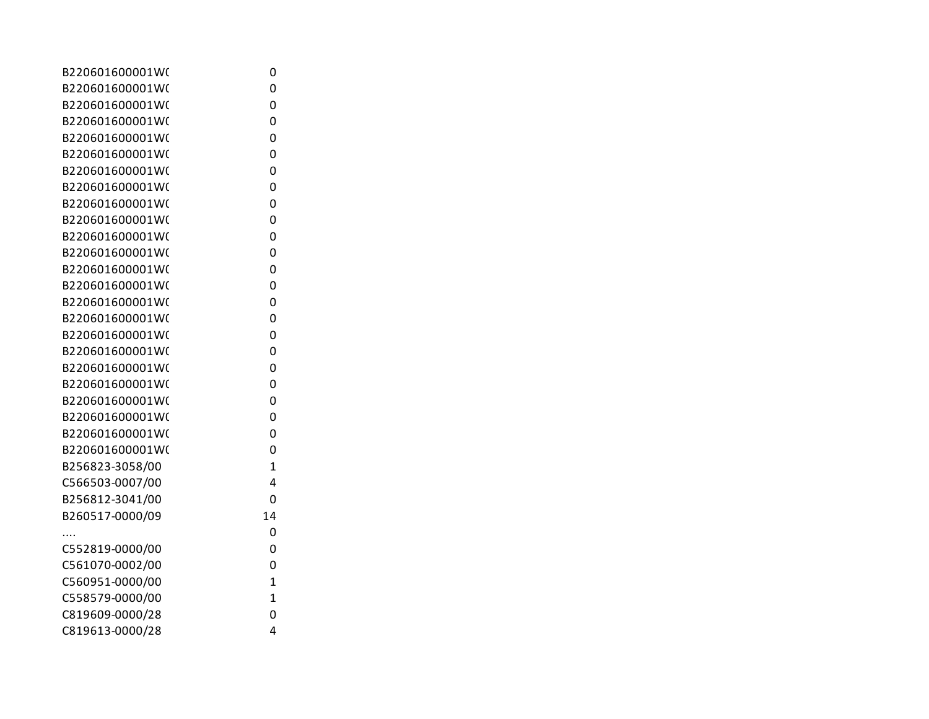| B220601600001W( | 0              |
|-----------------|----------------|
| B220601600001W( | 0              |
| B220601600001W( | 0              |
| B220601600001W( | 0              |
| B220601600001W( | 0              |
| B220601600001W( | 0              |
| B220601600001W( | 0              |
| B220601600001W( | 0              |
| B220601600001W( | 0              |
| B220601600001W( | 0              |
| B220601600001W( | 0              |
| B220601600001W( | 0              |
| B220601600001W( | 0              |
| B220601600001W( | 0              |
| B220601600001W( | 0              |
| B220601600001W( | 0              |
| B220601600001W( | 0              |
| B220601600001W( | 0              |
| B220601600001W( | 0              |
| B220601600001W( | 0              |
| B220601600001W( | 0              |
| B220601600001W( | 0              |
| B220601600001W( | 0              |
| B220601600001W( | 0              |
| B256823-3058/00 | $\overline{1}$ |
| C566503-0007/00 | 4              |
| B256812-3041/00 | 0              |
| B260517-0000/09 | 14             |
|                 | 0              |
| C552819-0000/00 | 0              |
| C561070-0002/00 | 0              |
| C560951-0000/00 | $\overline{1}$ |
| C558579-0000/00 | $\overline{1}$ |
| C819609-0000/28 | 0              |
| C819613-0000/28 | 4              |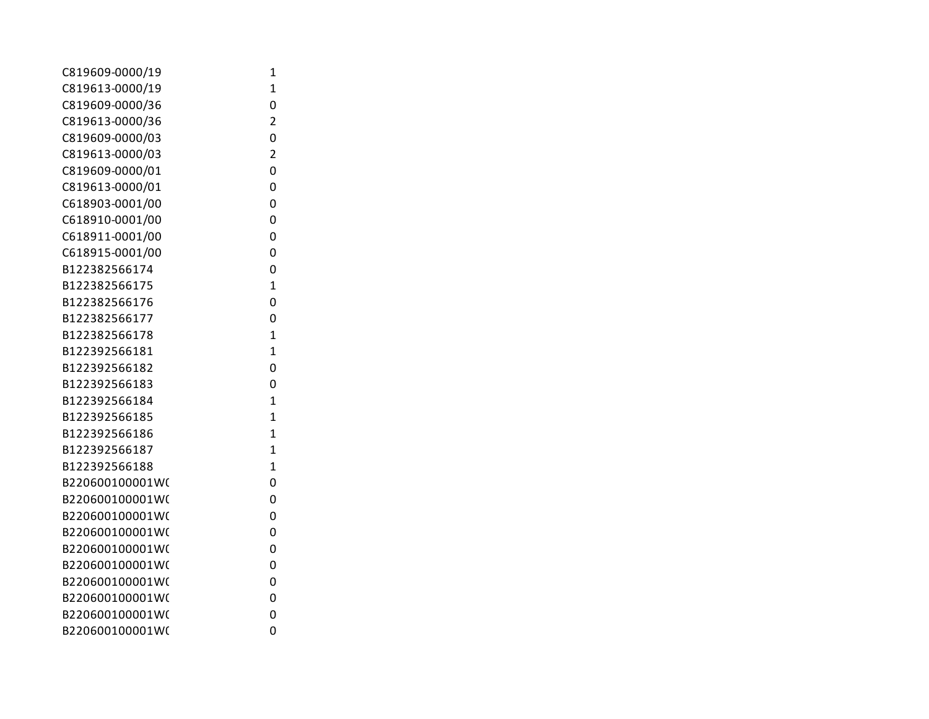| 1              |  |
|----------------|--|
| $\overline{1}$ |  |
| 0              |  |
| $\overline{2}$ |  |
| 0              |  |
| $\overline{c}$ |  |
| 0              |  |
| 0              |  |
| 0              |  |
| 0              |  |
| 0              |  |
| 0              |  |
| 0              |  |
| $\mathbf{1}$   |  |
| 0              |  |
| 0              |  |
| $\overline{1}$ |  |
| $\overline{1}$ |  |
| 0              |  |
| 0              |  |
| $\overline{1}$ |  |
| $\overline{1}$ |  |
| $\overline{1}$ |  |
| $\overline{1}$ |  |
| $\overline{1}$ |  |
| 0              |  |
| 0              |  |
| 0              |  |
| 0              |  |
| 0              |  |
| 0              |  |
| 0              |  |
| 0              |  |
| 0              |  |
| 0              |  |
|                |  |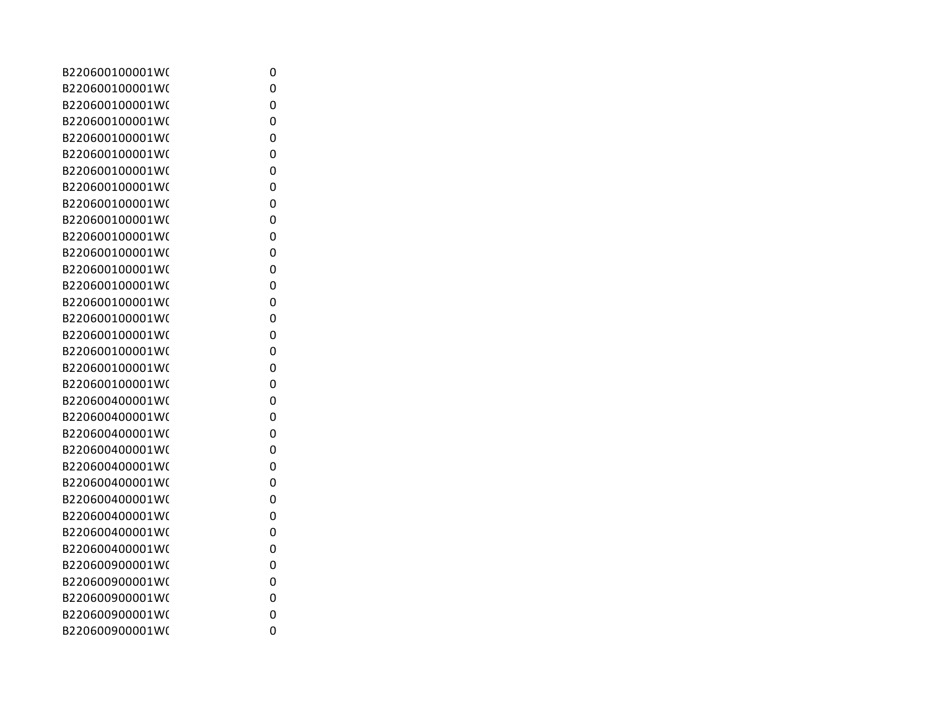| B220600100001W( | 0 |
|-----------------|---|
| B220600100001W( | 0 |
| B220600100001W( | 0 |
| B220600100001W( | 0 |
| B220600100001W( | 0 |
| B220600100001W( | 0 |
| B220600100001W( | 0 |
| B220600100001W( | 0 |
| B220600100001W( | 0 |
| B220600100001W( | 0 |
| B220600100001W( | 0 |
| B220600100001W( | 0 |
| B220600100001W( | 0 |
| B220600100001W( | 0 |
| B220600100001W( | 0 |
| B220600100001W( | 0 |
| B220600100001W( | 0 |
| B220600100001W( | 0 |
| B220600100001W( | 0 |
| B220600100001W( | 0 |
| B220600400001W( | 0 |
| B220600400001W( | 0 |
| B220600400001W( | 0 |
| B220600400001W( | 0 |
| B220600400001W( | 0 |
| B220600400001W( | 0 |
| B220600400001W( | 0 |
| B220600400001W( | 0 |
| B220600400001W( | 0 |
| B220600400001W( | 0 |
| B220600900001W( | 0 |
| B220600900001W( | 0 |
| B220600900001W( | 0 |
| B220600900001W( | 0 |
| B220600900001W( | 0 |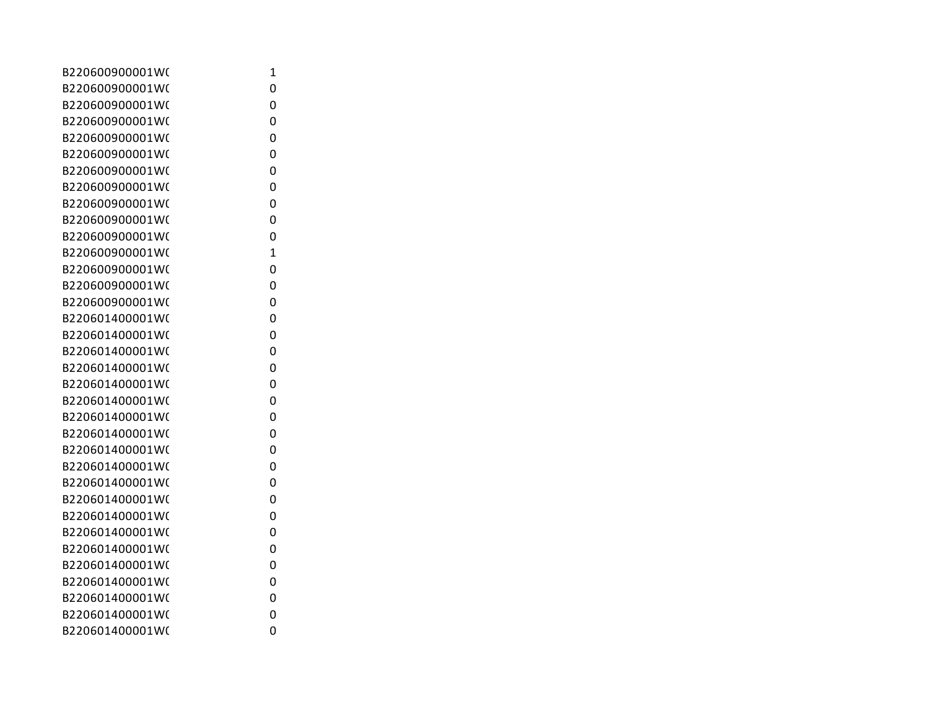| B220600900001W( | 1 |
|-----------------|---|
| B220600900001W( | 0 |
| B220600900001W( | 0 |
| B220600900001W( | 0 |
| B220600900001W( | 0 |
| B220600900001W( | 0 |
| B220600900001W( | 0 |
| B220600900001W( | 0 |
| B220600900001W( | 0 |
| B220600900001W( | 0 |
| B220600900001W( | 0 |
| B220600900001W( | 1 |
| B220600900001W( | 0 |
| B220600900001W( | 0 |
| B220600900001W( | 0 |
| B220601400001W( | 0 |
| B220601400001W( | 0 |
| B220601400001W( | 0 |
| B220601400001W( | 0 |
| B220601400001W( | 0 |
| B220601400001W( | 0 |
| B220601400001W( | 0 |
| B220601400001W( | 0 |
| B220601400001W( | 0 |
| B220601400001W( | 0 |
| B220601400001W( | 0 |
| B220601400001W( | 0 |
| B220601400001W( | 0 |
| B220601400001W( | 0 |
| B220601400001W( | 0 |
| B220601400001W( | 0 |
| B220601400001W( | 0 |
| B220601400001W( | 0 |
| B220601400001W( | 0 |
| B220601400001W( | 0 |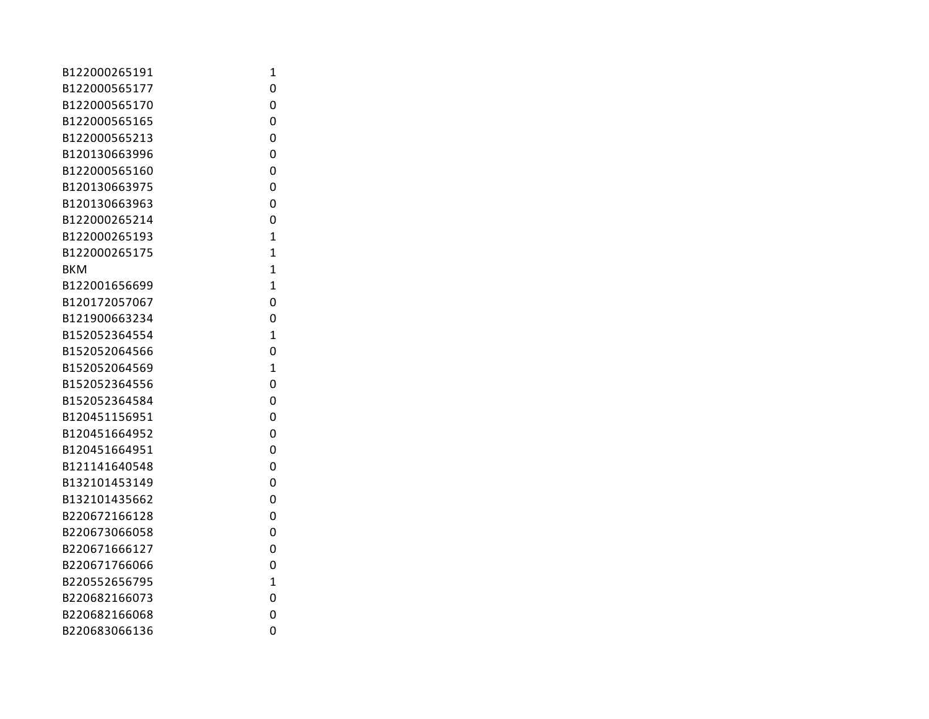| B122000265191 | 1              |
|---------------|----------------|
| B122000565177 | 0              |
| B122000565170 | 0              |
| B122000565165 | 0              |
| B122000565213 | 0              |
| B120130663996 | 0              |
| B122000565160 | 0              |
| B120130663975 | 0              |
| B120130663963 | 0              |
| B122000265214 | 0              |
| B122000265193 | 1              |
| B122000265175 | $\overline{1}$ |
| <b>BKM</b>    | $\overline{1}$ |
| B122001656699 | 1              |
| B120172057067 | 0              |
| B121900663234 | 0              |
| B152052364554 | 1              |
| B152052064566 | 0              |
| B152052064569 | $\mathbf{1}$   |
| B152052364556 | 0              |
| B152052364584 | 0              |
| B120451156951 | 0              |
| B120451664952 | 0              |
| B120451664951 | 0              |
| B121141640548 | 0              |
| B132101453149 | 0              |
| B132101435662 | 0              |
| B220672166128 | 0              |
| B220673066058 | 0              |
| B220671666127 | 0              |
| B220671766066 | 0              |
| B220552656795 | $\mathbf{1}$   |
| B220682166073 | 0              |
| B220682166068 | 0              |
| B220683066136 | 0              |
|               |                |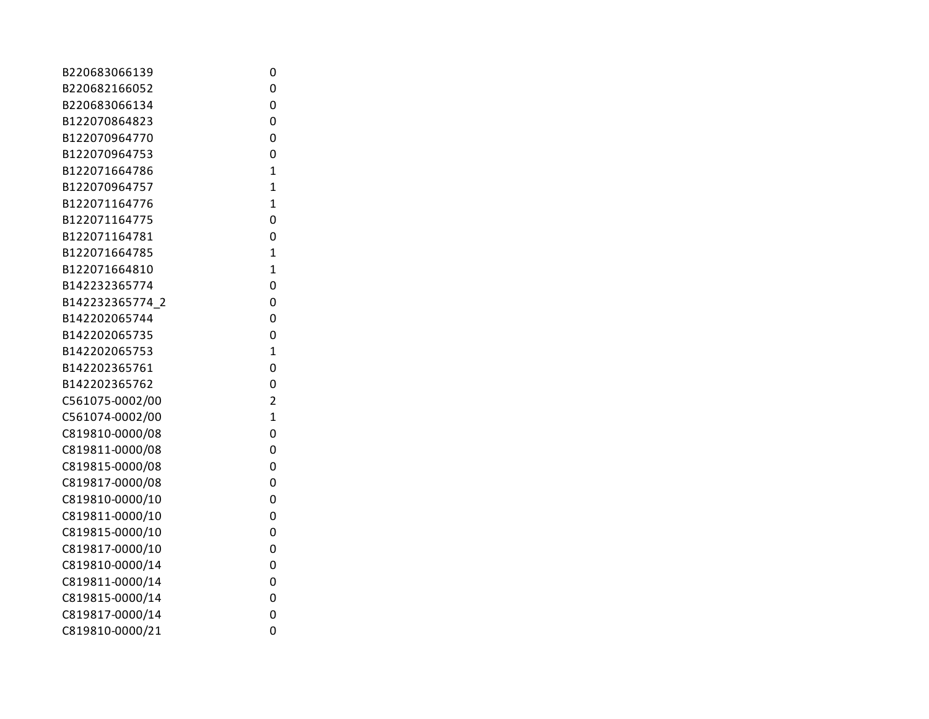| B220683066139   | 0              |
|-----------------|----------------|
| B220682166052   | 0              |
| B220683066134   | 0              |
| B122070864823   | 0              |
| B122070964770   | 0              |
| B122070964753   | 0              |
| B122071664786   | $\mathbf{1}$   |
| B122070964757   | $\overline{1}$ |
| B122071164776   | $\overline{1}$ |
| B122071164775   | 0              |
| B122071164781   | 0              |
| B122071664785   | $\mathbf{1}$   |
| B122071664810   | $\overline{1}$ |
| B142232365774   | 0              |
| B142232365774 2 | 0              |
| B142202065744   | 0              |
| B142202065735   | 0              |
| B142202065753   | $\mathbf{1}$   |
| B142202365761   | 0              |
| B142202365762   | 0              |
| C561075-0002/00 | $\overline{2}$ |
| C561074-0002/00 | $\overline{1}$ |
| C819810-0000/08 | 0              |
| C819811-0000/08 | 0              |
| C819815-0000/08 | 0              |
| C819817-0000/08 | 0              |
| C819810-0000/10 | 0              |
| C819811-0000/10 | 0              |
| C819815-0000/10 | 0              |
| C819817-0000/10 | 0              |
| C819810-0000/14 | 0              |
| C819811-0000/14 | 0              |
| C819815-0000/14 | 0              |
| C819817-0000/14 | 0              |
| C819810-0000/21 | 0              |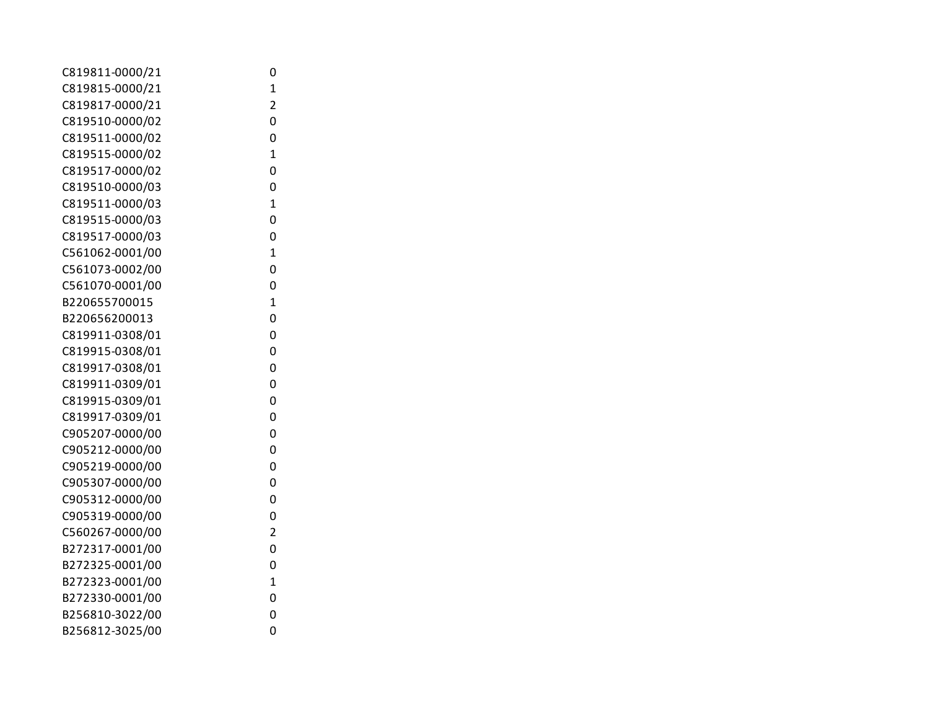| C819811-0000/21 | 0              |
|-----------------|----------------|
| C819815-0000/21 | $\mathbf 1$    |
| C819817-0000/21 | $\overline{2}$ |
| C819510-0000/02 | 0              |
| C819511-0000/02 | 0              |
| C819515-0000/02 | $\overline{1}$ |
| C819517-0000/02 | 0              |
| C819510-0000/03 | 0              |
| C819511-0000/03 | $\mathbf{1}$   |
| C819515-0000/03 | 0              |
| C819517-0000/03 | 0              |
| C561062-0001/00 | $\overline{1}$ |
| C561073-0002/00 | 0              |
| C561070-0001/00 | 0              |
| B220655700015   | $\overline{1}$ |
| B220656200013   | 0              |
| C819911-0308/01 | 0              |
| C819915-0308/01 | 0              |
| C819917-0308/01 | 0              |
| C819911-0309/01 | 0              |
| C819915-0309/01 | 0              |
| C819917-0309/01 | 0              |
| C905207-0000/00 | 0              |
| C905212-0000/00 | 0              |
| C905219-0000/00 | 0              |
| C905307-0000/00 | 0              |
| C905312-0000/00 | 0              |
| C905319-0000/00 | 0              |
| C560267-0000/00 | $\overline{2}$ |
| B272317-0001/00 | 0              |
| B272325-0001/00 | 0              |
| B272323-0001/00 | $\mathbf{1}$   |
| B272330-0001/00 | 0              |
| B256810-3022/00 | 0              |
| B256812-3025/00 | 0              |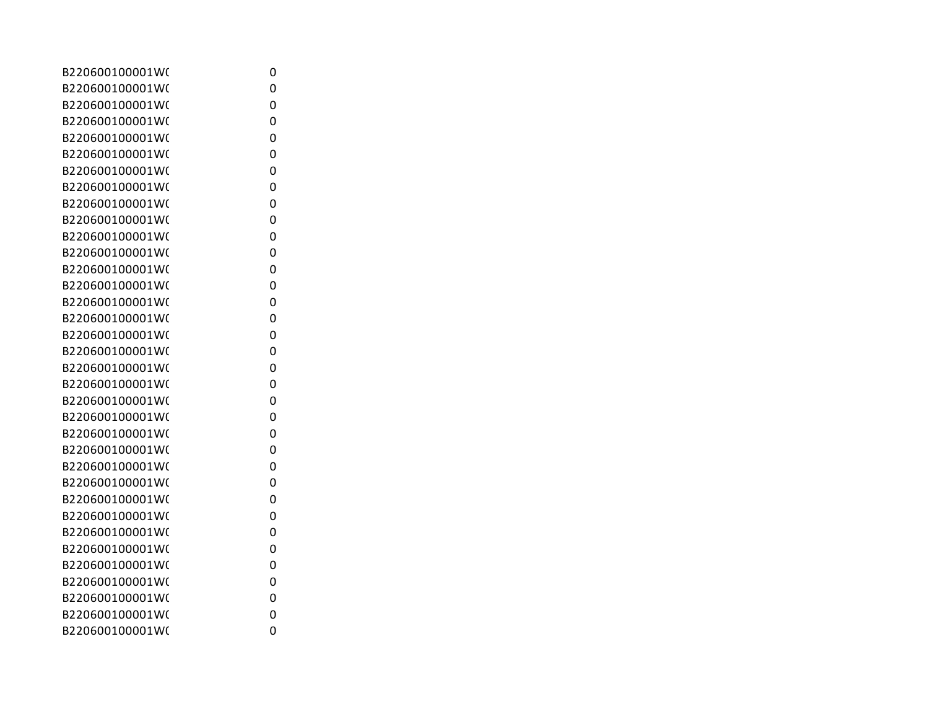| B220600100001W( | 0 |
|-----------------|---|
| B220600100001W( | 0 |
| B220600100001W( | 0 |
| B220600100001W( | 0 |
| B220600100001W( | 0 |
| B220600100001W( | 0 |
| B220600100001W( | 0 |
| B220600100001W( | 0 |
| B220600100001W( | 0 |
| B220600100001W( | 0 |
| B220600100001W( | 0 |
| B220600100001W( | 0 |
| B220600100001W( | 0 |
| B220600100001W( | 0 |
| B220600100001W( | 0 |
| B220600100001W( | 0 |
| B220600100001W( | 0 |
| B220600100001W( | 0 |
| B220600100001W( | 0 |
| B220600100001W( | 0 |
| B220600100001W( | 0 |
| B220600100001W( | 0 |
| B220600100001W( | 0 |
| B220600100001W( | 0 |
| B220600100001W( | 0 |
| B220600100001W( | 0 |
| B220600100001W( | 0 |
| B220600100001W( | 0 |
| B220600100001W( | 0 |
| B220600100001W( | 0 |
| B220600100001W( | 0 |
| B220600100001W( | 0 |
| B220600100001W( | 0 |
| B220600100001W( | 0 |
| B220600100001W( | 0 |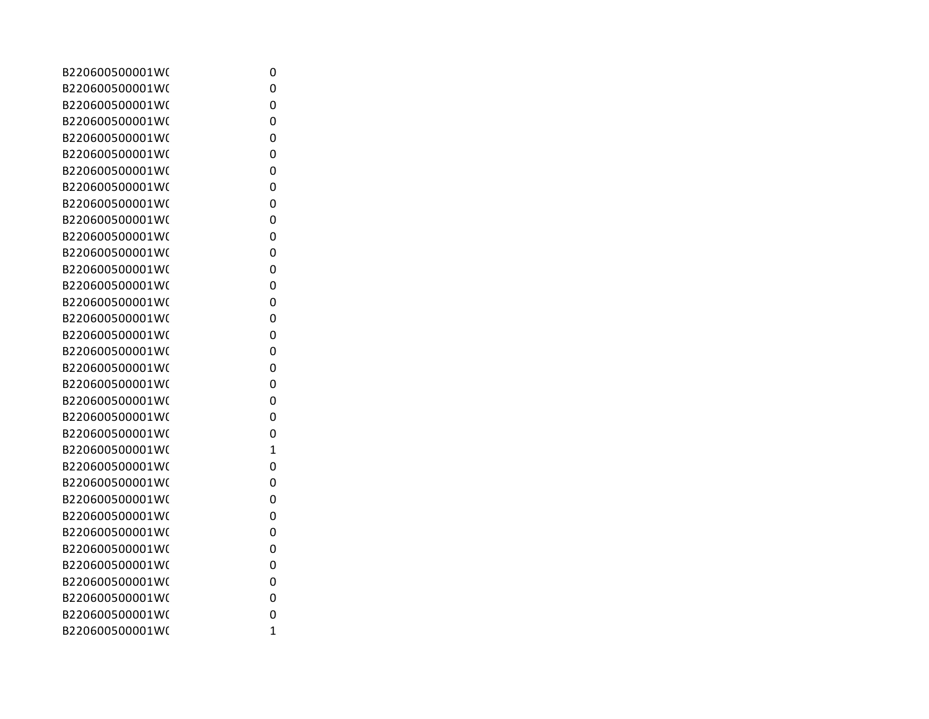| B220600500001W( | 0              |
|-----------------|----------------|
| B220600500001W( | 0              |
| B220600500001W( | 0              |
| B220600500001W( | 0              |
| B220600500001W( | 0              |
| B220600500001W( | 0              |
| B220600500001W( | 0              |
| B220600500001W( | 0              |
| B220600500001W( | 0              |
| B220600500001W( | 0              |
| B220600500001W( | 0              |
| B220600500001W( | 0              |
| B220600500001W( | 0              |
| B220600500001W( | 0              |
| B220600500001W( | 0              |
| B220600500001W( | 0              |
| B220600500001W( | 0              |
| B220600500001W( | 0              |
| B220600500001W( | 0              |
| B220600500001W( | 0              |
| B220600500001W( | 0              |
| B220600500001W( | 0              |
| B220600500001W( | 0              |
| B220600500001W( | 1              |
| B220600500001W( | 0              |
| B220600500001W( | 0              |
| B220600500001W( | 0              |
| B220600500001W( | 0              |
| B220600500001W( | 0              |
| B220600500001W( | 0              |
| B220600500001W( | 0              |
| B220600500001W( | 0              |
| B220600500001W( | 0              |
| B220600500001W( | 0              |
| B220600500001W( | $\overline{1}$ |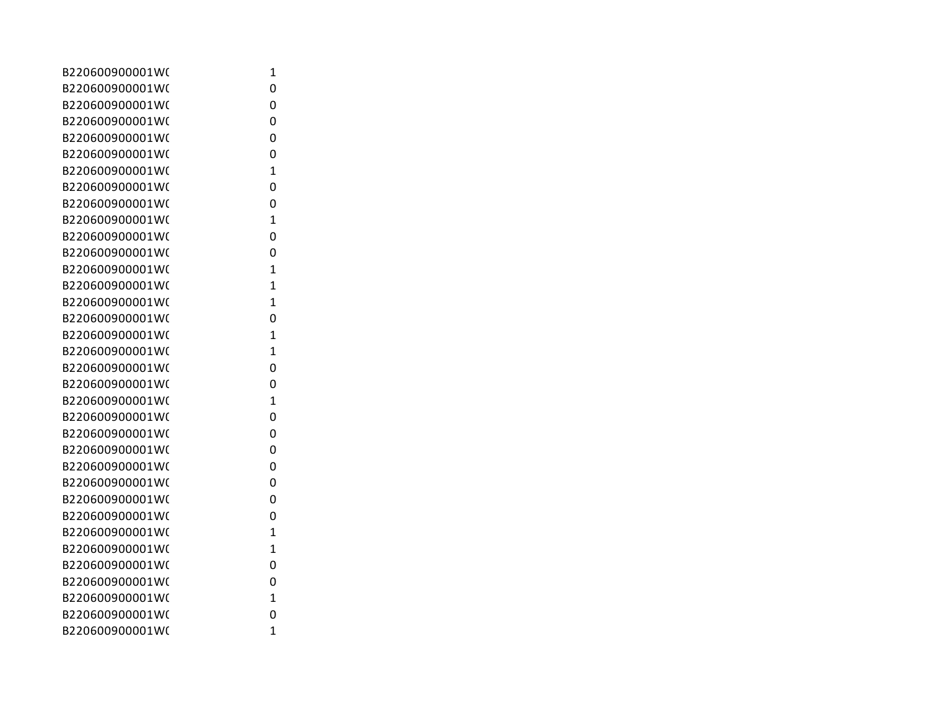| B220600900001W( | 1              |
|-----------------|----------------|
| B220600900001W( | 0              |
| B220600900001W( | 0              |
| B220600900001W( | 0              |
| B220600900001W( | 0              |
| B220600900001W( | 0              |
| B220600900001W( | $\overline{1}$ |
| B220600900001W( | 0              |
| B220600900001W( | 0              |
| B220600900001W( | 1              |
| B220600900001W( | 0              |
| B220600900001W( | 0              |
| B220600900001W( | 1              |
| B220600900001W( | 1              |
| B220600900001W( | 1              |
| B220600900001W( | 0              |
| B220600900001W( | 1              |
| B220600900001W( | 1              |
| B220600900001W( | 0              |
| B220600900001W( | 0              |
| B220600900001W( | $\overline{1}$ |
| B220600900001W( | 0              |
| B220600900001W( | 0              |
| B220600900001W( | 0              |
| B220600900001W( | 0              |
| B220600900001W( | 0              |
| B220600900001W( | 0              |
| B220600900001W( | 0              |
| B220600900001W( | 1              |
| B220600900001W( | 1              |
| B220600900001W( | 0              |
| B220600900001W( | 0              |
| B220600900001W( | 1              |
| B220600900001W( | 0              |
| B220600900001W( | $\overline{1}$ |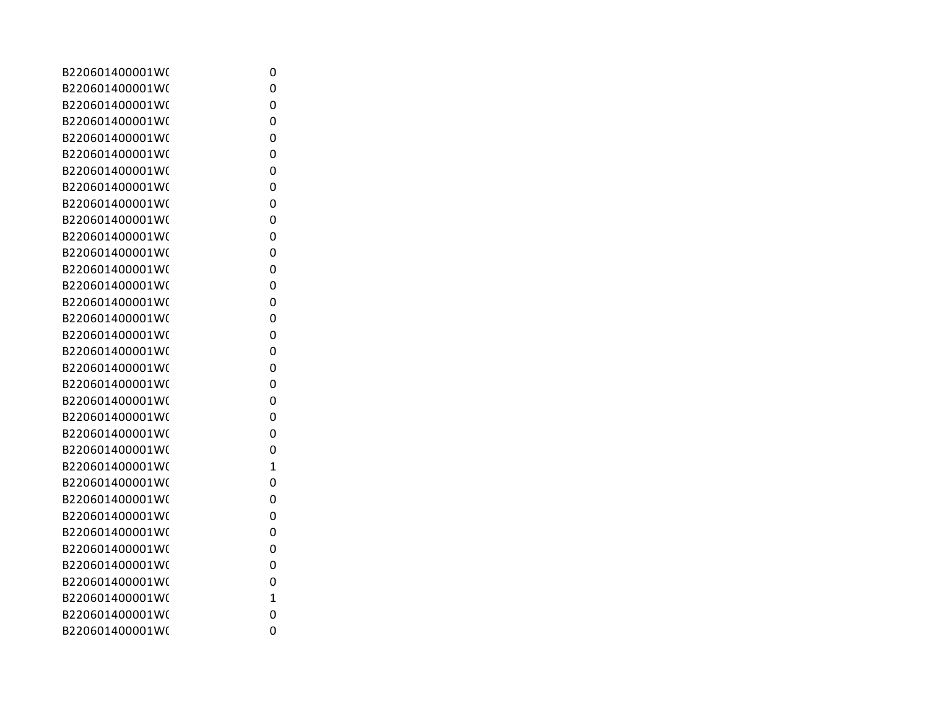| B220601400001W( | 0 |
|-----------------|---|
| B220601400001W( | 0 |
| B220601400001W( | 0 |
| B220601400001W( | 0 |
| B220601400001W( | 0 |
| B220601400001W( | 0 |
| B220601400001W( | 0 |
| B220601400001W( | 0 |
| B220601400001W( | 0 |
| B220601400001W( | 0 |
| B220601400001W( | 0 |
| B220601400001W( | 0 |
| B220601400001W( | 0 |
| B220601400001W( | 0 |
| B220601400001W( | 0 |
| B220601400001W( | 0 |
| B220601400001W( | 0 |
| B220601400001W( | 0 |
| B220601400001W( | 0 |
| B220601400001W( | 0 |
| B220601400001W( | 0 |
| B220601400001W( | 0 |
| B220601400001W( | 0 |
| B220601400001W( | 0 |
| B220601400001W( | 1 |
| B220601400001W( | 0 |
| B220601400001W( | 0 |
| B220601400001W( | 0 |
| B220601400001W( | 0 |
| B220601400001W( | 0 |
| B220601400001W( | 0 |
| B220601400001W( | 0 |
| B220601400001W( | 1 |
| B220601400001W( | 0 |
| B220601400001W( | 0 |
|                 |   |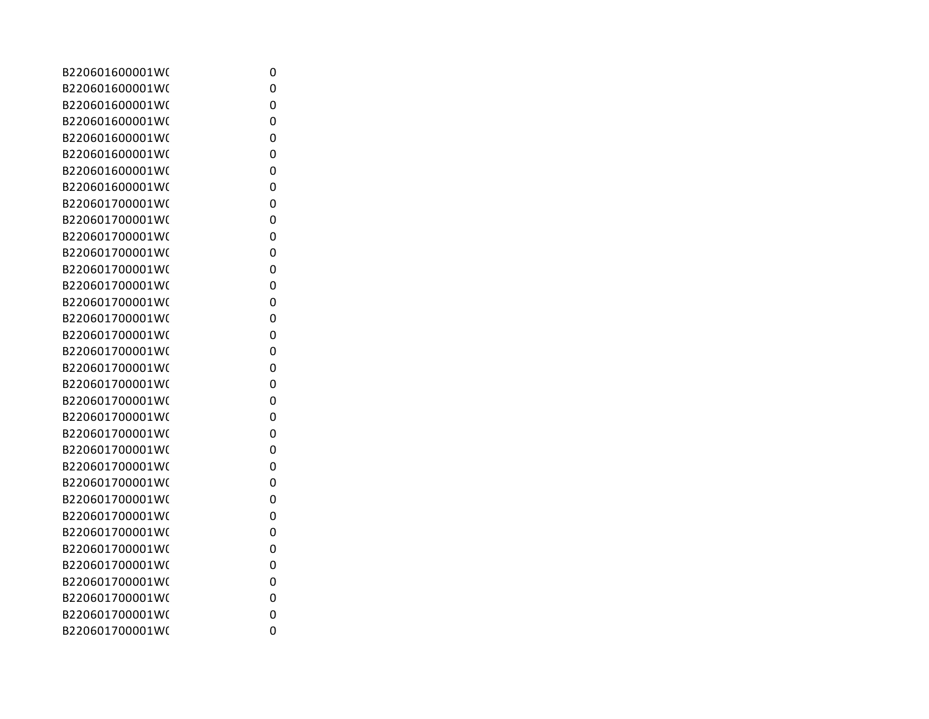| B220601600001W( | 0 |
|-----------------|---|
| B220601600001W( | 0 |
| B220601600001W( | 0 |
| B220601600001W( | 0 |
| B220601600001W( | 0 |
| B220601600001W( | 0 |
| B220601600001W( | 0 |
| B220601600001W( | 0 |
| B220601700001W( | 0 |
| B220601700001W( | 0 |
| B220601700001W( | 0 |
| B220601700001W( | 0 |
| B220601700001W( | 0 |
| B220601700001W( | 0 |
| B220601700001W( | 0 |
| B220601700001W( | 0 |
| B220601700001W( | 0 |
| B220601700001W( | 0 |
| B220601700001W( | 0 |
| B220601700001W( | 0 |
| B220601700001W( | 0 |
| B220601700001W( | 0 |
| B220601700001W( | 0 |
| B220601700001W( | 0 |
| B220601700001W( | 0 |
| B220601700001W( | 0 |
| B220601700001W( | 0 |
| B220601700001W( | 0 |
| B220601700001W( | 0 |
| B220601700001W( | 0 |
| B220601700001W( | 0 |
| B220601700001W( | 0 |
| B220601700001W( | 0 |
| B220601700001W( | 0 |
| B220601700001W( | 0 |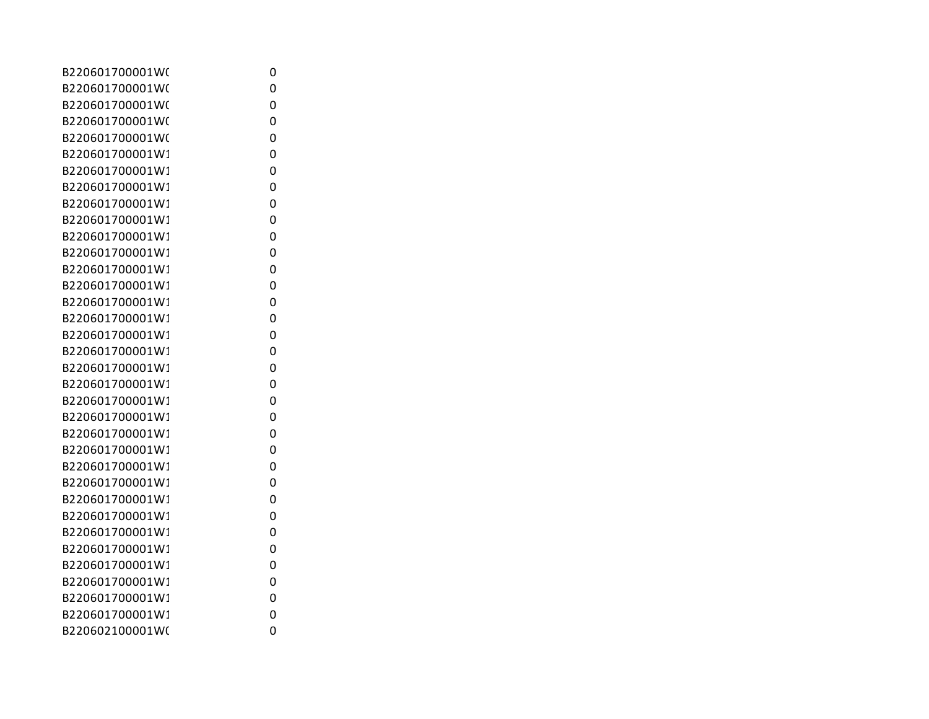| B220601700001W( | 0 |
|-----------------|---|
| B220601700001W( | 0 |
| B220601700001W( | 0 |
| B220601700001W( | 0 |
| B220601700001W( | 0 |
| B220601700001W1 | 0 |
| B220601700001W1 | 0 |
| B220601700001W1 | 0 |
| B220601700001W1 | 0 |
| B220601700001W1 | 0 |
| B220601700001W1 | 0 |
| B220601700001W1 | 0 |
| B220601700001W1 | 0 |
| B220601700001W1 | 0 |
| B220601700001W1 | 0 |
| B220601700001W1 | 0 |
| B220601700001W1 | 0 |
| B220601700001W1 | 0 |
| B220601700001W1 | 0 |
| B220601700001W1 | 0 |
| B220601700001W1 | 0 |
| B220601700001W1 | 0 |
| B220601700001W1 | 0 |
| B220601700001W1 | 0 |
| B220601700001W1 | 0 |
| B220601700001W1 | 0 |
| B220601700001W1 | 0 |
| B220601700001W1 | 0 |
| B220601700001W1 | 0 |
| B220601700001W1 | 0 |
| B220601700001W1 | 0 |
| B220601700001W1 | 0 |
| B220601700001W1 | 0 |
| B220601700001W1 | 0 |
| B220602100001W( | 0 |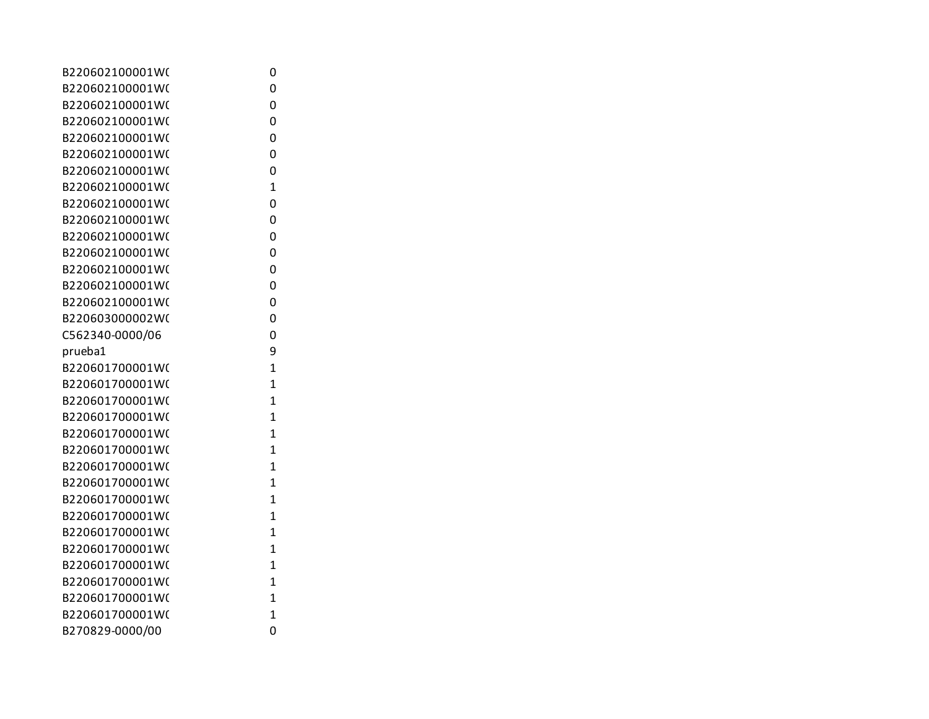| B220602100001W( | 0              |
|-----------------|----------------|
| B220602100001W( | 0              |
| B220602100001W( | 0              |
| B220602100001W( | 0              |
| B220602100001W( | 0              |
| B220602100001W( | 0              |
| B220602100001W( | 0              |
| B220602100001W( | $\overline{1}$ |
| B220602100001W( | 0              |
| B220602100001W( | 0              |
| B220602100001W( | 0              |
| B220602100001W( | 0              |
| B220602100001W( | 0              |
| B220602100001W( | 0              |
| B220602100001W( | 0              |
| B220603000002W( | 0              |
| C562340-0000/06 | 0              |
| prueba1         | 9              |
| B220601700001W( | $\mathbf{1}$   |
| B220601700001W( | 1              |
| B220601700001W( | $\mathbf{1}$   |
| B220601700001W( | $\overline{1}$ |
| B220601700001W( | 1              |
| B220601700001W( | 1              |
| B220601700001W( | $\overline{1}$ |
| B220601700001W( | 1              |
| B220601700001W( | 1              |
| B220601700001W( | $\mathbf{1}$   |
| B220601700001W( | 1              |
| B220601700001W( | 1              |
| B220601700001W( | 1              |
| B220601700001W( | 1              |
| B220601700001W( | 1              |
| B220601700001W( | $\overline{1}$ |
| B270829-0000/00 | 0              |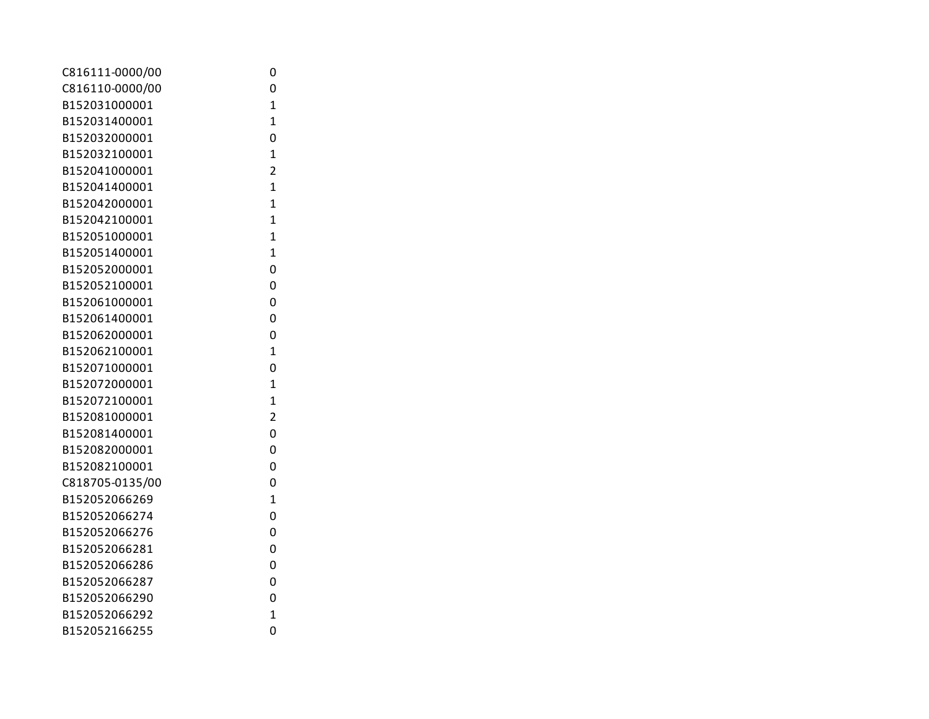| C816111-0000/00 | 0              |
|-----------------|----------------|
| C816110-0000/00 | 0              |
| B152031000001   | $\mathbf{1}$   |
| B152031400001   | $\mathbf{1}$   |
| B152032000001   | 0              |
| B152032100001   | $\mathbf{1}$   |
| B152041000001   | $\overline{2}$ |
| B152041400001   | $\overline{1}$ |
| B152042000001   | $\overline{1}$ |
| B152042100001   | $\overline{1}$ |
| B152051000001   | $\overline{1}$ |
| B152051400001   | $\overline{1}$ |
| B152052000001   | 0              |
| B152052100001   | 0              |
| B152061000001   | 0              |
| B152061400001   | 0              |
| B152062000001   | 0              |
| B152062100001   | $\overline{1}$ |
| B152071000001   | 0              |
| B152072000001   | $\overline{1}$ |
| B152072100001   | $\overline{1}$ |
| B152081000001   | $\overline{2}$ |
| B152081400001   | 0              |
| B152082000001   | 0              |
| B152082100001   | 0              |
| C818705-0135/00 | 0              |
| B152052066269   | $\overline{1}$ |
| B152052066274   | 0              |
| B152052066276   | 0              |
| B152052066281   | 0              |
| B152052066286   | 0              |
| B152052066287   | 0              |
| B152052066290   | 0              |
| B152052066292   | $\overline{1}$ |
| B152052166255   | 0              |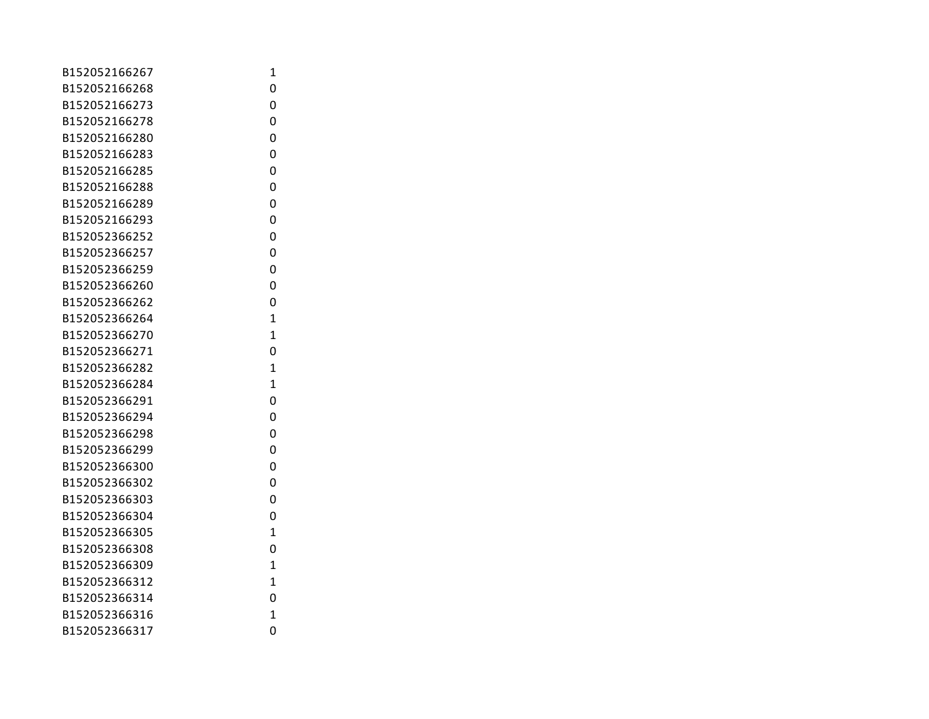| B152052166267 | 1              |
|---------------|----------------|
| B152052166268 | 0              |
| B152052166273 | 0              |
| B152052166278 | 0              |
| B152052166280 | 0              |
| B152052166283 | 0              |
| B152052166285 | 0              |
| B152052166288 | 0              |
| B152052166289 | 0              |
| B152052166293 | 0              |
| B152052366252 | 0              |
| B152052366257 | 0              |
| B152052366259 | 0              |
| B152052366260 | 0              |
| B152052366262 | 0              |
| B152052366264 | $\mathbf{1}$   |
| B152052366270 | 1              |
| B152052366271 | 0              |
| B152052366282 | $\overline{1}$ |
| B152052366284 | $\mathbf{1}$   |
| B152052366291 | 0              |
| B152052366294 | 0              |
| B152052366298 | 0              |
| B152052366299 | 0              |
| B152052366300 | 0              |
| B152052366302 | 0              |
| B152052366303 | 0              |
| B152052366304 | 0              |
| B152052366305 | $\mathbf{1}$   |
| B152052366308 | 0              |
| B152052366309 | $\mathbf{1}$   |
| B152052366312 | $\overline{1}$ |
| B152052366314 | 0              |
| B152052366316 | $\mathbf{1}$   |
| B152052366317 | 0              |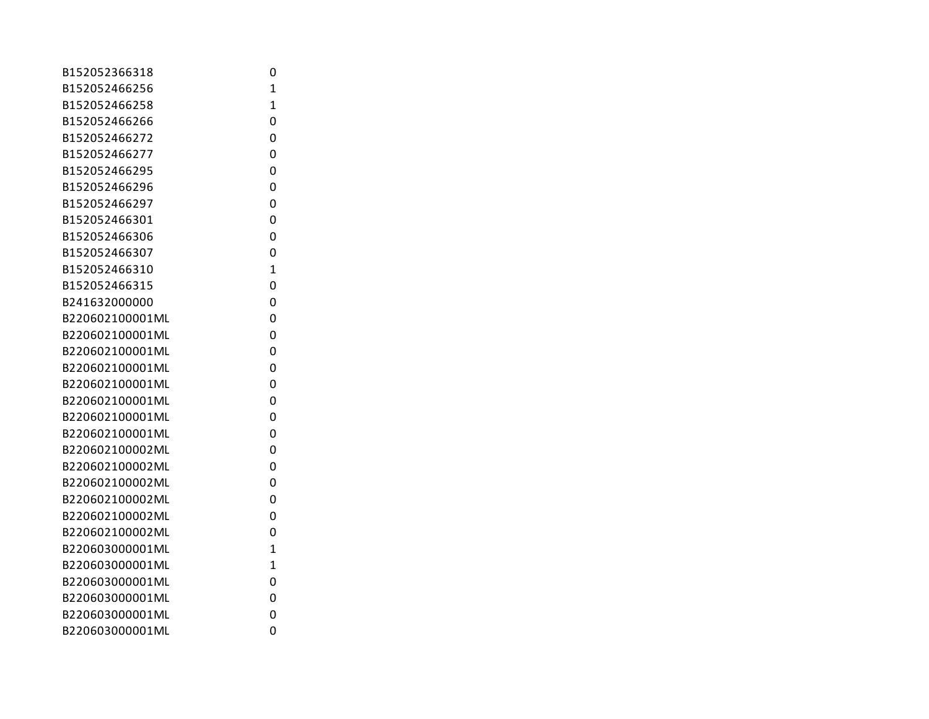| B152052366318   | 0              |
|-----------------|----------------|
| B152052466256   | 1              |
| B152052466258   | $\overline{1}$ |
| B152052466266   | 0              |
| B152052466272   | 0              |
| B152052466277   | 0              |
| B152052466295   | 0              |
| B152052466296   | 0              |
| B152052466297   | 0              |
| B152052466301   | 0              |
| B152052466306   | 0              |
| B152052466307   | 0              |
| B152052466310   | $\mathbf{1}$   |
| B152052466315   | 0              |
| B241632000000   | 0              |
| B220602100001ML | 0              |
| B220602100001ML | 0              |
| B220602100001ML | 0              |
| B220602100001ML | 0              |
| B220602100001ML | 0              |
| B220602100001ML | 0              |
| B220602100001ML | 0              |
| B220602100001ML | 0              |
| B220602100002ML | 0              |
| B220602100002ML | 0              |
| B220602100002ML | 0              |
| B220602100002ML | 0              |
| B220602100002ML | 0              |
| B220602100002ML | 0              |
| B220603000001ML | $\overline{1}$ |
| B220603000001ML | $\overline{1}$ |
| B220603000001ML | 0              |
| B220603000001ML | 0              |
| B220603000001ML | 0              |
| B220603000001ML | 0              |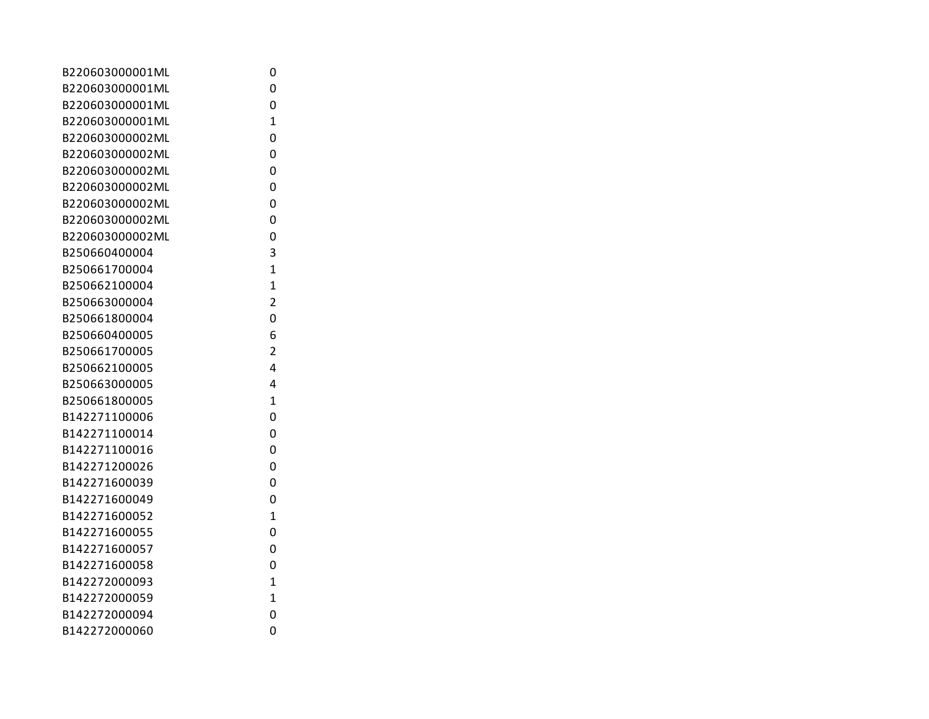| B220603000001ML | 0              |
|-----------------|----------------|
| B220603000001ML | 0              |
| B220603000001ML | 0              |
| B220603000001ML | $\overline{1}$ |
| B220603000002ML | 0              |
| B220603000002ML | 0              |
| B220603000002ML | 0              |
| B220603000002ML | 0              |
| B220603000002ML | 0              |
| B220603000002ML | 0              |
| B220603000002ML | 0              |
| B250660400004   | 3              |
| B250661700004   | $\overline{1}$ |
| B250662100004   | $\overline{1}$ |
| B250663000004   | $\overline{2}$ |
| B250661800004   | 0              |
| B250660400005   | 6              |
| B250661700005   | $\overline{2}$ |
| B250662100005   | 4              |
| B250663000005   | 4              |
| B250661800005   | $\overline{1}$ |
| B142271100006   | 0              |
| B142271100014   | 0              |
| B142271100016   | 0              |
| B142271200026   | 0              |
| B142271600039   | 0              |
| B142271600049   | 0              |
| B142271600052   | $\overline{1}$ |
| B142271600055   | 0              |
| B142271600057   | 0              |
| B142271600058   | 0              |
| B142272000093   | $\overline{1}$ |
| B142272000059   | $\overline{1}$ |
| B142272000094   | 0              |
| B142272000060   | 0              |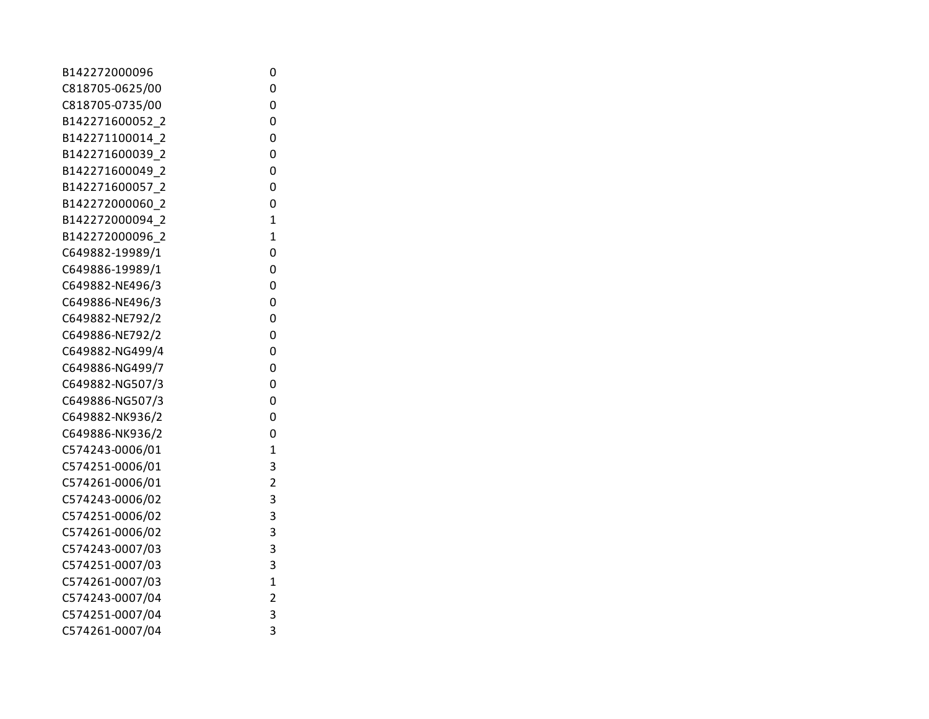| 0              |
|----------------|
| 0              |
| 0              |
| 0              |
| 0              |
| 0              |
| 0              |
| 0              |
| 0              |
| $\overline{1}$ |
| 1              |
| 0              |
| 0              |
| 0              |
| 0              |
| 0              |
| 0              |
| 0              |
| 0              |
| 0              |
| 0              |
| 0              |
| 0              |
| 1              |
| 3              |
| $\overline{c}$ |
| 3              |
| 3              |
| 3              |
| 3              |
| 3              |
| $\mathbf 1$    |
| $\overline{c}$ |
| 3              |
| 3              |
|                |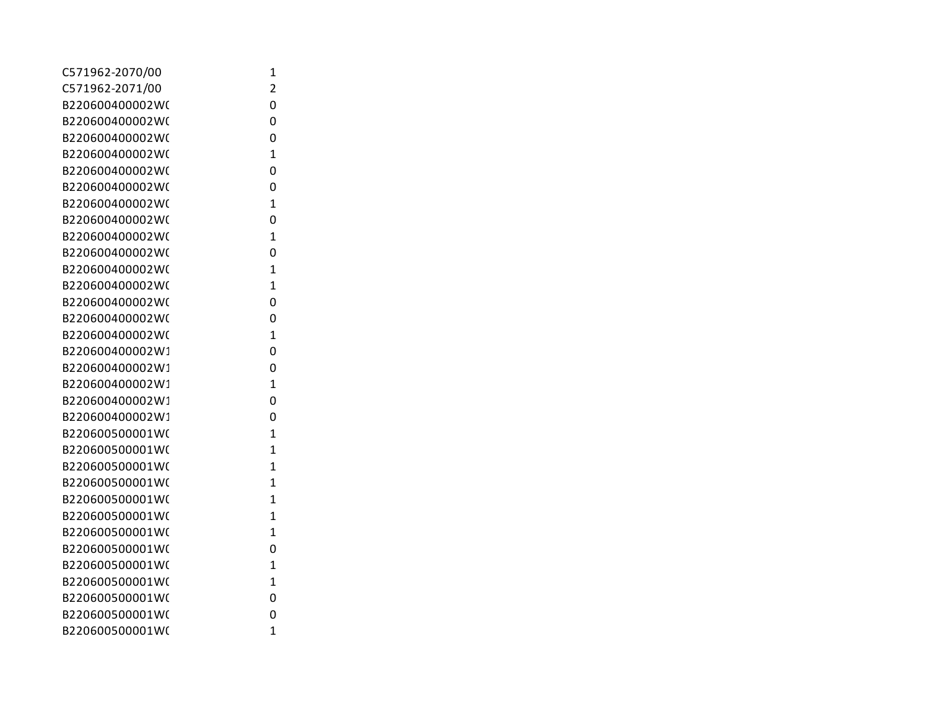| C571962-2070/00 | 1              |
|-----------------|----------------|
| C571962-2071/00 | 2              |
| B220600400002W( | 0              |
| B220600400002W( | 0              |
| B220600400002W( | 0              |
| B220600400002W( | $\mathbf{1}$   |
| B220600400002W( | 0              |
| B220600400002W( | 0              |
| B220600400002W( | $\mathbf{1}$   |
| B220600400002W( | 0              |
| B220600400002W( | 1              |
| B220600400002W( | 0              |
| B220600400002W( | 1              |
| B220600400002W( | 1              |
| B220600400002W( | 0              |
| B220600400002W( | 0              |
| B220600400002W( | $\overline{1}$ |
| B220600400002W1 | 0              |
| B220600400002W1 | 0              |
| B220600400002W1 | $\overline{1}$ |
| B220600400002W1 | 0              |
| B220600400002W1 | 0              |
| B220600500001W( | $\overline{1}$ |
| B220600500001W( | 1              |
| B220600500001W( | $\overline{1}$ |
| B220600500001W( | $\mathbf{1}$   |
| B220600500001W( | $\mathbf{1}$   |
| B220600500001W( | $\mathbf{1}$   |
| B220600500001W( | $\mathbf{1}$   |
| B220600500001W( | 0              |
| B220600500001W( | 1              |
| B220600500001W( | 1              |
| B220600500001W( | 0              |
| B220600500001W( | 0              |
| B220600500001W( | $\mathbf{1}$   |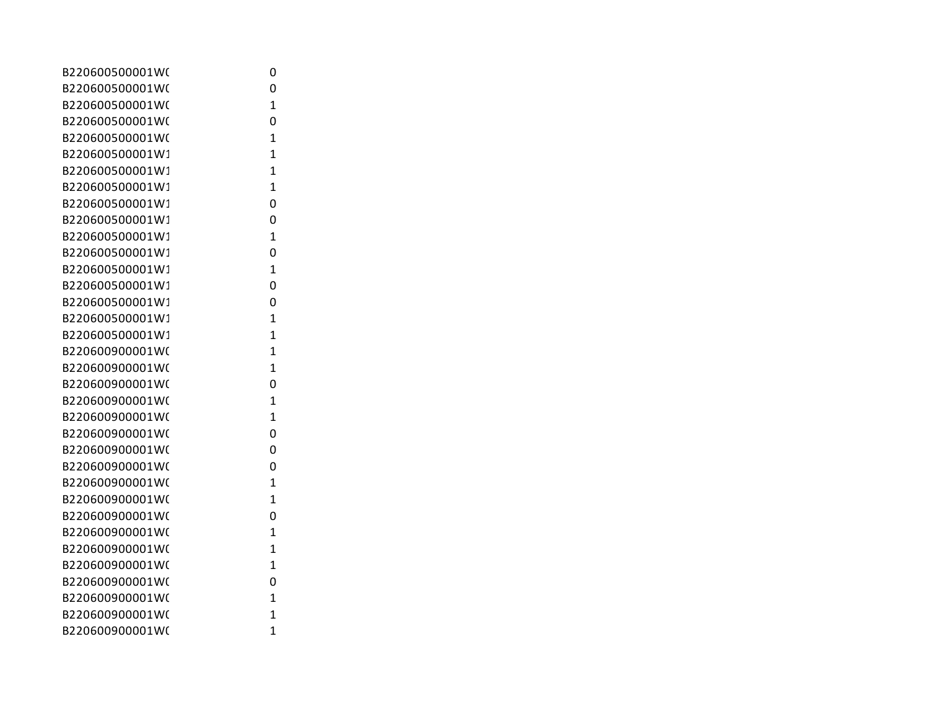| B220600500001W( | 0              |
|-----------------|----------------|
| B220600500001W( | 0              |
| B220600500001W( | 1              |
| B220600500001W( | 0              |
| B220600500001W( | 1              |
| B220600500001W1 | 1              |
| B220600500001W1 | 1              |
| B220600500001W1 | $\mathbf{1}$   |
| B220600500001W1 | 0              |
| B220600500001W1 | 0              |
| B220600500001W1 | 1              |
| B220600500001W1 | 0              |
| B220600500001W1 | 1              |
| B220600500001W1 | 0              |
| B220600500001W1 | 0              |
| B220600500001W1 | 1              |
| B220600500001W1 | 1              |
| B220600900001W( | 1              |
| B220600900001W( | 1              |
| B220600900001W( | 0              |
| B220600900001W( | $\mathbf{1}$   |
| B220600900001W( | $\overline{1}$ |
| B220600900001W( | 0              |
| B220600900001W( | 0              |
| B220600900001W( | 0              |
| B220600900001W( | 1              |
| B220600900001W( | $\mathbf{1}$   |
| B220600900001W( | 0              |
| B220600900001W( | $\overline{1}$ |
| B220600900001W( | $\overline{1}$ |
| B220600900001W( | 1              |
| B220600900001W( | 0              |
| B220600900001W( | 1              |
| B220600900001W( | 1              |
| B220600900001W( | 1              |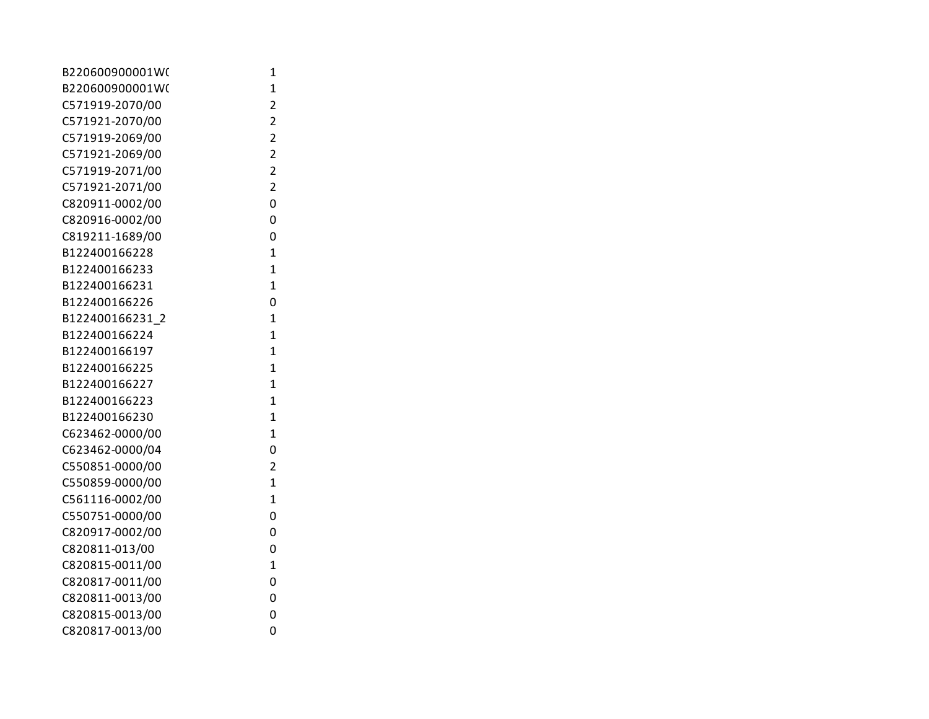| B220600900001W( | 1              |
|-----------------|----------------|
| B220600900001W( | $\mathbf{1}$   |
| C571919-2070/00 | $\overline{2}$ |
| C571921-2070/00 | $\overline{2}$ |
| C571919-2069/00 | $\overline{2}$ |
| C571921-2069/00 | $\overline{2}$ |
| C571919-2071/00 | $\overline{2}$ |
| C571921-2071/00 | $\overline{2}$ |
| C820911-0002/00 | 0              |
| C820916-0002/00 | 0              |
| C819211-1689/00 | 0              |
| B122400166228   | $\overline{1}$ |
| B122400166233   | $\overline{1}$ |
| B122400166231   | $\overline{1}$ |
| B122400166226   | 0              |
| B122400166231 2 | $\overline{1}$ |
| B122400166224   | $\overline{1}$ |
| B122400166197   | $\overline{1}$ |
| B122400166225   | $\overline{1}$ |
| B122400166227   | $\overline{1}$ |
| B122400166223   | $\mathbf{1}$   |
| B122400166230   | $\overline{1}$ |
| C623462-0000/00 | $\overline{1}$ |
| C623462-0000/04 | 0              |
| C550851-0000/00 | $\overline{2}$ |
| C550859-0000/00 | $\overline{1}$ |
| C561116-0002/00 | $\overline{1}$ |
| C550751-0000/00 | 0              |
| C820917-0002/00 | 0              |
| C820811-013/00  | 0              |
| C820815-0011/00 | $\overline{1}$ |
| C820817-0011/00 | 0              |
| C820811-0013/00 | 0              |
| C820815-0013/00 | 0              |
| C820817-0013/00 | 0              |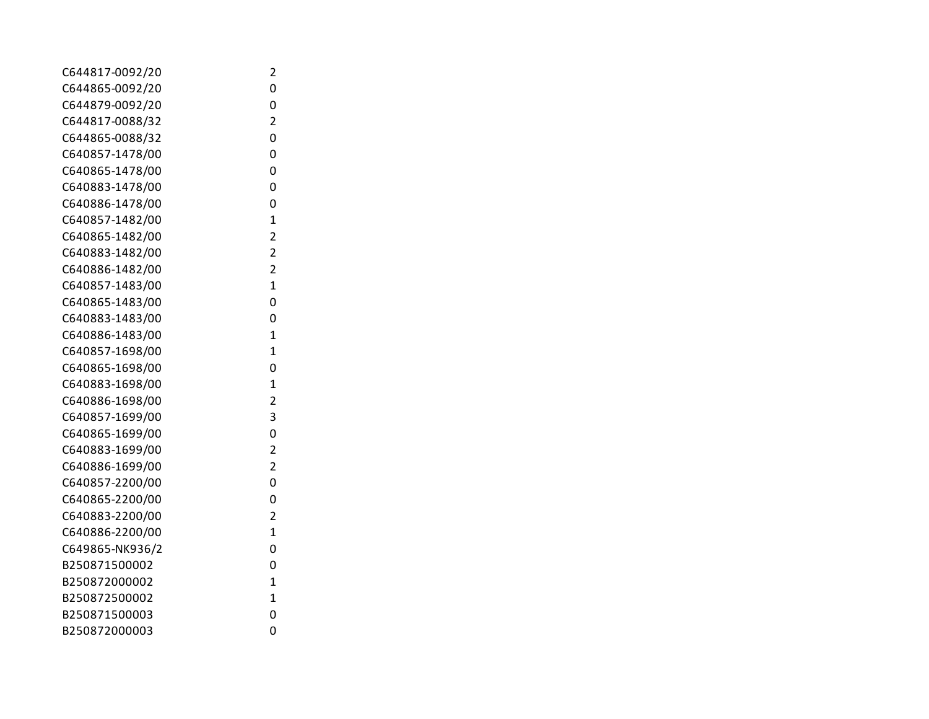| C644817-0092/20 | 2                       |
|-----------------|-------------------------|
| C644865-0092/20 | 0                       |
| C644879-0092/20 | 0                       |
| C644817-0088/32 | $\overline{2}$          |
| C644865-0088/32 | 0                       |
| C640857-1478/00 | 0                       |
| C640865-1478/00 | 0                       |
| C640883-1478/00 | 0                       |
| C640886-1478/00 | 0                       |
| C640857-1482/00 | $\overline{1}$          |
| C640865-1482/00 | $\overline{2}$          |
| C640883-1482/00 | $\overline{2}$          |
| C640886-1482/00 | $\overline{\mathbf{c}}$ |
| C640857-1483/00 | $\overline{1}$          |
| C640865-1483/00 | 0                       |
| C640883-1483/00 | 0                       |
| C640886-1483/00 | $\overline{1}$          |
| C640857-1698/00 | $\overline{1}$          |
| C640865-1698/00 | 0                       |
| C640883-1698/00 | $\overline{1}$          |
| C640886-1698/00 | $\overline{2}$          |
| C640857-1699/00 | 3                       |
| C640865-1699/00 | 0                       |
| C640883-1699/00 | $\overline{2}$          |
| C640886-1699/00 | $\overline{2}$          |
| C640857-2200/00 | 0                       |
| C640865-2200/00 | 0                       |
| C640883-2200/00 | $\overline{2}$          |
| C640886-2200/00 | 1                       |
| C649865-NK936/2 | 0                       |
| B250871500002   | 0                       |
| B250872000002   | $\overline{1}$          |
| B250872500002   | 1                       |
| B250871500003   | 0                       |
| B250872000003   | 0                       |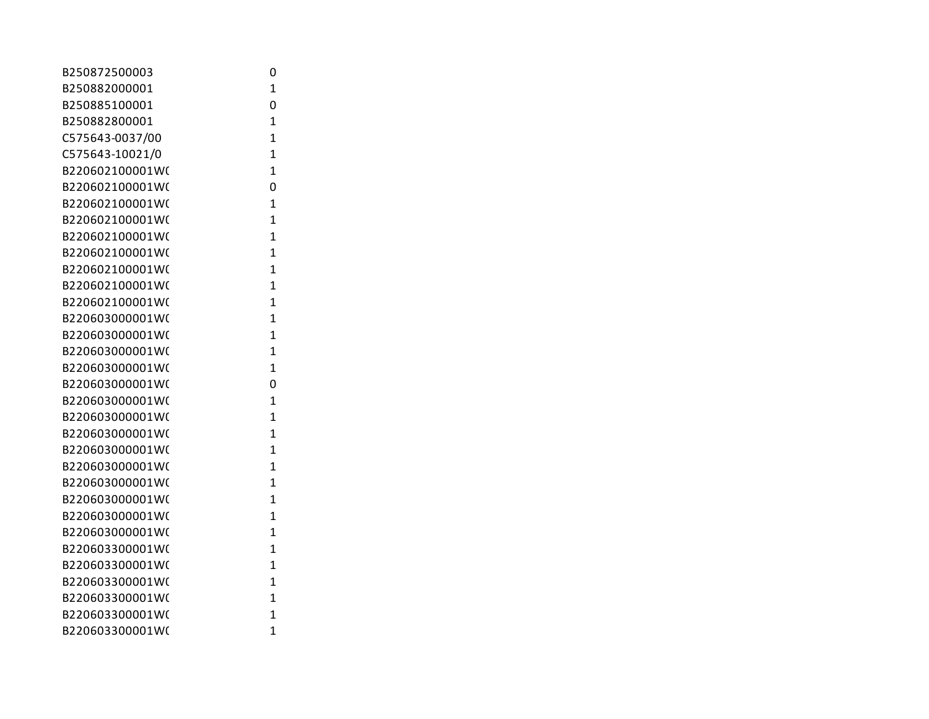| B250872500003   | 0              |
|-----------------|----------------|
| B250882000001   | $\overline{1}$ |
| B250885100001   | 0              |
| B250882800001   | $\overline{1}$ |
| C575643-0037/00 | $\overline{1}$ |
| C575643-10021/0 | $\overline{1}$ |
| B220602100001W( | $\overline{1}$ |
| B220602100001W( | 0              |
| B220602100001W( | 1              |
| B220602100001W( | $\overline{1}$ |
| B220602100001W( | $\overline{1}$ |
| B220602100001W( | $\overline{1}$ |
| B220602100001W( | $\overline{1}$ |
| B220602100001W( | $\overline{1}$ |
| B220602100001W( | $\overline{1}$ |
| B220603000001W( | $\overline{1}$ |
| B220603000001W( | 1              |
| B220603000001W( | $\overline{1}$ |
| B220603000001W( | $\overline{1}$ |
| B220603000001W( | 0              |
| B220603000001W( | $\overline{1}$ |
| B220603000001W( | $\overline{1}$ |
| B220603000001W( | $\overline{1}$ |
| B220603000001W( | 1              |
| B220603000001W( | $\overline{1}$ |
| B220603000001W( | 1              |
| B220603000001W( | $\overline{1}$ |
| B220603000001W( | $\mathbf{1}$   |
| B220603000001W( | $\overline{1}$ |
| B220603300001W( | $\overline{1}$ |
| B220603300001W( | 1              |
| B220603300001W( | $\overline{1}$ |
| B220603300001W( | 1              |
| B220603300001W( | $\overline{1}$ |
| B220603300001W( | $\overline{1}$ |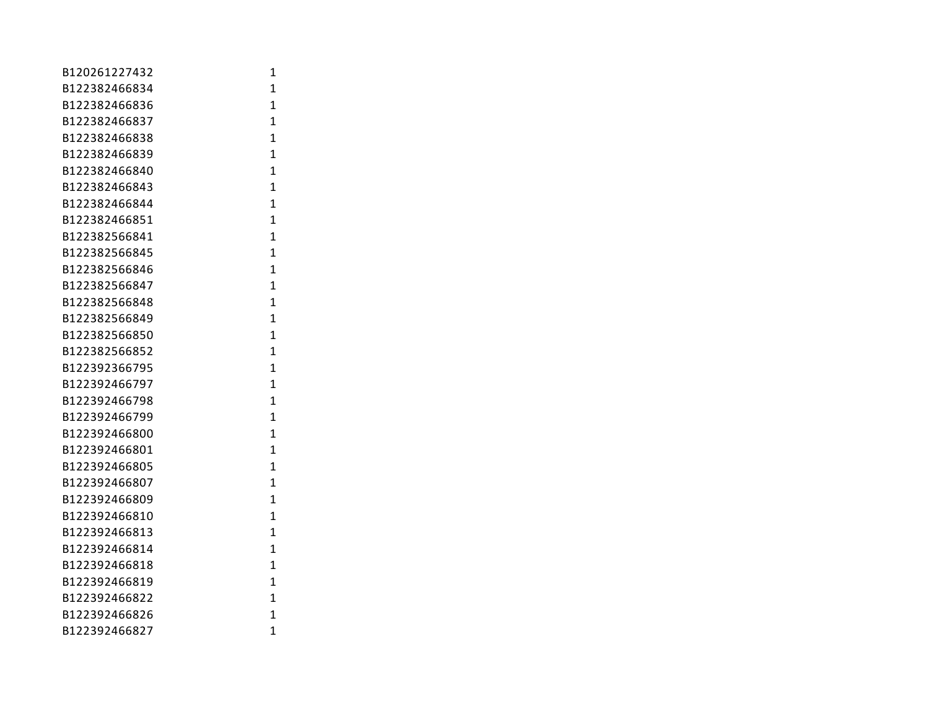| B120261227432 | 1              |
|---------------|----------------|
| B122382466834 | $\mathbf{1}$   |
| B122382466836 | $\mathbf{1}$   |
| B122382466837 | 1              |
| B122382466838 | $\overline{1}$ |
| B122382466839 | $\overline{1}$ |
| B122382466840 | $\mathbf{1}$   |
| B122382466843 | $\mathbf{1}$   |
| B122382466844 | $\overline{1}$ |
| B122382466851 | $\mathbf{1}$   |
| B122382566841 | $\overline{1}$ |
| B122382566845 | $\overline{1}$ |
| B122382566846 | $\mathbf{1}$   |
| B122382566847 | $\mathbf{1}$   |
| B122382566848 | $\overline{1}$ |
| B122382566849 | $\mathbf{1}$   |
| B122382566850 | 1              |
| B122382566852 | $\overline{1}$ |
| B122392366795 | $\overline{1}$ |
| B122392466797 | $\mathbf{1}$   |
| B122392466798 | $\overline{1}$ |
| B122392466799 | $\overline{1}$ |
| B122392466800 | $\mathbf{1}$   |
| B122392466801 | $\overline{1}$ |
| B122392466805 | $\mathbf{1}$   |
| B122392466807 | $\mathbf{1}$   |
| B122392466809 | $\mathbf{1}$   |
| B122392466810 | $\mathbf{1}$   |
| B122392466813 | $\mathbf{1}$   |
| B122392466814 | 1              |
| B122392466818 | $\overline{1}$ |
| B122392466819 | $\overline{1}$ |
| B122392466822 | $\overline{1}$ |
| B122392466826 | $\overline{1}$ |
| B122392466827 | $\overline{1}$ |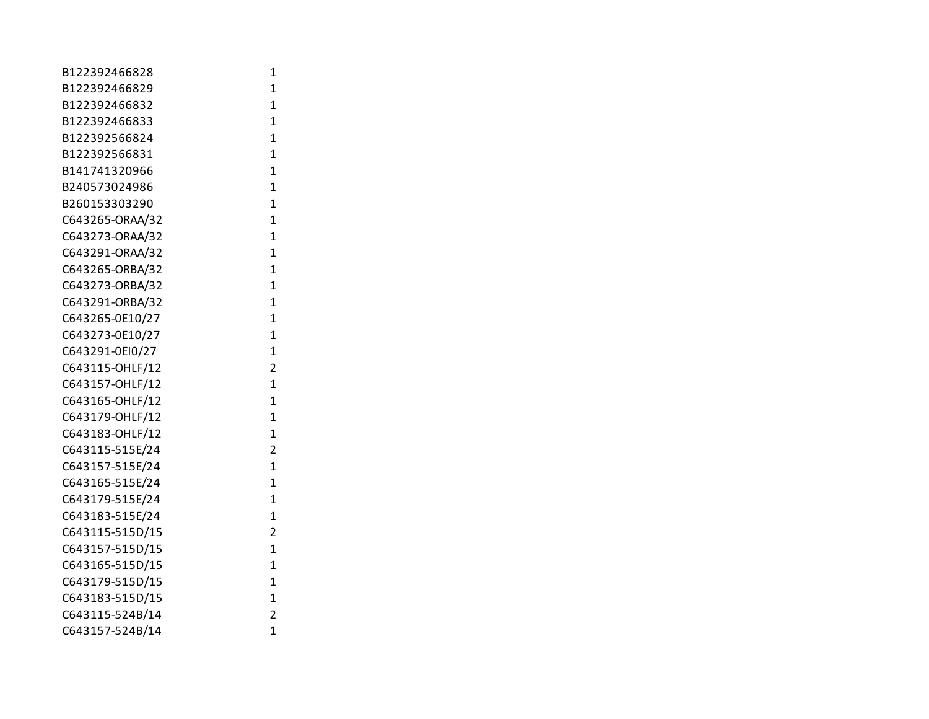| B122392466828   | 1              |
|-----------------|----------------|
| B122392466829   | $\mathbf{1}$   |
| B122392466832   | $\mathbf{1}$   |
| B122392466833   | $\mathbf{1}$   |
| B122392566824   | $\mathbf{1}$   |
| B122392566831   | $\mathbf{1}$   |
| B141741320966   | $\mathbf{1}$   |
| B240573024986   | $\overline{1}$ |
| B260153303290   | $\overline{1}$ |
| C643265-ORAA/32 | $\mathbf{1}$   |
| C643273-ORAA/32 | $\mathbf{1}$   |
| C643291-ORAA/32 | $\mathbf{1}$   |
| C643265-ORBA/32 | $\mathbf{1}$   |
| C643273-ORBA/32 | $\mathbf{1}$   |
| C643291-ORBA/32 | $\mathbf{1}$   |
| C643265-0E10/27 | $\mathbf{1}$   |
| C643273-0E10/27 | $\mathbf{1}$   |
| C643291-0EI0/27 | $\mathbf{1}$   |
| C643115-OHLF/12 | $\overline{2}$ |
| C643157-OHLF/12 | $\mathbf{1}$   |
| C643165-OHLF/12 | $\mathbf{1}$   |
| C643179-OHLF/12 | $\mathbf{1}$   |
| C643183-OHLF/12 | $\mathbf{1}$   |
| C643115-515E/24 | 2              |
| C643157-515E/24 | $\mathbf{1}$   |
| C643165-515E/24 | $\overline{1}$ |
| C643179-515E/24 | $\mathbf{1}$   |
| C643183-515E/24 | $\mathbf{1}$   |
| C643115-515D/15 | $\overline{2}$ |
| C643157-515D/15 | $\mathbf{1}$   |
| C643165-515D/15 | $\mathbf{1}$   |
| C643179-515D/15 | $\mathbf{1}$   |
| C643183-515D/15 | $\mathbf{1}$   |
| C643115-524B/14 | $\overline{2}$ |
| C643157-524B/14 | $\overline{1}$ |